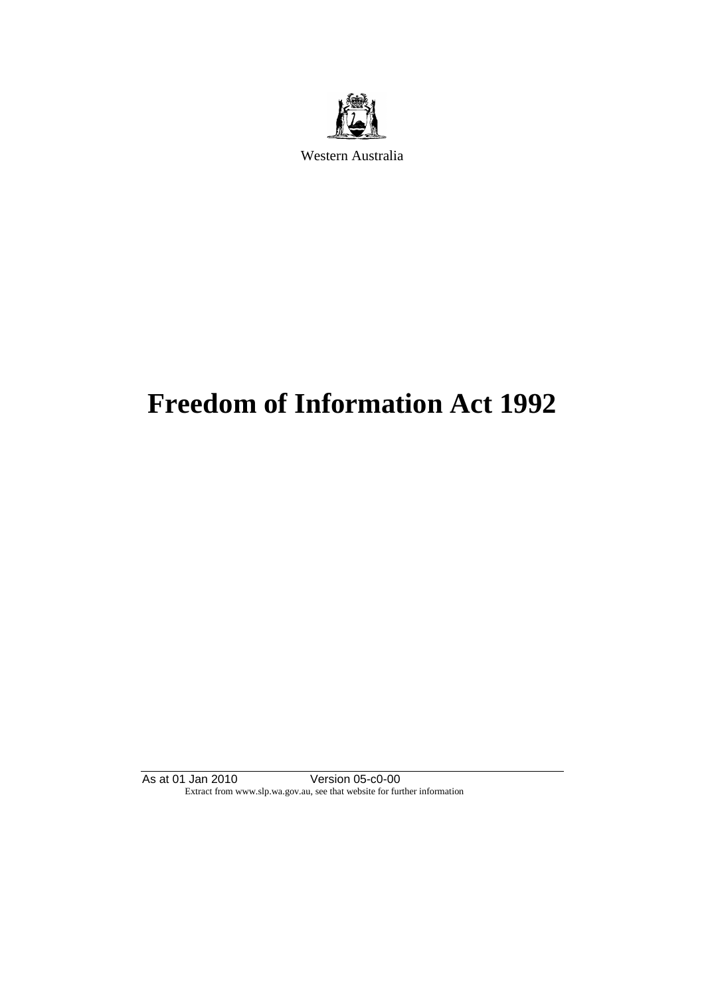

Western Australia

# **Freedom of Information Act 1992**

As at 01 Jan 2010 Version 05-c0-00 Extract from www.slp.wa.gov.au, see that website for further information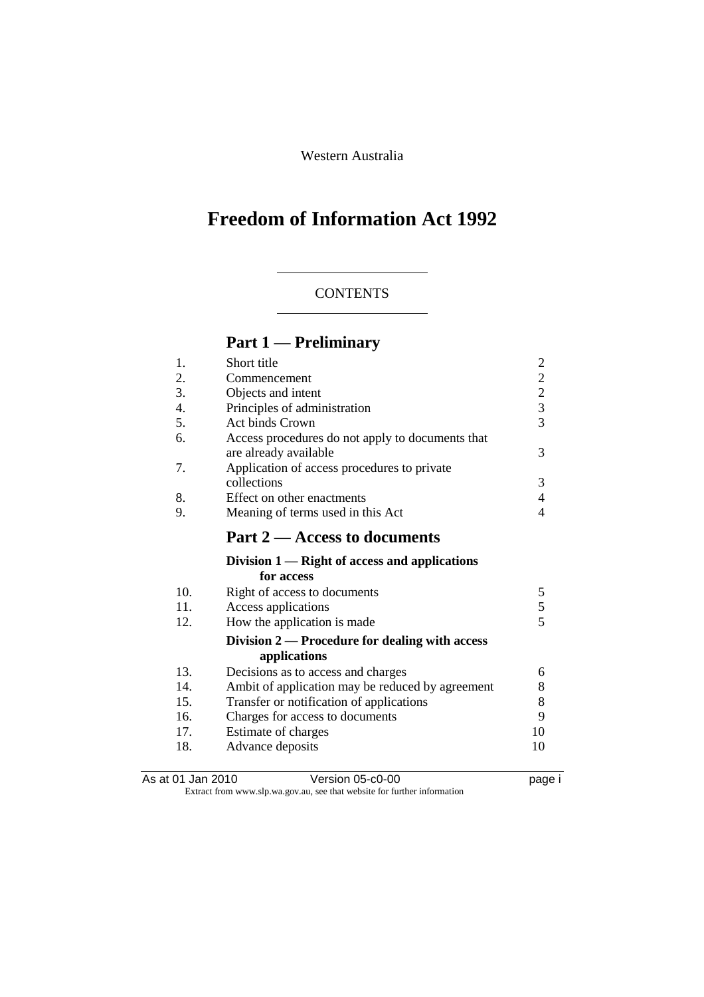Western Australia

# **Freedom of Information Act 1992**

### **CONTENTS**

# **Part 1 — Preliminary**

| 1.  | Short title                                      | $\overline{c}$                                  |
|-----|--------------------------------------------------|-------------------------------------------------|
| 2.  | Commencement                                     |                                                 |
| 3.  | Objects and intent                               | $\begin{array}{c} 2 \\ 2 \\ 3 \\ 3 \end{array}$ |
| 4.  | Principles of administration                     |                                                 |
| 5.  | <b>Act binds Crown</b>                           |                                                 |
| 6.  | Access procedures do not apply to documents that |                                                 |
|     | are already available                            | 3                                               |
| 7.  | Application of access procedures to private      |                                                 |
|     | collections                                      | 3                                               |
| 8.  | Effect on other enactments                       | $\overline{4}$                                  |
| 9.  | Meaning of terms used in this Act                | 4                                               |
|     | Part 2 – Access to documents                     |                                                 |
|     | Division $1$ — Right of access and applications  |                                                 |
|     | for access                                       |                                                 |
| 10. | Right of access to documents                     | 5                                               |
| 11. | Access applications                              | $rac{5}{5}$                                     |
| 12. | How the application is made                      |                                                 |
|     | Division 2 — Procedure for dealing with access   |                                                 |
|     | applications                                     |                                                 |
| 13. | Decisions as to access and charges               | 6                                               |
| 14. | Ambit of application may be reduced by agreement | 8                                               |
| 15. | Transfer or notification of applications         | 8                                               |
| 16. | Charges for access to documents                  | 9                                               |
| 17. | Estimate of charges                              | 10                                              |
| 18. | Advance deposits                                 | 10                                              |
|     |                                                  |                                                 |

As at 01 Jan 2010 **Version 05-c0-00 Demand Strategies** in the case of the page i Extract from www.slp.wa.gov.au, see that website for further information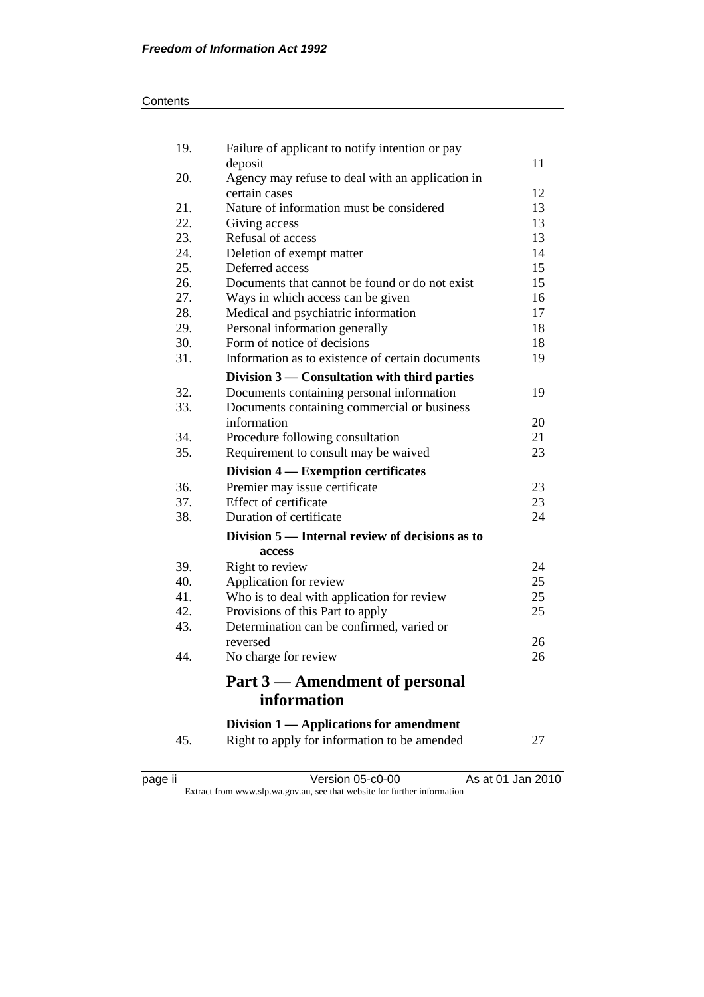| 19. | Failure of applicant to notify intention or pay                   |    |
|-----|-------------------------------------------------------------------|----|
| 20. | deposit                                                           | 11 |
|     | Agency may refuse to deal with an application in<br>certain cases | 12 |
| 21. | Nature of information must be considered                          | 13 |
| 22. | Giving access                                                     | 13 |
| 23. | Refusal of access                                                 | 13 |
| 24. | Deletion of exempt matter                                         | 14 |
| 25. | Deferred access                                                   | 15 |
| 26. | Documents that cannot be found or do not exist                    | 15 |
| 27. | Ways in which access can be given                                 | 16 |
| 28. | Medical and psychiatric information                               | 17 |
| 29. | Personal information generally                                    | 18 |
| 30. | Form of notice of decisions                                       | 18 |
| 31. | Information as to existence of certain documents                  | 19 |
|     | Division 3 — Consultation with third parties                      |    |
| 32. | Documents containing personal information                         | 19 |
| 33. | Documents containing commercial or business                       |    |
|     | information                                                       | 20 |
| 34. | Procedure following consultation                                  | 21 |
| 35. | Requirement to consult may be waived                              | 23 |
|     | Division 4 — Exemption certificates                               |    |
| 36. | Premier may issue certificate                                     | 23 |
| 37. | Effect of certificate                                             | 23 |
| 38. | Duration of certificate                                           | 24 |
|     | Division 5 — Internal review of decisions as to                   |    |
|     | access                                                            |    |
| 39. | Right to review                                                   | 24 |
| 40. | Application for review                                            | 25 |
| 41. | Who is to deal with application for review                        | 25 |
| 42. | Provisions of this Part to apply                                  | 25 |
| 43. | Determination can be confirmed, varied or                         |    |
|     | reversed                                                          | 26 |
| 44. | No charge for review                                              | 26 |
|     | Part 3 — Amendment of personal                                    |    |
|     | information                                                       |    |
|     | Division $1$ — Applications for amendment                         |    |
| 45. | Right to apply for information to be amended                      | 27 |
|     |                                                                   |    |

page ii Version 05-c0-00 As at 01 Jan 2010 Extract from www.slp.wa.gov.au, see that website for further information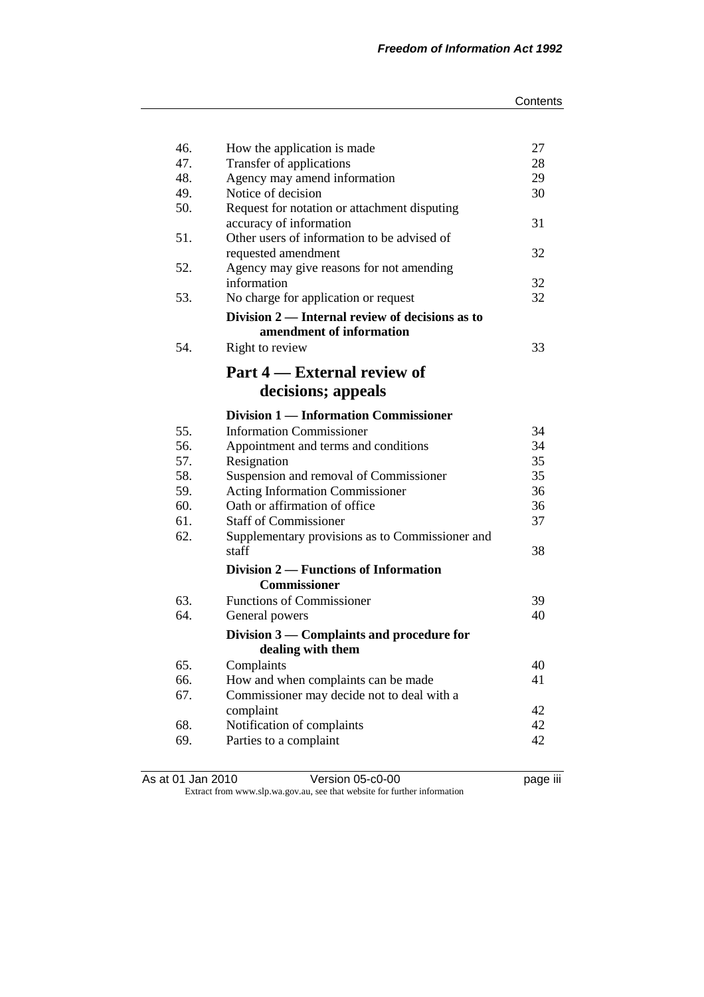| 46. | How the application is made                     | 27 |
|-----|-------------------------------------------------|----|
| 47. | Transfer of applications                        | 28 |
| 48. | Agency may amend information                    | 29 |
| 49. | Notice of decision                              | 30 |
| 50. | Request for notation or attachment disputing    |    |
|     | accuracy of information                         | 31 |
| 51. | Other users of information to be advised of     |    |
|     | requested amendment                             | 32 |
| 52. | Agency may give reasons for not amending        |    |
|     | information                                     | 32 |
| 53. | No charge for application or request            | 32 |
|     | Division 2 — Internal review of decisions as to |    |
|     | amendment of information                        |    |
| 54. | Right to review                                 | 33 |
|     | Part 4 — External review of                     |    |
|     | decisions; appeals                              |    |
|     | <b>Division 1 — Information Commissioner</b>    |    |
| 55. | <b>Information Commissioner</b>                 | 34 |
| 56. | Appointment and terms and conditions            | 34 |
| 57. | Resignation                                     | 35 |
| 58. | Suspension and removal of Commissioner          | 35 |
| 59. | <b>Acting Information Commissioner</b>          | 36 |
| 60. | Oath or affirmation of office                   | 36 |
| 61. | <b>Staff of Commissioner</b>                    | 37 |
| 62. | Supplementary provisions as to Commissioner and |    |
|     | staff                                           | 38 |
|     | Division 2 — Functions of Information           |    |
|     | <b>Commissioner</b>                             |    |
| 63. | <b>Functions of Commissioner</b>                | 39 |
| 64. | General powers                                  | 40 |
|     | Division 3 — Complaints and procedure for       |    |
|     | dealing with them                               |    |
| 65. | Complaints                                      | 40 |
| 66. | How and when complaints can be made             | 41 |
| 67. | Commissioner may decide not to deal with a      |    |
|     | complaint                                       | 42 |
| 68. | Notification of complaints                      | 42 |
| 69. | Parties to a complaint                          | 42 |

As at 01 Jan 2010 Version 05-c0-00 page iii Extract from www.slp.wa.gov.au, see that website for further information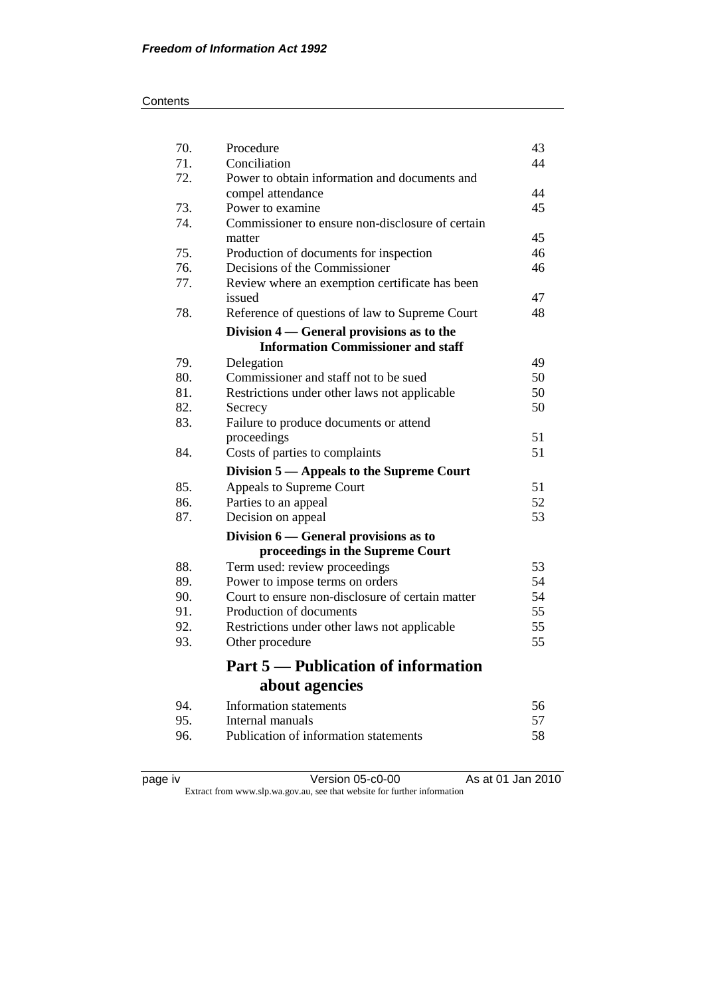| 70. | Procedure                                                | 43 |
|-----|----------------------------------------------------------|----|
| 71. | Conciliation                                             | 44 |
| 72. | Power to obtain information and documents and            |    |
|     | compel attendance                                        | 44 |
| 73. | Power to examine                                         | 45 |
| 74. | Commissioner to ensure non-disclosure of certain         |    |
|     | matter                                                   | 45 |
| 75. | Production of documents for inspection                   | 46 |
| 76. | Decisions of the Commissioner                            | 46 |
| 77. | Review where an exemption certificate has been<br>issued | 47 |
| 78. | Reference of questions of law to Supreme Court           | 48 |
|     | Division 4 — General provisions as to the                |    |
|     | <b>Information Commissioner and staff</b>                |    |
| 79. | Delegation                                               | 49 |
| 80. | Commissioner and staff not to be sued                    | 50 |
| 81. | Restrictions under other laws not applicable             | 50 |
| 82. | Secrecy                                                  | 50 |
| 83. | Failure to produce documents or attend                   |    |
|     | proceedings                                              | 51 |
| 84. | Costs of parties to complaints                           | 51 |
|     | Division 5 — Appeals to the Supreme Court                |    |
| 85. | Appeals to Supreme Court                                 | 51 |
| 86. | Parties to an appeal                                     | 52 |
| 87. | Decision on appeal                                       | 53 |
|     | Division 6 – General provisions as to                    |    |
|     | proceedings in the Supreme Court                         |    |
| 88. | Term used: review proceedings                            | 53 |
| 89. | Power to impose terms on orders                          | 54 |
| 90. | Court to ensure non-disclosure of certain matter         | 54 |
| 91. | Production of documents                                  | 55 |
| 92. | Restrictions under other laws not applicable             | 55 |
| 93. | Other procedure                                          | 55 |
|     | <b>Part 5 — Publication of information</b>               |    |
|     | about agencies                                           |    |
| 94. | Information statements                                   | 56 |
| 95. | Internal manuals                                         | 57 |
| 96. | Publication of information statements                    | 58 |
|     |                                                          |    |

page iv Version 05-c0-00 As at 01 Jan 2010

Extract from www.slp.wa.gov.au, see that website for further information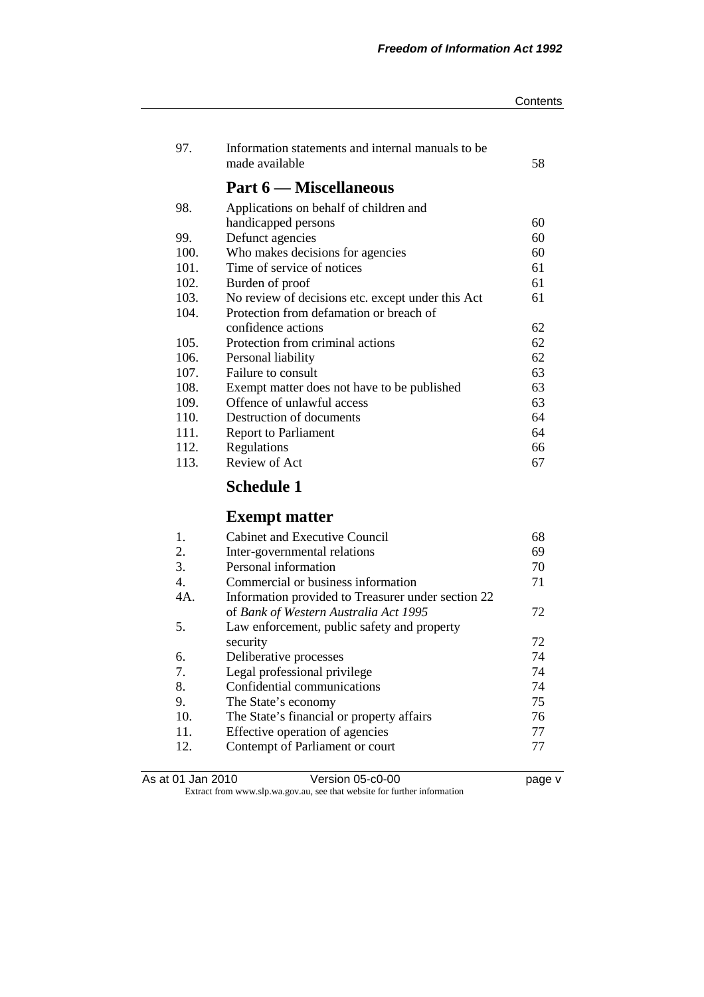| Contents |  |
|----------|--|
|----------|--|

| 97.  | Information statements and internal manuals to be<br>made available | 58 |
|------|---------------------------------------------------------------------|----|
|      | <b>Part 6 — Miscellaneous</b>                                       |    |
| 98.  | Applications on behalf of children and                              |    |
|      | handicapped persons                                                 | 60 |
| 99.  | Defunct agencies                                                    | 60 |
| 100. | Who makes decisions for agencies                                    | 60 |
| 101. | Time of service of notices                                          | 61 |
| 102. | Burden of proof                                                     | 61 |
| 103. | No review of decisions etc. except under this Act                   | 61 |
| 104. | Protection from defamation or breach of                             |    |
|      | confidence actions                                                  | 62 |
| 105. | Protection from criminal actions                                    | 62 |
| 106. | Personal liability                                                  | 62 |
| 107. | Failure to consult                                                  | 63 |
| 108. | Exempt matter does not have to be published                         | 63 |
| 109. | Offence of unlawful access                                          | 63 |
| 110. | Destruction of documents                                            | 64 |
| 111. | <b>Report to Parliament</b>                                         | 64 |
| 112. | Regulations                                                         | 66 |
| 113. | Review of Act                                                       | 67 |
|      | <b>Schedule 1</b>                                                   |    |

# **Exempt matter**

| 1.  | <b>Cabinet and Executive Council</b>               | 68 |
|-----|----------------------------------------------------|----|
| 2.  | Inter-governmental relations                       | 69 |
| 3.  | Personal information                               | 70 |
| 4.  | Commercial or business information                 | 71 |
| 4A. | Information provided to Treasurer under section 22 |    |
|     | of Bank of Western Australia Act 1995              | 72 |
| 5.  | Law enforcement, public safety and property        |    |
|     | security                                           | 72 |
| 6.  | Deliberative processes                             | 74 |
| 7.  | Legal professional privilege                       | 74 |
| 8.  | Confidential communications                        | 74 |
| 9.  | The State's economy                                | 75 |
| 10. | The State's financial or property affairs          | 76 |
| 11. | Effective operation of agencies                    | 77 |
| 12. | Contempt of Parliament or court                    | 77 |
|     |                                                    |    |

| As at 01 Jan 2010 | Version 05-c0-00                                                         |
|-------------------|--------------------------------------------------------------------------|
|                   | Extract from www.slp.wa.gov.au, see that website for further information |

page v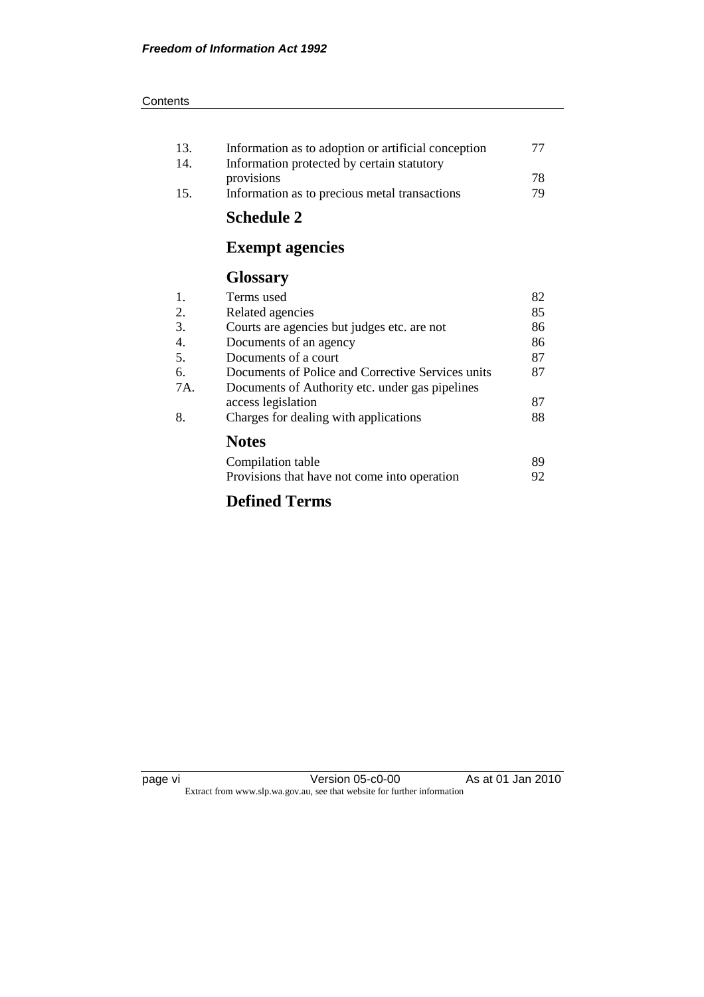| Information as to adoption or artificial conception | 77 |
|-----------------------------------------------------|----|
| Information protected by certain statutory          |    |
| provisions                                          | 78 |
| Information as to precious metal transactions       | 79 |
|                                                     |    |

# **Schedule 2**

# **Exempt agencies**

## **Glossary**

| 1.  | Terms used                                        | 82 |
|-----|---------------------------------------------------|----|
| 2.  | Related agencies                                  | 85 |
| 3.  | Courts are agencies but judges etc. are not       | 86 |
| 4.  | Documents of an agency                            | 86 |
| 5.  | Documents of a court                              | 87 |
| 6.  | Documents of Police and Corrective Services units | 87 |
| 7A. | Documents of Authority etc. under gas pipelines   |    |
|     | access legislation                                | 87 |
| 8.  | Charges for dealing with applications             | 88 |
|     | <b>Notes</b>                                      |    |
|     | Compilation table                                 | 89 |
|     | Provisions that have not come into operation      | 92 |

### **Defined Terms**

| лаае |    |
|------|----|
|      | vı |
|      |    |
|      |    |

 $Version 05- $\frac{1}{20}$$ Extract from www.slp.wa.gov.au, see that website for further information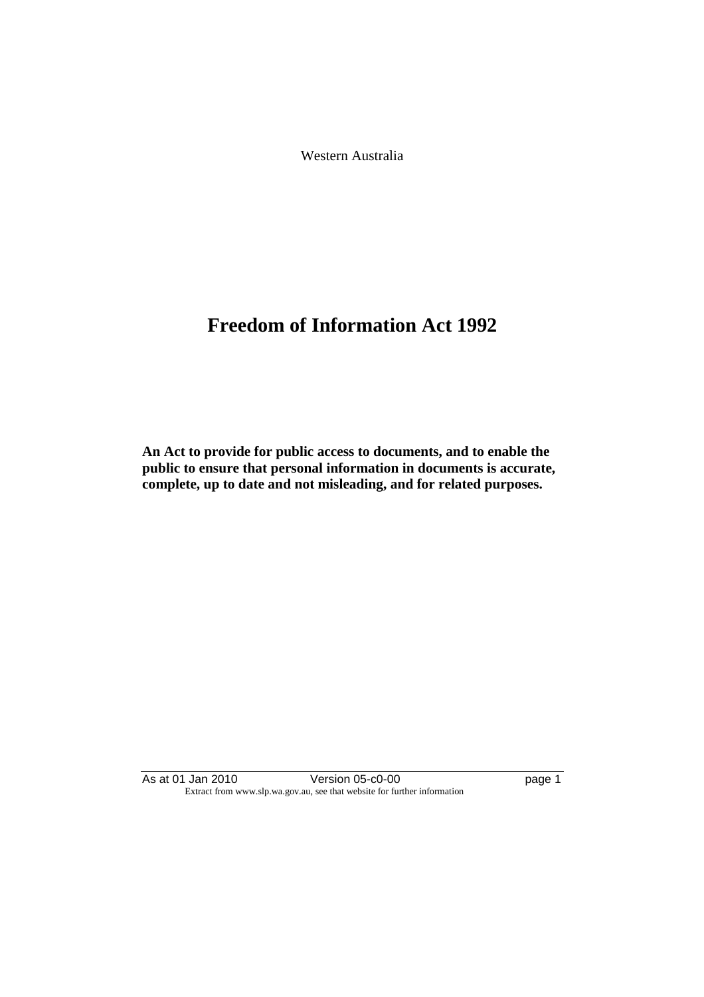Western Australia

# **Freedom of Information Act 1992**

**An Act to provide for public access to documents, and to enable the public to ensure that personal information in documents is accurate, complete, up to date and not misleading, and for related purposes.** 

As at 01 Jan 2010 **Version 05-c0-00 page 1** Extract from www.slp.wa.gov.au, see that website for further information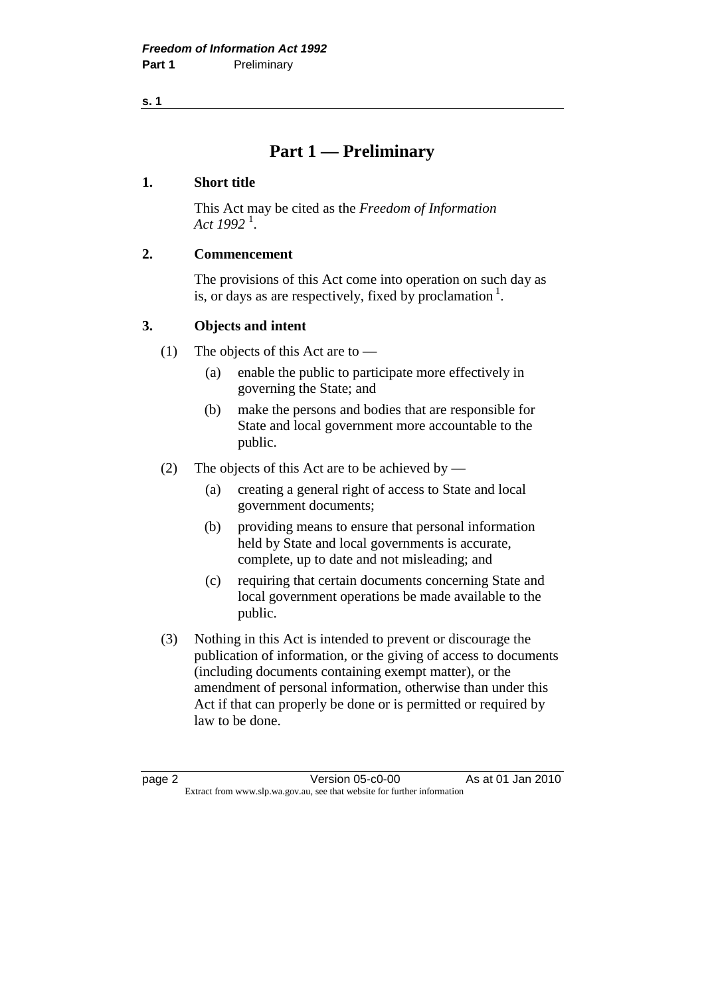## **Part 1 — Preliminary**

#### **1. Short title**

 This Act may be cited as the *Freedom of Information Act 1992* <sup>1</sup> .

#### **2. Commencement**

 The provisions of this Act come into operation on such day as is, or days as are respectively, fixed by proclamation  $<sup>1</sup>$ .</sup>

#### **3. Objects and intent**

- (1) The objects of this Act are to  $-$ 
	- (a) enable the public to participate more effectively in governing the State; and
	- (b) make the persons and bodies that are responsible for State and local government more accountable to the public.
- (2) The objects of this Act are to be achieved by
	- (a) creating a general right of access to State and local government documents;
	- (b) providing means to ensure that personal information held by State and local governments is accurate, complete, up to date and not misleading; and
	- (c) requiring that certain documents concerning State and local government operations be made available to the public.
- (3) Nothing in this Act is intended to prevent or discourage the publication of information, or the giving of access to documents (including documents containing exempt matter), or the amendment of personal information, otherwise than under this Act if that can properly be done or is permitted or required by law to be done.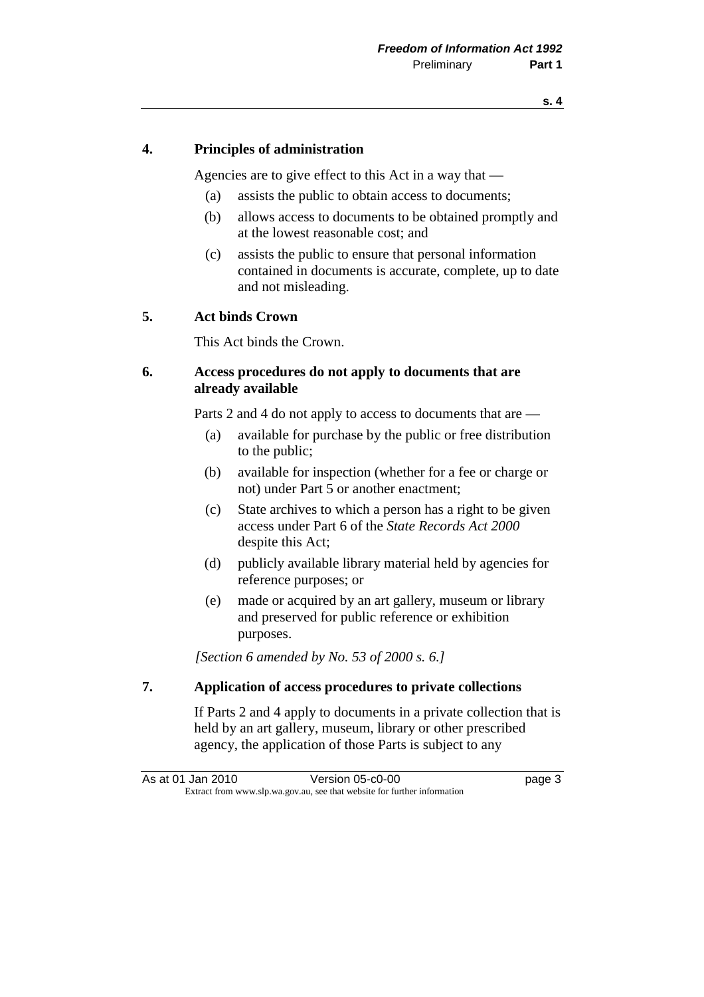#### **4. Principles of administration**

Agencies are to give effect to this Act in a way that —

- (a) assists the public to obtain access to documents;
- (b) allows access to documents to be obtained promptly and at the lowest reasonable cost; and
- (c) assists the public to ensure that personal information contained in documents is accurate, complete, up to date and not misleading.

#### **5. Act binds Crown**

This Act binds the Crown.

#### **6. Access procedures do not apply to documents that are already available**

Parts 2 and 4 do not apply to access to documents that are —

- (a) available for purchase by the public or free distribution to the public;
- (b) available for inspection (whether for a fee or charge or not) under Part 5 or another enactment;
- (c) State archives to which a person has a right to be given access under Part 6 of the *State Records Act 2000* despite this Act;
- (d) publicly available library material held by agencies for reference purposes; or
- (e) made or acquired by an art gallery, museum or library and preserved for public reference or exhibition purposes.

 *[Section 6 amended by No. 53 of 2000 s. 6.]* 

#### **7. Application of access procedures to private collections**

 If Parts 2 and 4 apply to documents in a private collection that is held by an art gallery, museum, library or other prescribed agency, the application of those Parts is subject to any

As at 01 Jan 2010 **Version 05-c0-00 page 3** Extract from www.slp.wa.gov.au, see that website for further information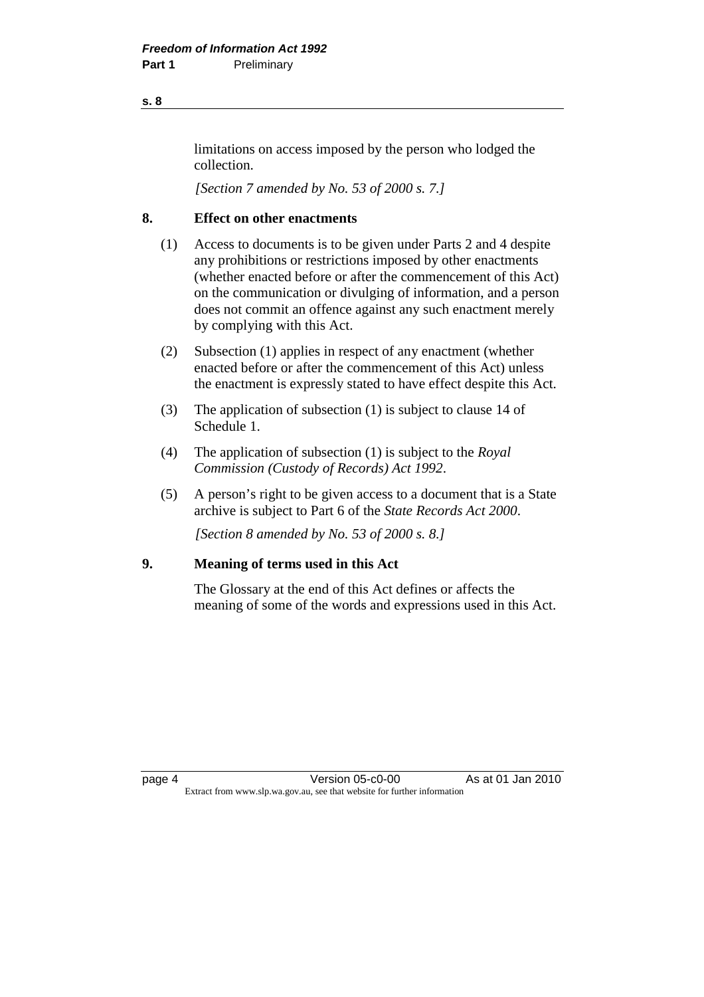limitations on access imposed by the person who lodged the collection.

 *[Section 7 amended by No. 53 of 2000 s. 7.]* 

#### **8. Effect on other enactments**

- (1) Access to documents is to be given under Parts 2 and 4 despite any prohibitions or restrictions imposed by other enactments (whether enacted before or after the commencement of this Act) on the communication or divulging of information, and a person does not commit an offence against any such enactment merely by complying with this Act.
- (2) Subsection (1) applies in respect of any enactment (whether enacted before or after the commencement of this Act) unless the enactment is expressly stated to have effect despite this Act.
- (3) The application of subsection (1) is subject to clause 14 of Schedule 1.
- (4) The application of subsection (1) is subject to the *Royal Commission (Custody of Records) Act 1992*.
- (5) A person's right to be given access to a document that is a State archive is subject to Part 6 of the *State Records Act 2000*.

 *[Section 8 amended by No. 53 of 2000 s. 8.]* 

#### **9. Meaning of terms used in this Act**

 The Glossary at the end of this Act defines or affects the meaning of some of the words and expressions used in this Act.

page 4 Version 05-c0-00 As at 01 Jan 2010 Extract from www.slp.wa.gov.au, see that website for further information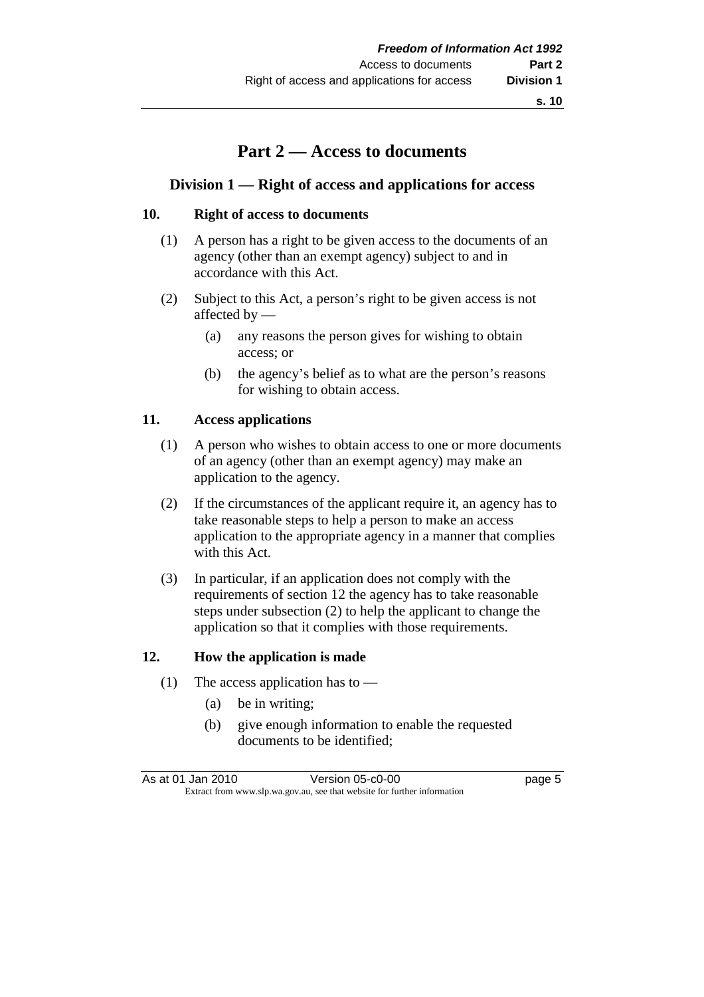### **Part 2 — Access to documents**

#### **Division 1 — Right of access and applications for access**

#### **10. Right of access to documents**

- (1) A person has a right to be given access to the documents of an agency (other than an exempt agency) subject to and in accordance with this Act.
- (2) Subject to this Act, a person's right to be given access is not affected by —
	- (a) any reasons the person gives for wishing to obtain access; or
	- (b) the agency's belief as to what are the person's reasons for wishing to obtain access.

#### **11. Access applications**

- (1) A person who wishes to obtain access to one or more documents of an agency (other than an exempt agency) may make an application to the agency.
- (2) If the circumstances of the applicant require it, an agency has to take reasonable steps to help a person to make an access application to the appropriate agency in a manner that complies with this Act.
- (3) In particular, if an application does not comply with the requirements of section 12 the agency has to take reasonable steps under subsection (2) to help the applicant to change the application so that it complies with those requirements.

#### **12. How the application is made**

- (1) The access application has to  $-$ 
	- (a) be in writing;
	- (b) give enough information to enable the requested documents to be identified;

As at 01 Jan 2010 **Version 05-c0-00 page 5** Extract from www.slp.wa.gov.au, see that website for further information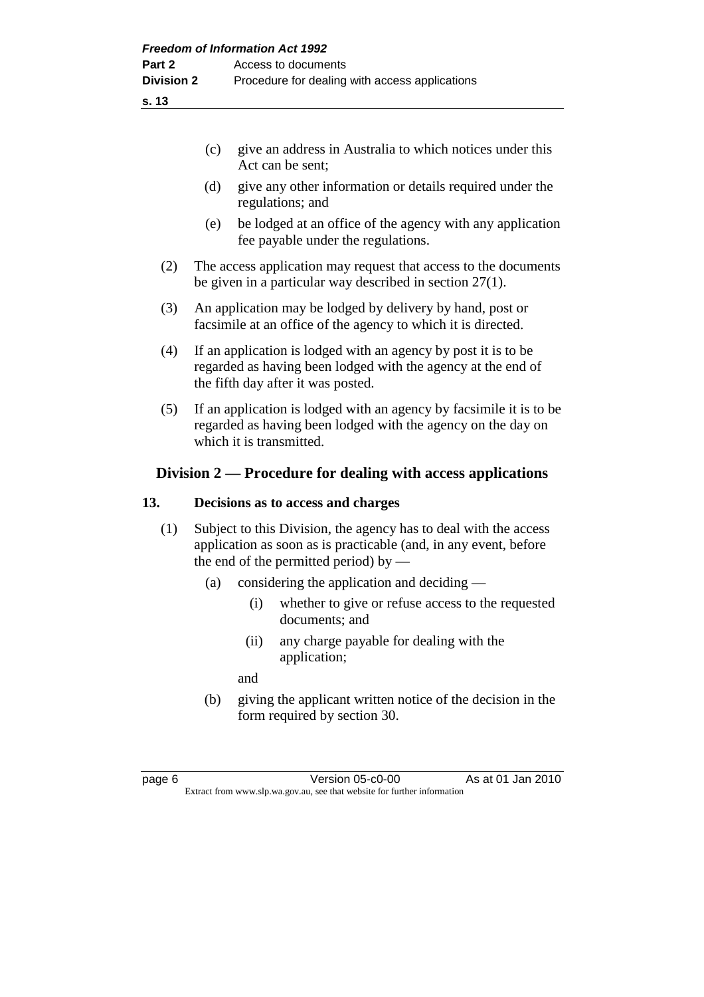| (c) give an address in Australia to which notices under this |
|--------------------------------------------------------------|
| Act can be sent;                                             |

- (d) give any other information or details required under the regulations; and
- (e) be lodged at an office of the agency with any application fee payable under the regulations.
- (2) The access application may request that access to the documents be given in a particular way described in section 27(1).
- (3) An application may be lodged by delivery by hand, post or facsimile at an office of the agency to which it is directed.
- (4) If an application is lodged with an agency by post it is to be regarded as having been lodged with the agency at the end of the fifth day after it was posted.
- (5) If an application is lodged with an agency by facsimile it is to be regarded as having been lodged with the agency on the day on which it is transmitted.

#### **Division 2 — Procedure for dealing with access applications**

#### **13. Decisions as to access and charges**

- (1) Subject to this Division, the agency has to deal with the access application as soon as is practicable (and, in any event, before the end of the permitted period) by  $-$ 
	- (a) considering the application and deciding
		- (i) whether to give or refuse access to the requested documents; and
		- (ii) any charge payable for dealing with the application;

and

 (b) giving the applicant written notice of the decision in the form required by section 30.

page 6 Version 05-c0-00 As at 01 Jan 2010 Extract from www.slp.wa.gov.au, see that website for further information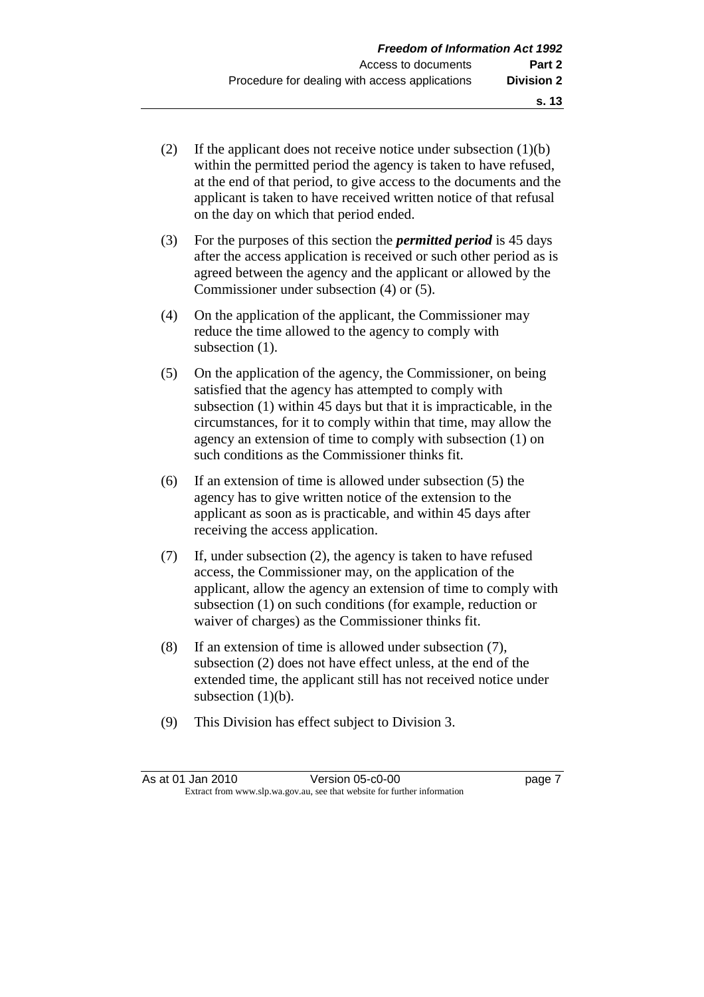- (2) If the applicant does not receive notice under subsection  $(1)(b)$ within the permitted period the agency is taken to have refused. at the end of that period, to give access to the documents and the applicant is taken to have received written notice of that refusal on the day on which that period ended.
- (3) For the purposes of this section the *permitted period* is 45 days after the access application is received or such other period as is agreed between the agency and the applicant or allowed by the Commissioner under subsection (4) or (5).
- (4) On the application of the applicant, the Commissioner may reduce the time allowed to the agency to comply with subsection  $(1)$ .
- (5) On the application of the agency, the Commissioner, on being satisfied that the agency has attempted to comply with subsection (1) within 45 days but that it is impracticable, in the circumstances, for it to comply within that time, may allow the agency an extension of time to comply with subsection (1) on such conditions as the Commissioner thinks fit.
- (6) If an extension of time is allowed under subsection (5) the agency has to give written notice of the extension to the applicant as soon as is practicable, and within 45 days after receiving the access application.
- (7) If, under subsection (2), the agency is taken to have refused access, the Commissioner may, on the application of the applicant, allow the agency an extension of time to comply with subsection (1) on such conditions (for example, reduction or waiver of charges) as the Commissioner thinks fit.
- (8) If an extension of time is allowed under subsection (7), subsection (2) does not have effect unless, at the end of the extended time, the applicant still has not received notice under subsection  $(1)(b)$ .
- (9) This Division has effect subject to Division 3.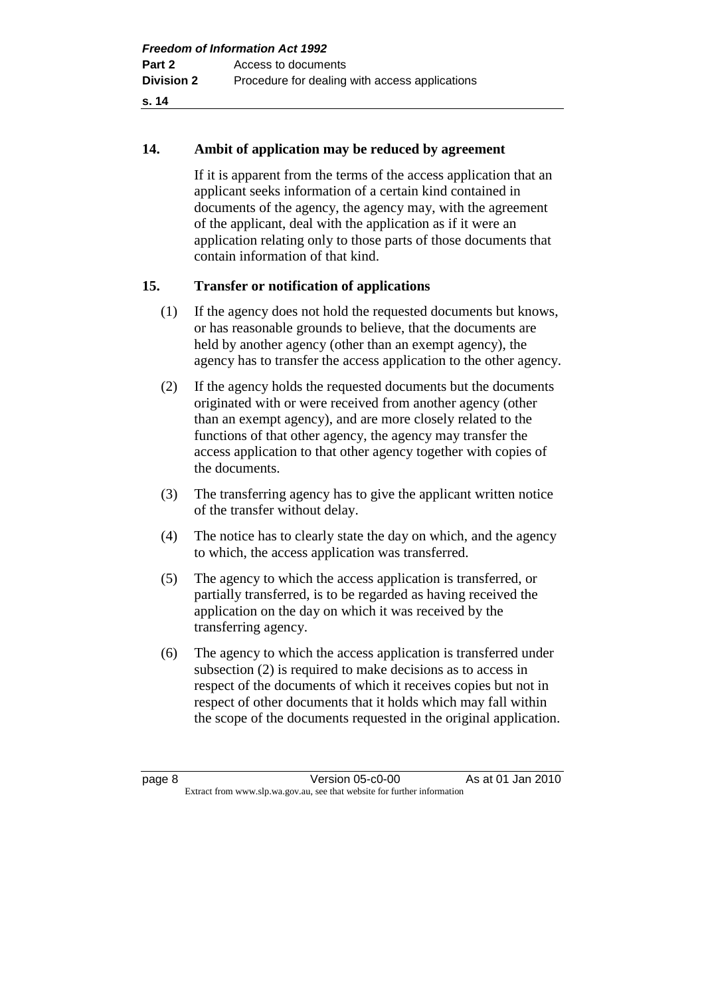#### **14. Ambit of application may be reduced by agreement**

 If it is apparent from the terms of the access application that an applicant seeks information of a certain kind contained in documents of the agency, the agency may, with the agreement of the applicant, deal with the application as if it were an application relating only to those parts of those documents that contain information of that kind.

#### **15. Transfer or notification of applications**

- (1) If the agency does not hold the requested documents but knows, or has reasonable grounds to believe, that the documents are held by another agency (other than an exempt agency), the agency has to transfer the access application to the other agency.
- (2) If the agency holds the requested documents but the documents originated with or were received from another agency (other than an exempt agency), and are more closely related to the functions of that other agency, the agency may transfer the access application to that other agency together with copies of the documents.
- (3) The transferring agency has to give the applicant written notice of the transfer without delay.
- (4) The notice has to clearly state the day on which, and the agency to which, the access application was transferred.
- (5) The agency to which the access application is transferred, or partially transferred, is to be regarded as having received the application on the day on which it was received by the transferring agency.
- (6) The agency to which the access application is transferred under subsection (2) is required to make decisions as to access in respect of the documents of which it receives copies but not in respect of other documents that it holds which may fall within the scope of the documents requested in the original application.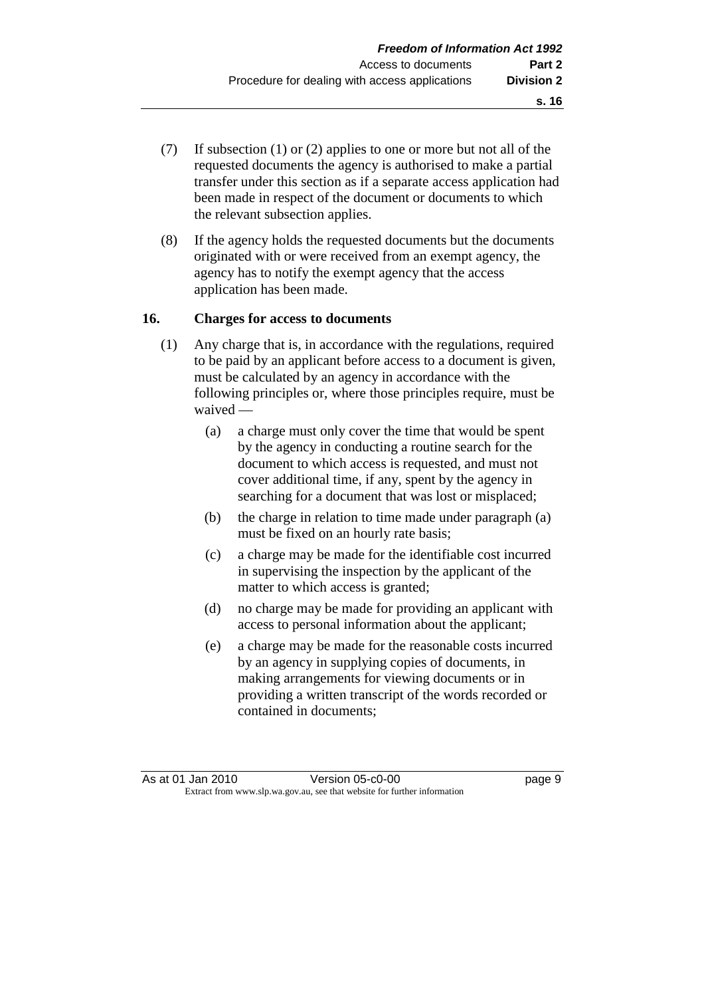- (7) If subsection (1) or (2) applies to one or more but not all of the requested documents the agency is authorised to make a partial transfer under this section as if a separate access application had been made in respect of the document or documents to which the relevant subsection applies.
- (8) If the agency holds the requested documents but the documents originated with or were received from an exempt agency, the agency has to notify the exempt agency that the access application has been made.

#### **16. Charges for access to documents**

- (1) Any charge that is, in accordance with the regulations, required to be paid by an applicant before access to a document is given, must be calculated by an agency in accordance with the following principles or, where those principles require, must be waived —
	- (a) a charge must only cover the time that would be spent by the agency in conducting a routine search for the document to which access is requested, and must not cover additional time, if any, spent by the agency in searching for a document that was lost or misplaced;
	- (b) the charge in relation to time made under paragraph (a) must be fixed on an hourly rate basis;
	- (c) a charge may be made for the identifiable cost incurred in supervising the inspection by the applicant of the matter to which access is granted;
	- (d) no charge may be made for providing an applicant with access to personal information about the applicant;
	- (e) a charge may be made for the reasonable costs incurred by an agency in supplying copies of documents, in making arrangements for viewing documents or in providing a written transcript of the words recorded or contained in documents;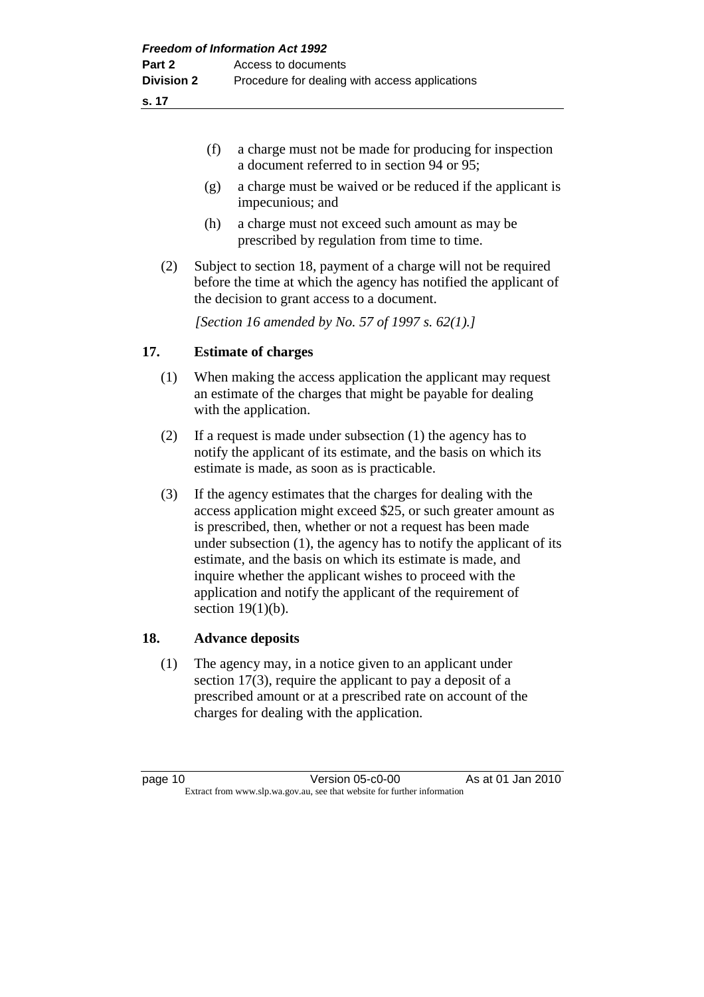**18.** 

|     | (f)<br>a charge must not be made for producing for inspection<br>a document referred to in section 94 or 95;                                                                                                                                                                                                                                                                                                                                                                              |  |  |
|-----|-------------------------------------------------------------------------------------------------------------------------------------------------------------------------------------------------------------------------------------------------------------------------------------------------------------------------------------------------------------------------------------------------------------------------------------------------------------------------------------------|--|--|
|     | a charge must be waived or be reduced if the applicant is<br>(g)<br>impecunious; and                                                                                                                                                                                                                                                                                                                                                                                                      |  |  |
|     | (h)<br>a charge must not exceed such amount as may be<br>prescribed by regulation from time to time.                                                                                                                                                                                                                                                                                                                                                                                      |  |  |
| (2) | Subject to section 18, payment of a charge will not be required<br>before the time at which the agency has notified the applicant of<br>the decision to grant access to a document.                                                                                                                                                                                                                                                                                                       |  |  |
|     | [Section 16 amended by No. 57 of 1997 s. 62(1).]                                                                                                                                                                                                                                                                                                                                                                                                                                          |  |  |
| 17. | <b>Estimate of charges</b>                                                                                                                                                                                                                                                                                                                                                                                                                                                                |  |  |
| (1) | When making the access application the applicant may request<br>an estimate of the charges that might be payable for dealing<br>with the application.                                                                                                                                                                                                                                                                                                                                     |  |  |
| (2) | If a request is made under subsection $(1)$ the agency has to<br>notify the applicant of its estimate, and the basis on which its<br>estimate is made, as soon as is practicable.                                                                                                                                                                                                                                                                                                         |  |  |
| (3) | If the agency estimates that the charges for dealing with the<br>access application might exceed \$25, or such greater amount as<br>is prescribed, then, whether or not a request has been made<br>under subsection $(1)$ , the agency has to notify the applicant of its<br>estimate, and the basis on which its estimate is made, and<br>inquire whether the applicant wishes to proceed with the<br>application and notify the applicant of the requirement of<br>section $19(1)(b)$ . |  |  |
| 18. | <b>Advance deposits</b>                                                                                                                                                                                                                                                                                                                                                                                                                                                                   |  |  |
| (1) | The agency may, in a notice given to an applicant under<br>section $17(3)$ , require the applicant to pay a deposit of a<br>prescribed amount or at a prescribed rate on account of the<br>charges for dealing with the application.                                                                                                                                                                                                                                                      |  |  |
|     |                                                                                                                                                                                                                                                                                                                                                                                                                                                                                           |  |  |

page 10 Version 05-c0-00 As at 01 Jan 2010 Extract from www.slp.wa.gov.au, see that website for further information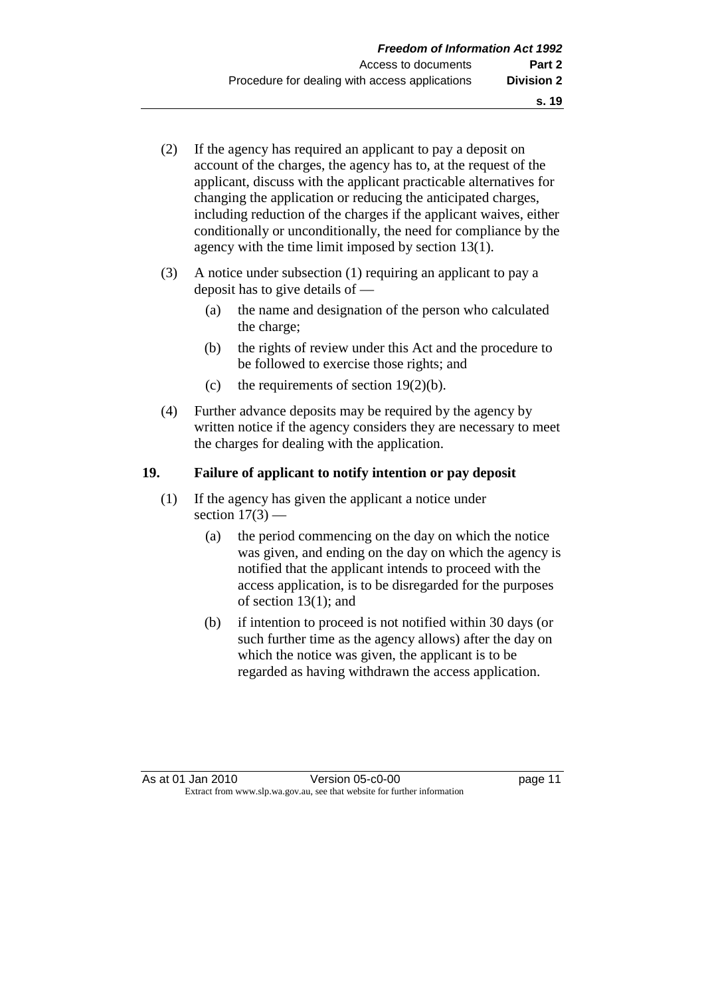- (2) If the agency has required an applicant to pay a deposit on account of the charges, the agency has to, at the request of the applicant, discuss with the applicant practicable alternatives for changing the application or reducing the anticipated charges, including reduction of the charges if the applicant waives, either conditionally or unconditionally, the need for compliance by the agency with the time limit imposed by section 13(1).
- (3) A notice under subsection (1) requiring an applicant to pay a deposit has to give details of —
	- (a) the name and designation of the person who calculated the charge;
	- (b) the rights of review under this Act and the procedure to be followed to exercise those rights; and
	- (c) the requirements of section  $19(2)(b)$ .
- (4) Further advance deposits may be required by the agency by written notice if the agency considers they are necessary to meet the charges for dealing with the application.

#### **19. Failure of applicant to notify intention or pay deposit**

- (1) If the agency has given the applicant a notice under section  $17(3)$  —
	- (a) the period commencing on the day on which the notice was given, and ending on the day on which the agency is notified that the applicant intends to proceed with the access application, is to be disregarded for the purposes of section 13(1); and
	- (b) if intention to proceed is not notified within 30 days (or such further time as the agency allows) after the day on which the notice was given, the applicant is to be regarded as having withdrawn the access application.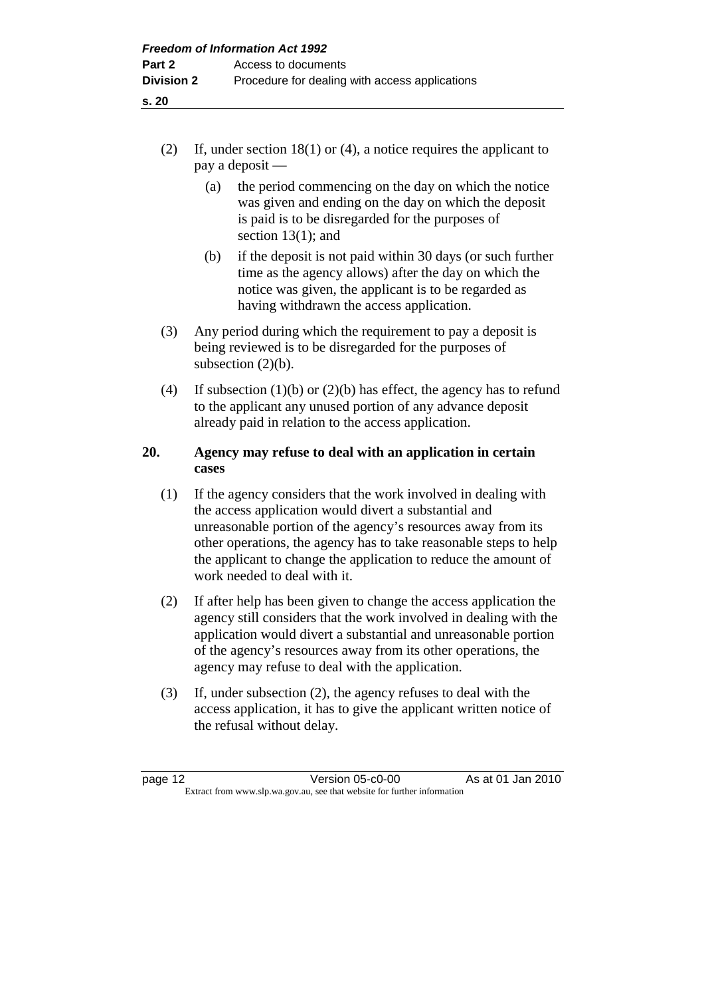- **s. 20** 
	- (2) If, under section 18(1) or (4), a notice requires the applicant to pay a deposit —
		- (a) the period commencing on the day on which the notice was given and ending on the day on which the deposit is paid is to be disregarded for the purposes of section 13(1); and
		- (b) if the deposit is not paid within 30 days (or such further time as the agency allows) after the day on which the notice was given, the applicant is to be regarded as having withdrawn the access application.
	- (3) Any period during which the requirement to pay a deposit is being reviewed is to be disregarded for the purposes of subsection  $(2)(b)$ .
	- (4) If subsection (1)(b) or (2)(b) has effect, the agency has to refund to the applicant any unused portion of any advance deposit already paid in relation to the access application.

#### **20. Agency may refuse to deal with an application in certain cases**

- (1) If the agency considers that the work involved in dealing with the access application would divert a substantial and unreasonable portion of the agency's resources away from its other operations, the agency has to take reasonable steps to help the applicant to change the application to reduce the amount of work needed to deal with it.
- (2) If after help has been given to change the access application the agency still considers that the work involved in dealing with the application would divert a substantial and unreasonable portion of the agency's resources away from its other operations, the agency may refuse to deal with the application.
- (3) If, under subsection (2), the agency refuses to deal with the access application, it has to give the applicant written notice of the refusal without delay.

page 12 Version 05-c0-00 As at 01 Jan 2010 Extract from www.slp.wa.gov.au, see that website for further information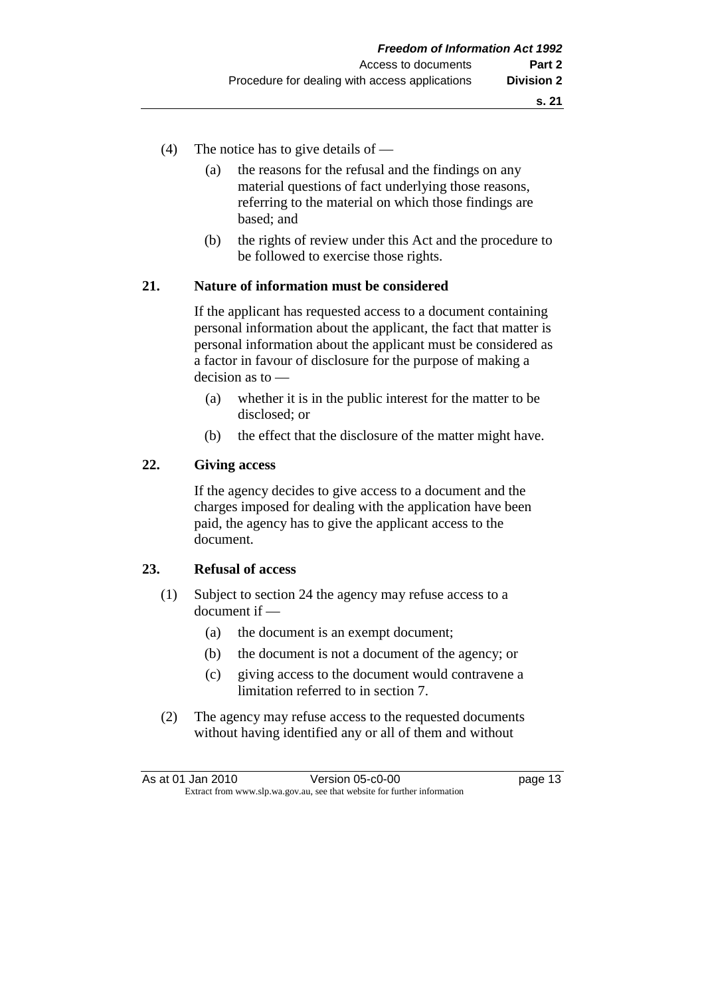- (4) The notice has to give details of
	- (a) the reasons for the refusal and the findings on any material questions of fact underlying those reasons, referring to the material on which those findings are based; and
	- (b) the rights of review under this Act and the procedure to be followed to exercise those rights.

#### **21. Nature of information must be considered**

 If the applicant has requested access to a document containing personal information about the applicant, the fact that matter is personal information about the applicant must be considered as a factor in favour of disclosure for the purpose of making a decision as to —

- (a) whether it is in the public interest for the matter to be disclosed; or
- (b) the effect that the disclosure of the matter might have.

#### **22. Giving access**

 If the agency decides to give access to a document and the charges imposed for dealing with the application have been paid, the agency has to give the applicant access to the document.

#### **23. Refusal of access**

- (1) Subject to section 24 the agency may refuse access to a document if —
	- (a) the document is an exempt document;
	- (b) the document is not a document of the agency; or
	- (c) giving access to the document would contravene a limitation referred to in section 7.
- (2) The agency may refuse access to the requested documents without having identified any or all of them and without

| As at 01 Jan 2010 | Version 05-c0-00                                                         | page 13 |
|-------------------|--------------------------------------------------------------------------|---------|
|                   | Extract from www.slp.wa.gov.au, see that website for further information |         |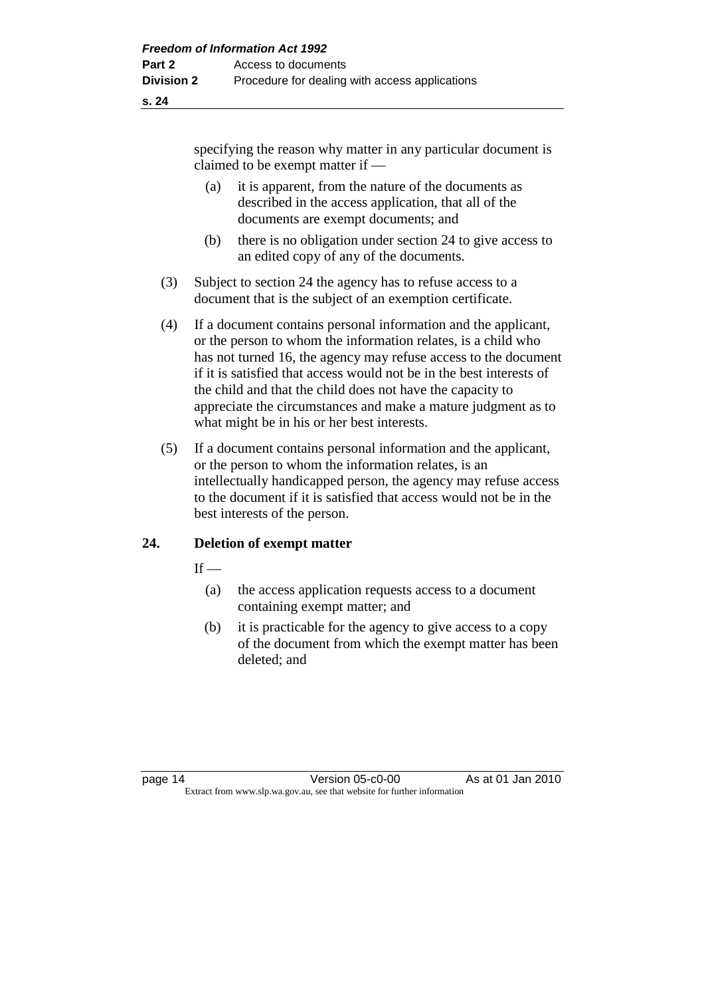specifying the reason why matter in any particular document is claimed to be exempt matter if —

- (a) it is apparent, from the nature of the documents as described in the access application, that all of the documents are exempt documents; and
- (b) there is no obligation under section 24 to give access to an edited copy of any of the documents.
- (3) Subject to section 24 the agency has to refuse access to a document that is the subject of an exemption certificate.
- (4) If a document contains personal information and the applicant, or the person to whom the information relates, is a child who has not turned 16, the agency may refuse access to the document if it is satisfied that access would not be in the best interests of the child and that the child does not have the capacity to appreciate the circumstances and make a mature judgment as to what might be in his or her best interests.
- (5) If a document contains personal information and the applicant, or the person to whom the information relates, is an intellectually handicapped person, the agency may refuse access to the document if it is satisfied that access would not be in the best interests of the person.

#### **24. Deletion of exempt matter**

 $If -$ 

- (a) the access application requests access to a document containing exempt matter; and
- (b) it is practicable for the agency to give access to a copy of the document from which the exempt matter has been deleted; and

page 14 Version 05-c0-00 As at 01 Jan 2010 Extract from www.slp.wa.gov.au, see that website for further information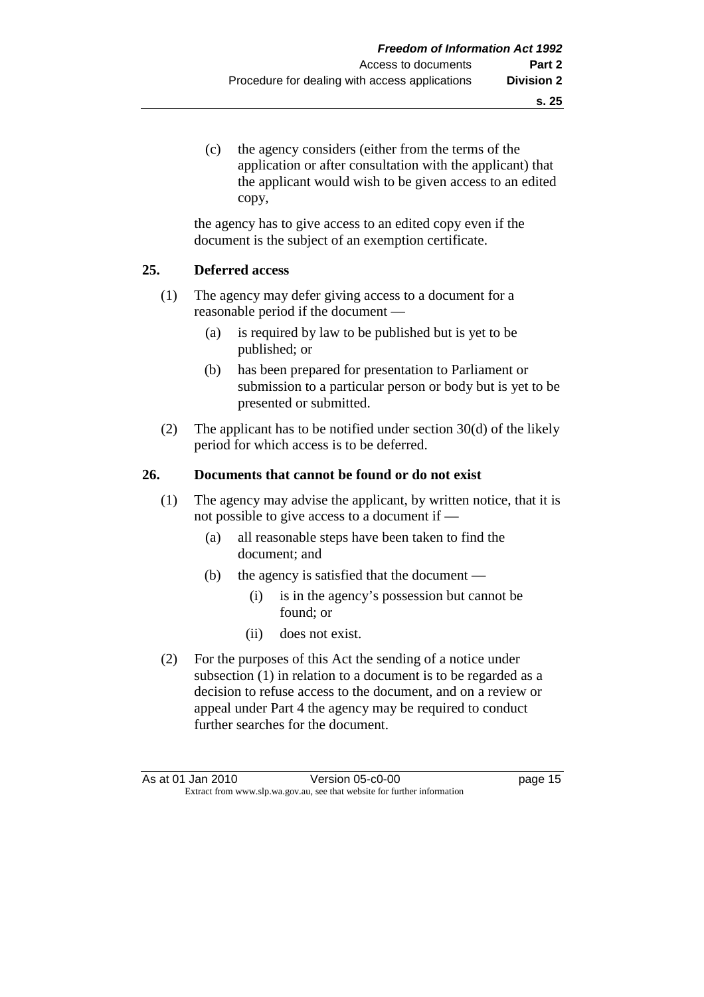(c) the agency considers (either from the terms of the application or after consultation with the applicant) that the applicant would wish to be given access to an edited copy,

 the agency has to give access to an edited copy even if the document is the subject of an exemption certificate.

#### **25. Deferred access**

- (1) The agency may defer giving access to a document for a reasonable period if the document —
	- (a) is required by law to be published but is yet to be published; or
	- (b) has been prepared for presentation to Parliament or submission to a particular person or body but is yet to be presented or submitted.
- (2) The applicant has to be notified under section  $30(d)$  of the likely period for which access is to be deferred.

#### **26. Documents that cannot be found or do not exist**

- (1) The agency may advise the applicant, by written notice, that it is not possible to give access to a document if —
	- (a) all reasonable steps have been taken to find the document; and
	- (b) the agency is satisfied that the document
		- (i) is in the agency's possession but cannot be found; or
		- (ii) does not exist.
- (2) For the purposes of this Act the sending of a notice under subsection (1) in relation to a document is to be regarded as a decision to refuse access to the document, and on a review or appeal under Part 4 the agency may be required to conduct further searches for the document.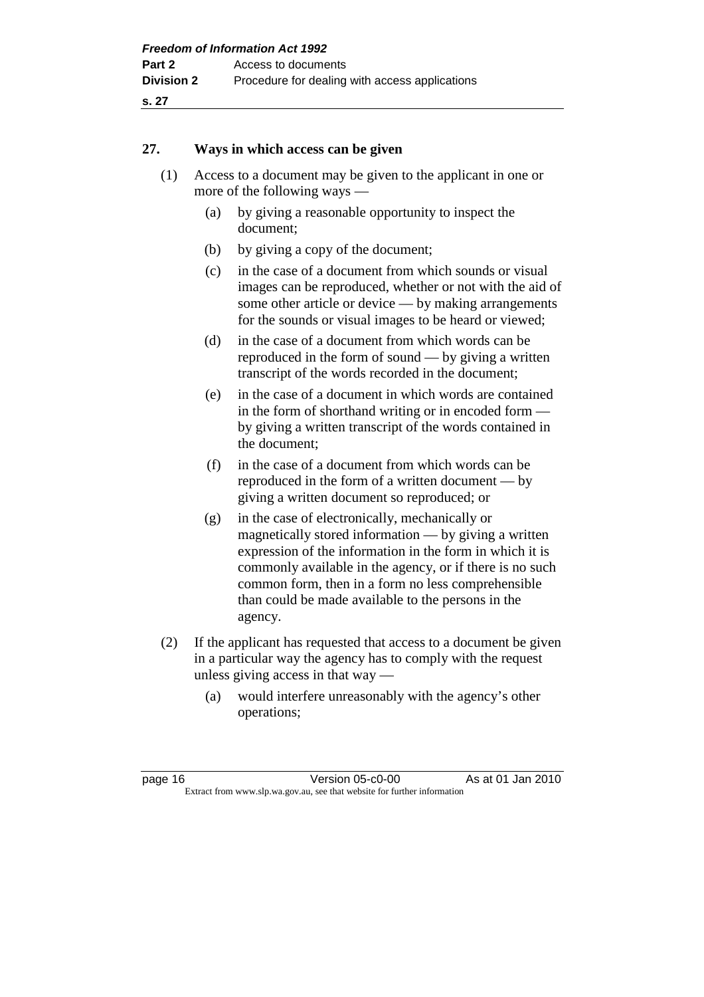#### **27. Ways in which access can be given**

- (1) Access to a document may be given to the applicant in one or more of the following ways —
	- (a) by giving a reasonable opportunity to inspect the document;
	- (b) by giving a copy of the document;
	- (c) in the case of a document from which sounds or visual images can be reproduced, whether or not with the aid of some other article or device — by making arrangements for the sounds or visual images to be heard or viewed;
	- (d) in the case of a document from which words can be reproduced in the form of sound — by giving a written transcript of the words recorded in the document;
	- (e) in the case of a document in which words are contained in the form of shorthand writing or in encoded form by giving a written transcript of the words contained in the document;
	- (f) in the case of a document from which words can be reproduced in the form of a written document — by giving a written document so reproduced; or
	- (g) in the case of electronically, mechanically or magnetically stored information — by giving a written expression of the information in the form in which it is commonly available in the agency, or if there is no such common form, then in a form no less comprehensible than could be made available to the persons in the agency.
- (2) If the applicant has requested that access to a document be given in a particular way the agency has to comply with the request unless giving access in that way —
	- (a) would interfere unreasonably with the agency's other operations;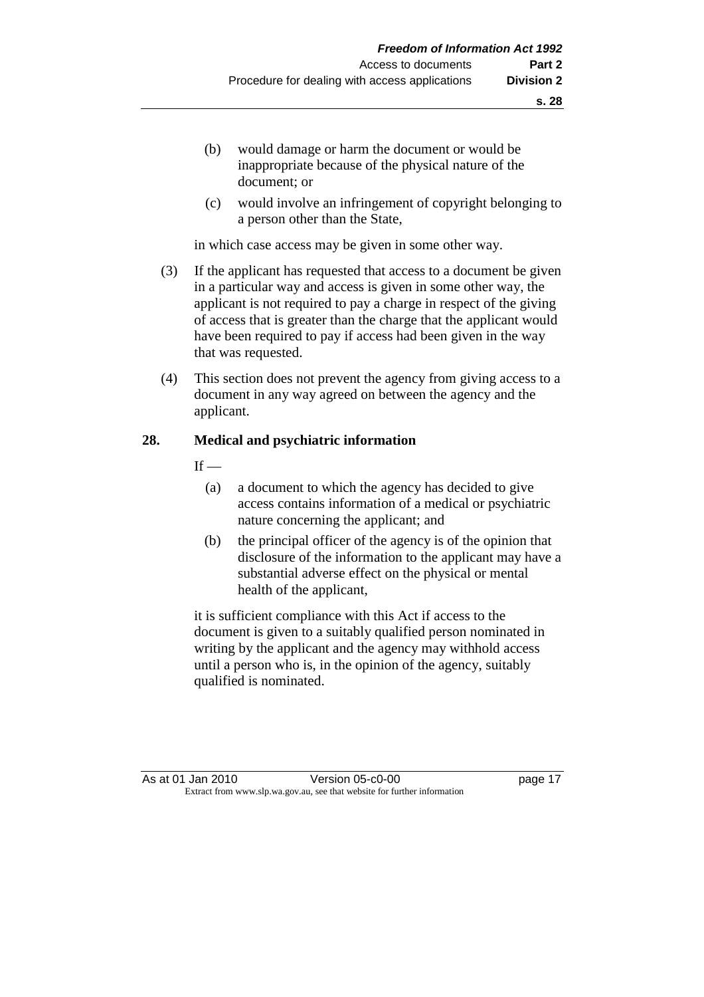- (b) would damage or harm the document or would be inappropriate because of the physical nature of the document; or
- (c) would involve an infringement of copyright belonging to a person other than the State,

in which case access may be given in some other way.

- (3) If the applicant has requested that access to a document be given in a particular way and access is given in some other way, the applicant is not required to pay a charge in respect of the giving of access that is greater than the charge that the applicant would have been required to pay if access had been given in the way that was requested.
- (4) This section does not prevent the agency from giving access to a document in any way agreed on between the agency and the applicant.

#### **28. Medical and psychiatric information**

 $If -$ 

- (a) a document to which the agency has decided to give access contains information of a medical or psychiatric nature concerning the applicant; and
- (b) the principal officer of the agency is of the opinion that disclosure of the information to the applicant may have a substantial adverse effect on the physical or mental health of the applicant,

 it is sufficient compliance with this Act if access to the document is given to a suitably qualified person nominated in writing by the applicant and the agency may withhold access until a person who is, in the opinion of the agency, suitably qualified is nominated.

As at 01 Jan 2010 **Version 05-c0-00 Dage 17** Extract from www.slp.wa.gov.au, see that website for further information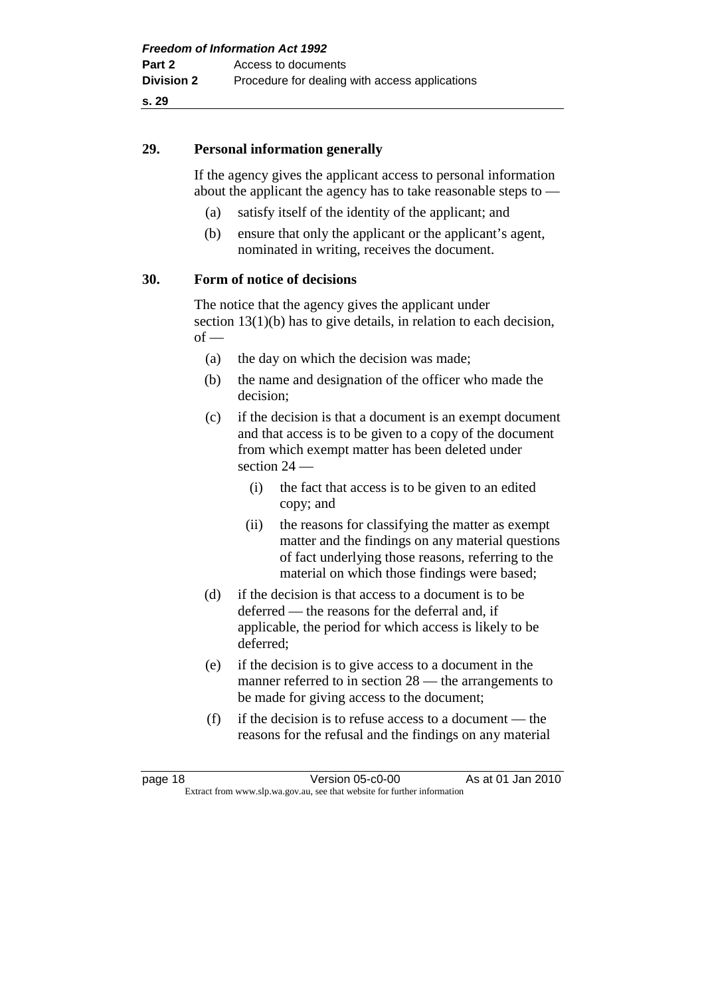#### **29. Personal information generally**

 If the agency gives the applicant access to personal information about the applicant the agency has to take reasonable steps to —

- (a) satisfy itself of the identity of the applicant; and
- (b) ensure that only the applicant or the applicant's agent, nominated in writing, receives the document.

#### **30. Form of notice of decisions**

 The notice that the agency gives the applicant under section 13(1)(b) has to give details, in relation to each decision,  $of -$ 

- (a) the day on which the decision was made;
- (b) the name and designation of the officer who made the decision;
- (c) if the decision is that a document is an exempt document and that access is to be given to a copy of the document from which exempt matter has been deleted under section 24 —
	- (i) the fact that access is to be given to an edited copy; and
	- (ii) the reasons for classifying the matter as exempt matter and the findings on any material questions of fact underlying those reasons, referring to the material on which those findings were based;
- (d) if the decision is that access to a document is to be deferred — the reasons for the deferral and, if applicable, the period for which access is likely to be deferred;
- (e) if the decision is to give access to a document in the manner referred to in section 28 — the arrangements to be made for giving access to the document;
- (f) if the decision is to refuse access to a document the reasons for the refusal and the findings on any material

| page 18 | Version 05-c0-00                                                         | As at 01 Jan 2010 |
|---------|--------------------------------------------------------------------------|-------------------|
|         | Extract from www.slp.wa.gov.au, see that website for further information |                   |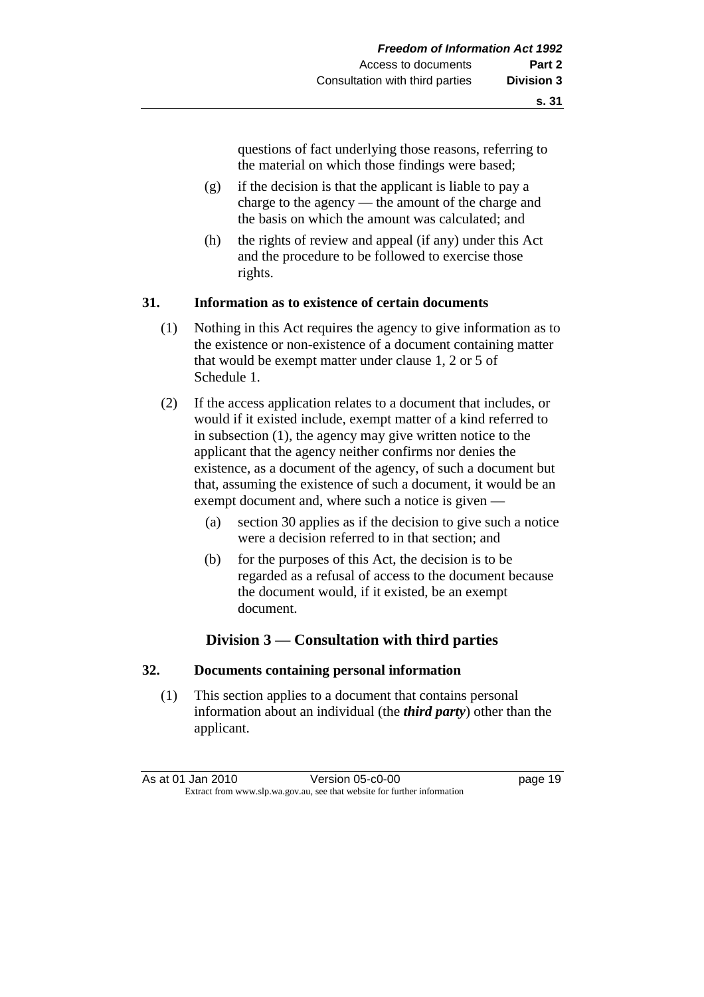questions of fact underlying those reasons, referring to the material on which those findings were based;

- (g) if the decision is that the applicant is liable to pay a charge to the agency — the amount of the charge and the basis on which the amount was calculated; and
- (h) the rights of review and appeal (if any) under this Act and the procedure to be followed to exercise those rights.

#### **31. Information as to existence of certain documents**

- (1) Nothing in this Act requires the agency to give information as to the existence or non-existence of a document containing matter that would be exempt matter under clause 1, 2 or 5 of Schedule 1.
- (2) If the access application relates to a document that includes, or would if it existed include, exempt matter of a kind referred to in subsection (1), the agency may give written notice to the applicant that the agency neither confirms nor denies the existence, as a document of the agency, of such a document but that, assuming the existence of such a document, it would be an exempt document and, where such a notice is given —
	- (a) section 30 applies as if the decision to give such a notice were a decision referred to in that section; and
	- (b) for the purposes of this Act, the decision is to be regarded as a refusal of access to the document because the document would, if it existed, be an exempt document.

#### **Division 3 — Consultation with third parties**

#### **32. Documents containing personal information**

 (1) This section applies to a document that contains personal information about an individual (the *third party*) other than the applicant.

As at 01 Jan 2010 Version 05-c0-00 page 19 Extract from www.slp.wa.gov.au, see that website for further information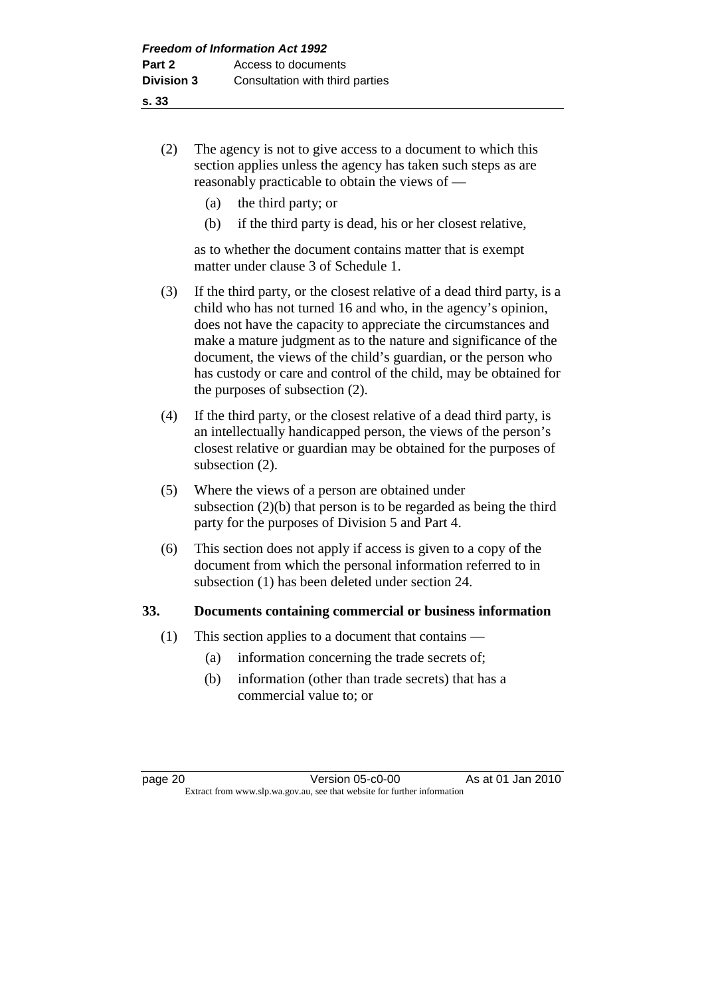- (2) The agency is not to give access to a document to which this section applies unless the agency has taken such steps as are reasonably practicable to obtain the views of —
	- (a) the third party; or
	- (b) if the third party is dead, his or her closest relative,

 as to whether the document contains matter that is exempt matter under clause 3 of Schedule 1.

- (3) If the third party, or the closest relative of a dead third party, is a child who has not turned 16 and who, in the agency's opinion, does not have the capacity to appreciate the circumstances and make a mature judgment as to the nature and significance of the document, the views of the child's guardian, or the person who has custody or care and control of the child, may be obtained for the purposes of subsection (2).
- (4) If the third party, or the closest relative of a dead third party, is an intellectually handicapped person, the views of the person's closest relative or guardian may be obtained for the purposes of subsection (2).
- (5) Where the views of a person are obtained under subsection (2)(b) that person is to be regarded as being the third party for the purposes of Division 5 and Part 4.
- (6) This section does not apply if access is given to a copy of the document from which the personal information referred to in subsection (1) has been deleted under section 24.

#### **33. Documents containing commercial or business information**

- (1) This section applies to a document that contains
	- (a) information concerning the trade secrets of;
	- (b) information (other than trade secrets) that has a commercial value to; or

page 20 Version 05-c0-00 As at 01 Jan 2010 Extract from www.slp.wa.gov.au, see that website for further information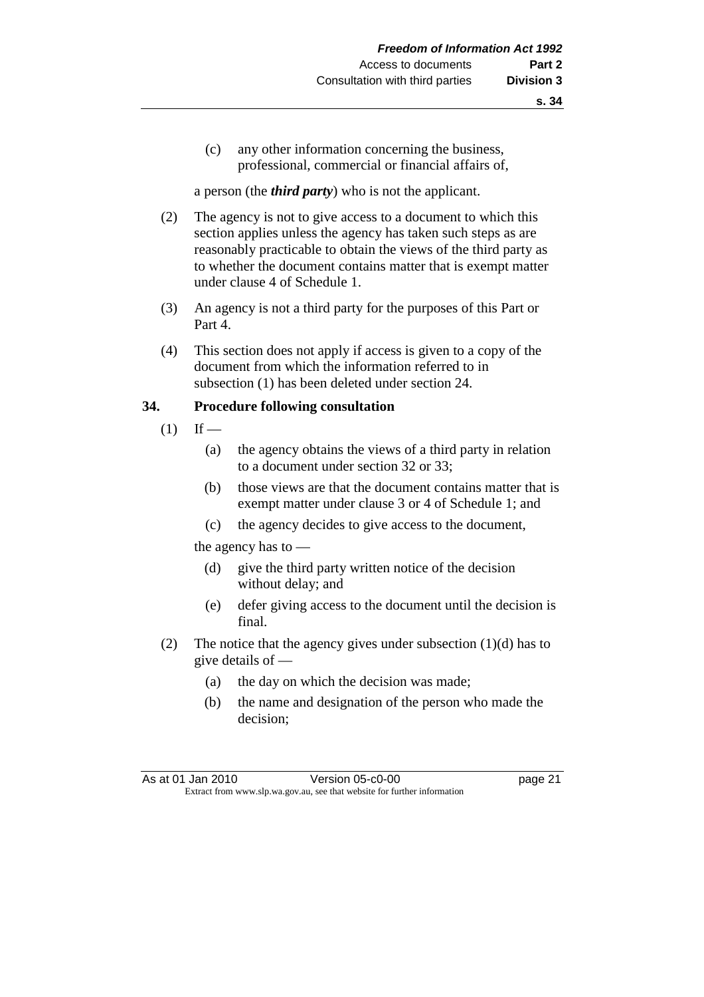(c) any other information concerning the business, professional, commercial or financial affairs of,

a person (the *third party*) who is not the applicant.

- (2) The agency is not to give access to a document to which this section applies unless the agency has taken such steps as are reasonably practicable to obtain the views of the third party as to whether the document contains matter that is exempt matter under clause 4 of Schedule 1.
- (3) An agency is not a third party for the purposes of this Part or Part 4.
- (4) This section does not apply if access is given to a copy of the document from which the information referred to in subsection (1) has been deleted under section 24.

#### **34. Procedure following consultation**

- $(1)$  If
	- (a) the agency obtains the views of a third party in relation to a document under section 32 or 33;
	- (b) those views are that the document contains matter that is exempt matter under clause 3 or 4 of Schedule 1; and
	- (c) the agency decides to give access to the document,

the agency has to —

- (d) give the third party written notice of the decision without delay; and
- (e) defer giving access to the document until the decision is final.
- (2) The notice that the agency gives under subsection (1)(d) has to give details of —
	- (a) the day on which the decision was made;
	- (b) the name and designation of the person who made the decision;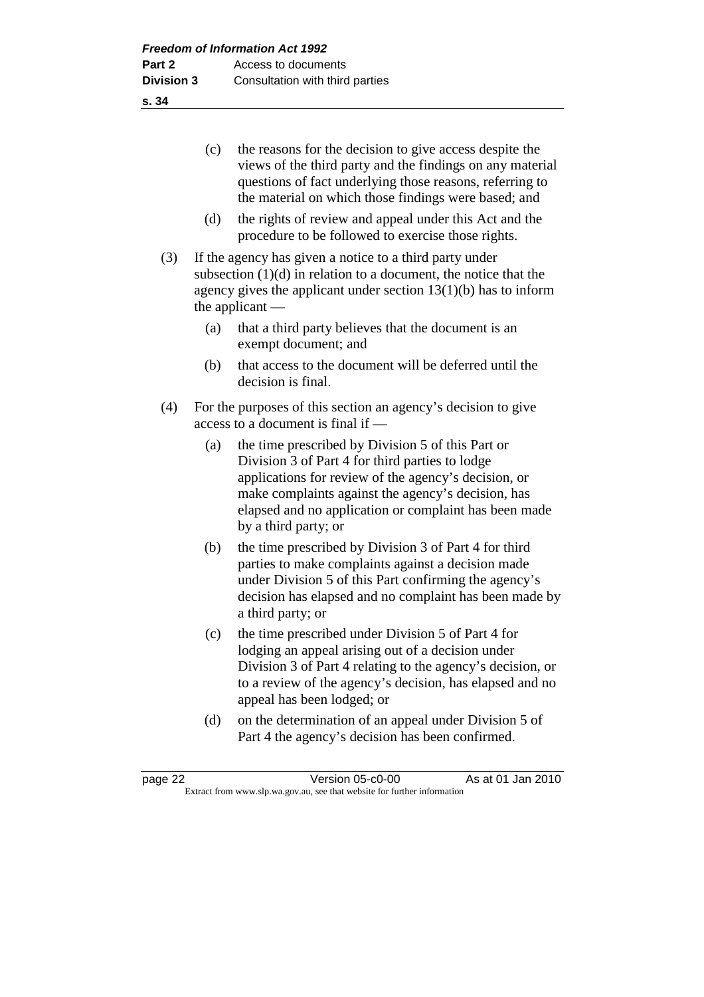|     | (c)                                                                                                 | the reasons for the decision to give access despite the<br>views of the third party and the findings on any material<br>questions of fact underlying those reasons, referring to<br>the material on which those findings were based; and                                                            |  |  |  |
|-----|-----------------------------------------------------------------------------------------------------|-----------------------------------------------------------------------------------------------------------------------------------------------------------------------------------------------------------------------------------------------------------------------------------------------------|--|--|--|
|     | (d)                                                                                                 | the rights of review and appeal under this Act and the<br>procedure to be followed to exercise those rights.                                                                                                                                                                                        |  |  |  |
| (3) |                                                                                                     | If the agency has given a notice to a third party under<br>subsection $(1)(d)$ in relation to a document, the notice that the<br>agency gives the applicant under section $13(1)(b)$ has to inform<br>the applicant -                                                                               |  |  |  |
|     | (a)                                                                                                 | that a third party believes that the document is an<br>exempt document; and                                                                                                                                                                                                                         |  |  |  |
|     | (b)                                                                                                 | that access to the document will be deferred until the<br>decision is final.                                                                                                                                                                                                                        |  |  |  |
| (4) | For the purposes of this section an agency's decision to give<br>access to a document is final if - |                                                                                                                                                                                                                                                                                                     |  |  |  |
|     | (a)                                                                                                 | the time prescribed by Division 5 of this Part or<br>Division 3 of Part 4 for third parties to lodge<br>applications for review of the agency's decision, or<br>make complaints against the agency's decision, has<br>elapsed and no application or complaint has been made<br>by a third party; or |  |  |  |
|     | (b)                                                                                                 | the time prescribed by Division 3 of Part 4 for third<br>parties to make complaints against a decision made<br>under Division 5 of this Part confirming the agency's<br>decision has elapsed and no complaint has been made by<br>a third party; or                                                 |  |  |  |
|     | (c)                                                                                                 | the time prescribed under Division 5 of Part 4 for<br>lodging an appeal arising out of a decision under<br>Division 3 of Part 4 relating to the agency's decision, or<br>to a review of the agency's decision, has elapsed and no<br>appeal has been lodged; or                                     |  |  |  |
|     | (d)                                                                                                 | on the determination of an appeal under Division 5 of<br>Part 4 the agency's decision has been confirmed.                                                                                                                                                                                           |  |  |  |

page 22 Version 05-c0-00 As at 01 Jan 2010 Extract from www.slp.wa.gov.au, see that website for further information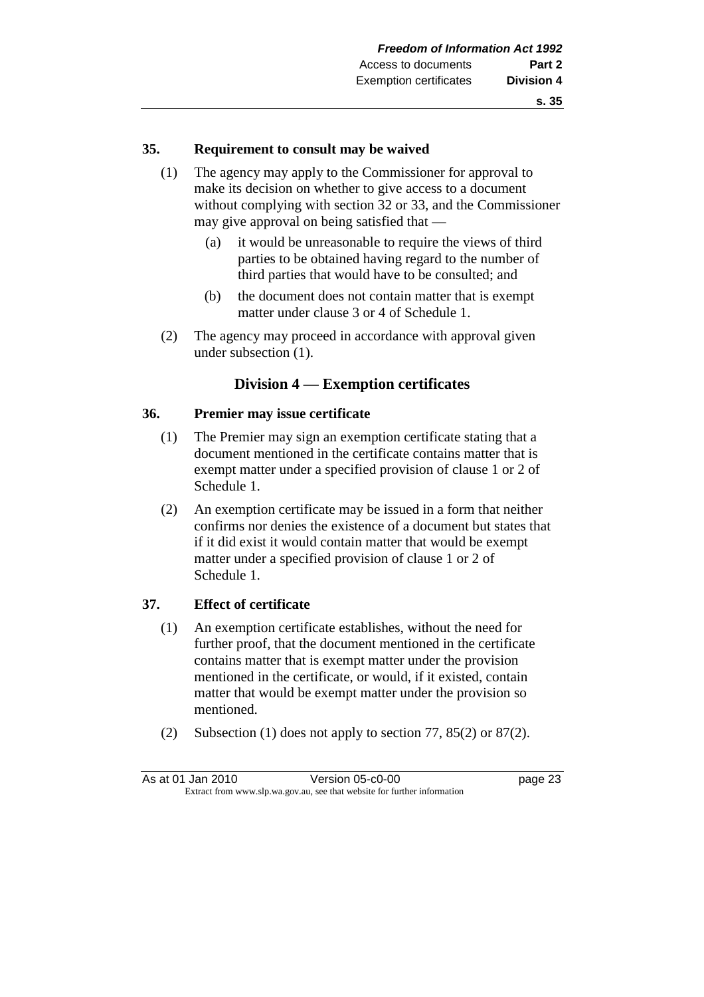#### **35. Requirement to consult may be waived**

- (1) The agency may apply to the Commissioner for approval to make its decision on whether to give access to a document without complying with section 32 or 33, and the Commissioner may give approval on being satisfied that —
	- (a) it would be unreasonable to require the views of third parties to be obtained having regard to the number of third parties that would have to be consulted; and
	- (b) the document does not contain matter that is exempt matter under clause 3 or 4 of Schedule 1.
- (2) The agency may proceed in accordance with approval given under subsection (1).

#### **Division 4 — Exemption certificates**

#### **36. Premier may issue certificate**

- (1) The Premier may sign an exemption certificate stating that a document mentioned in the certificate contains matter that is exempt matter under a specified provision of clause 1 or 2 of Schedule 1.
- (2) An exemption certificate may be issued in a form that neither confirms nor denies the existence of a document but states that if it did exist it would contain matter that would be exempt matter under a specified provision of clause 1 or 2 of Schedule 1.

#### **37. Effect of certificate**

- (1) An exemption certificate establishes, without the need for further proof, that the document mentioned in the certificate contains matter that is exempt matter under the provision mentioned in the certificate, or would, if it existed, contain matter that would be exempt matter under the provision so mentioned.
- (2) Subsection (1) does not apply to section 77, 85(2) or 87(2).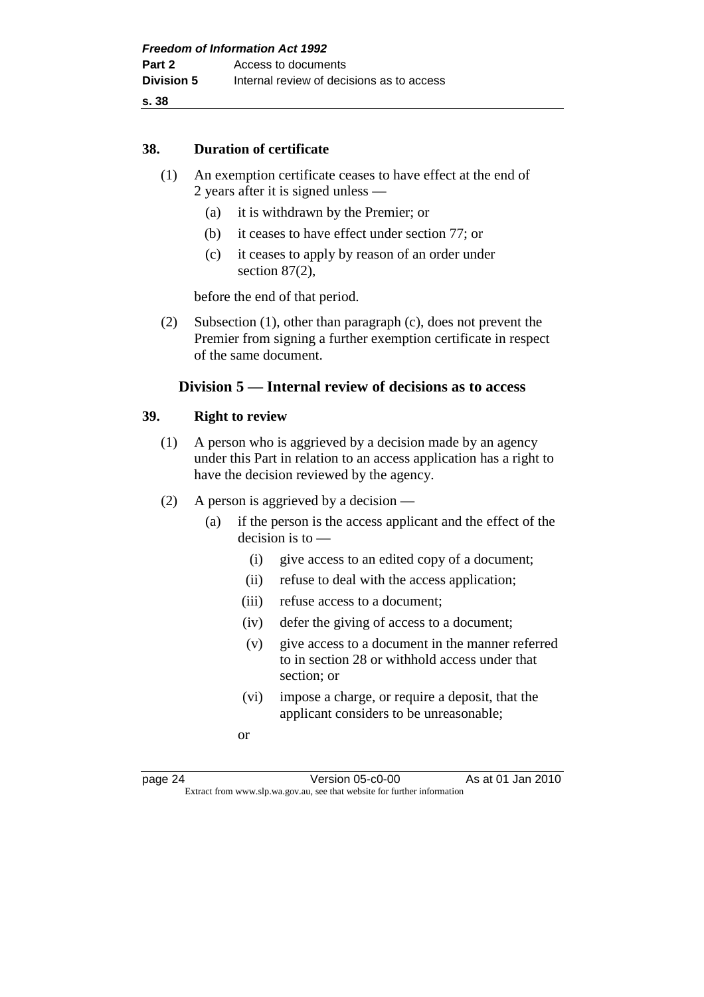#### **38. Duration of certificate**

- (1) An exemption certificate ceases to have effect at the end of 2 years after it is signed unless —
	- (a) it is withdrawn by the Premier; or
	- (b) it ceases to have effect under section 77; or
	- (c) it ceases to apply by reason of an order under section 87(2),

before the end of that period.

 (2) Subsection (1), other than paragraph (c), does not prevent the Premier from signing a further exemption certificate in respect of the same document.

#### **Division 5 — Internal review of decisions as to access**

#### **39. Right to review**

- (1) A person who is aggrieved by a decision made by an agency under this Part in relation to an access application has a right to have the decision reviewed by the agency.
- (2) A person is aggrieved by a decision
	- (a) if the person is the access applicant and the effect of the decision is to —
		- (i) give access to an edited copy of a document;
		- (ii) refuse to deal with the access application;
		- (iii) refuse access to a document;
		- (iv) defer the giving of access to a document;
		- (v) give access to a document in the manner referred to in section 28 or withhold access under that section; or
		- (vi) impose a charge, or require a deposit, that the applicant considers to be unreasonable;
		- or

page 24 Version 05-c0-00 As at 01 Jan 2010 Extract from www.slp.wa.gov.au, see that website for further information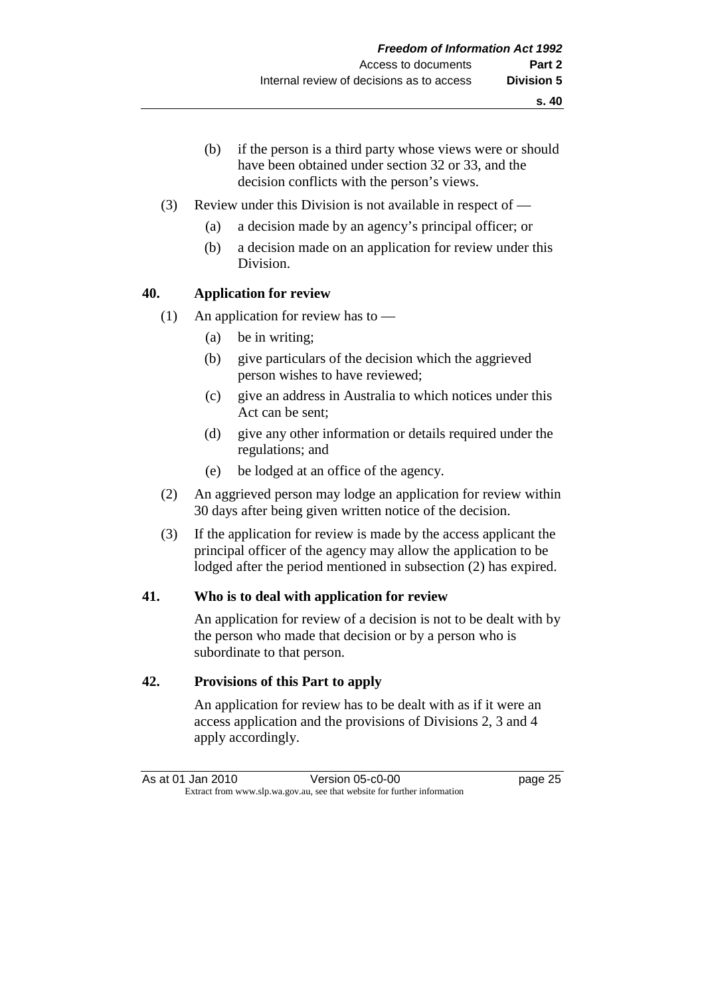- (b) if the person is a third party whose views were or should have been obtained under section 32 or 33, and the decision conflicts with the person's views.
- (3) Review under this Division is not available in respect of
	- (a) a decision made by an agency's principal officer; or
	- (b) a decision made on an application for review under this Division.

#### **40. Application for review**

- (1) An application for review has to
	- (a) be in writing;
	- (b) give particulars of the decision which the aggrieved person wishes to have reviewed;
	- (c) give an address in Australia to which notices under this Act can be sent;
	- (d) give any other information or details required under the regulations; and
	- (e) be lodged at an office of the agency.
- (2) An aggrieved person may lodge an application for review within 30 days after being given written notice of the decision.
- (3) If the application for review is made by the access applicant the principal officer of the agency may allow the application to be lodged after the period mentioned in subsection (2) has expired.

#### **41. Who is to deal with application for review**

 An application for review of a decision is not to be dealt with by the person who made that decision or by a person who is subordinate to that person.

#### **42. Provisions of this Part to apply**

 An application for review has to be dealt with as if it were an access application and the provisions of Divisions 2, 3 and 4 apply accordingly.

As at 01 Jan 2010 Version 05-c0-00 page 25 Extract from www.slp.wa.gov.au, see that website for further information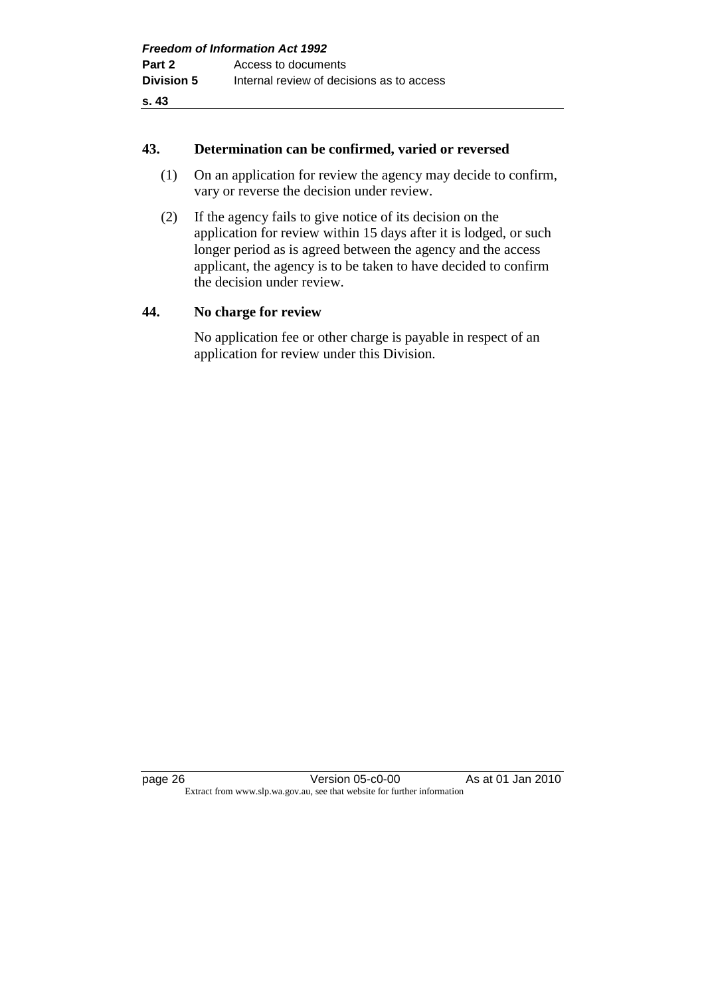#### **43. Determination can be confirmed, varied or reversed**

- (1) On an application for review the agency may decide to confirm, vary or reverse the decision under review.
- (2) If the agency fails to give notice of its decision on the application for review within 15 days after it is lodged, or such longer period as is agreed between the agency and the access applicant, the agency is to be taken to have decided to confirm the decision under review.

#### **44. No charge for review**

 No application fee or other charge is payable in respect of an application for review under this Division.

page 26 Version 05-c0-00 As at 01 Jan 2010 Extract from www.slp.wa.gov.au, see that website for further information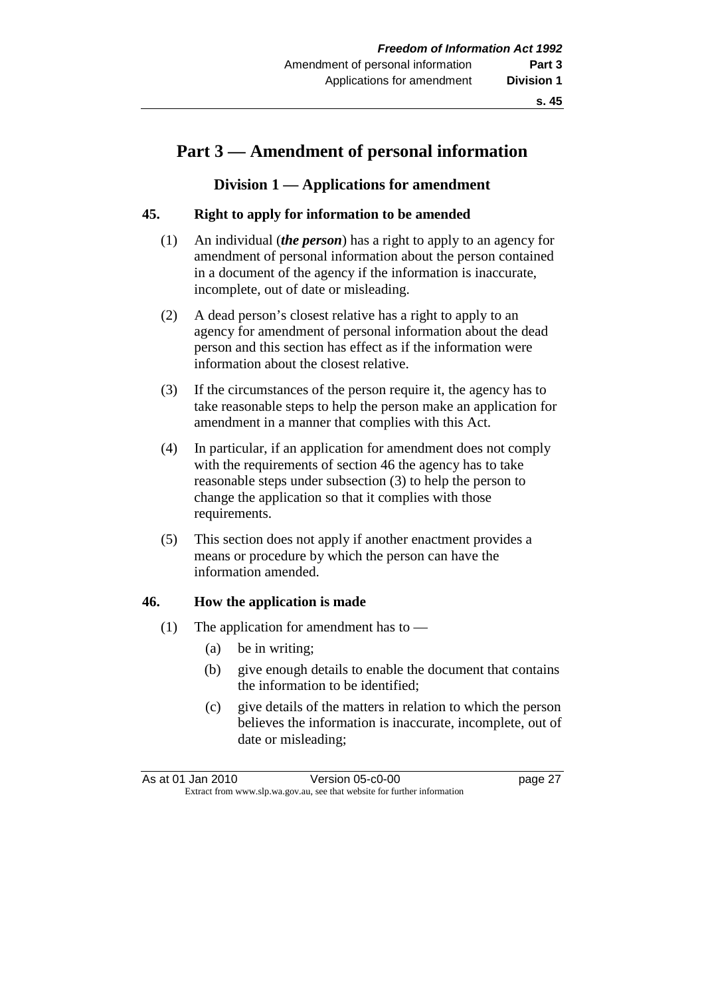### **Part 3 — Amendment of personal information**

#### **Division 1 — Applications for amendment**

#### **45. Right to apply for information to be amended**

- (1) An individual (*the person*) has a right to apply to an agency for amendment of personal information about the person contained in a document of the agency if the information is inaccurate, incomplete, out of date or misleading.
- (2) A dead person's closest relative has a right to apply to an agency for amendment of personal information about the dead person and this section has effect as if the information were information about the closest relative.
- (3) If the circumstances of the person require it, the agency has to take reasonable steps to help the person make an application for amendment in a manner that complies with this Act.
- (4) In particular, if an application for amendment does not comply with the requirements of section 46 the agency has to take reasonable steps under subsection (3) to help the person to change the application so that it complies with those requirements.
- (5) This section does not apply if another enactment provides a means or procedure by which the person can have the information amended.

#### **46. How the application is made**

- (1) The application for amendment has to  $-$ 
	- (a) be in writing;
	- (b) give enough details to enable the document that contains the information to be identified;
	- (c) give details of the matters in relation to which the person believes the information is inaccurate, incomplete, out of date or misleading;

As at 01 Jan 2010 **Version 05-c0-00 Dage 27** Extract from www.slp.wa.gov.au, see that website for further information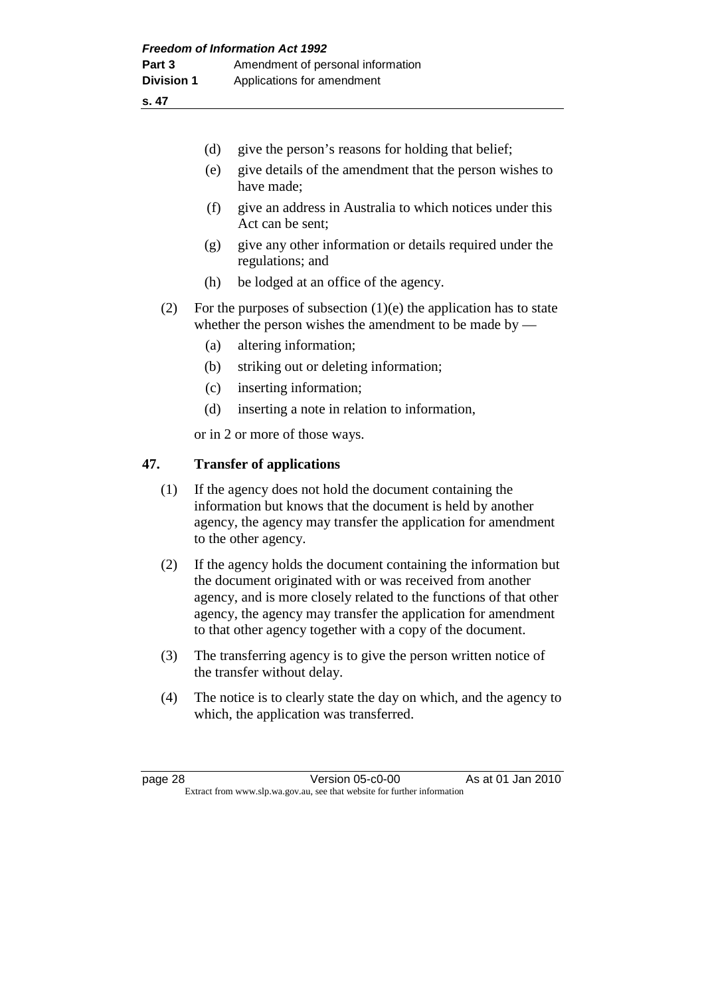|         | (d)                                                                                                                                                                                                                                                                                                                               | give the person's reasons for holding that belief;                                                                              |  |
|---------|-----------------------------------------------------------------------------------------------------------------------------------------------------------------------------------------------------------------------------------------------------------------------------------------------------------------------------------|---------------------------------------------------------------------------------------------------------------------------------|--|
|         | (e)                                                                                                                                                                                                                                                                                                                               | give details of the amendment that the person wishes to<br>have made;                                                           |  |
|         | (f)                                                                                                                                                                                                                                                                                                                               | give an address in Australia to which notices under this<br>Act can be sent;                                                    |  |
|         | (g)                                                                                                                                                                                                                                                                                                                               | give any other information or details required under the<br>regulations; and                                                    |  |
|         | (h)                                                                                                                                                                                                                                                                                                                               | be lodged at an office of the agency.                                                                                           |  |
| (2)     |                                                                                                                                                                                                                                                                                                                                   | For the purposes of subsection $(1)(e)$ the application has to state<br>whether the person wishes the amendment to be made by — |  |
|         | (a)                                                                                                                                                                                                                                                                                                                               | altering information;                                                                                                           |  |
|         | (b)                                                                                                                                                                                                                                                                                                                               | striking out or deleting information;                                                                                           |  |
|         | (c)                                                                                                                                                                                                                                                                                                                               | inserting information;                                                                                                          |  |
|         | (d)                                                                                                                                                                                                                                                                                                                               | inserting a note in relation to information,                                                                                    |  |
|         |                                                                                                                                                                                                                                                                                                                                   | or in 2 or more of those ways.                                                                                                  |  |
| 47.     |                                                                                                                                                                                                                                                                                                                                   | <b>Transfer of applications</b>                                                                                                 |  |
| (1)     | If the agency does not hold the document containing the<br>information but knows that the document is held by another<br>agency, the agency may transfer the application for amendment<br>to the other agency.                                                                                                                    |                                                                                                                                 |  |
| (2)     | If the agency holds the document containing the information but<br>the document originated with or was received from another<br>agency, and is more closely related to the functions of that other<br>agency, the agency may transfer the application for amendment<br>to that other agency together with a copy of the document. |                                                                                                                                 |  |
| (3)     |                                                                                                                                                                                                                                                                                                                                   | The transferring agency is to give the person written notice of<br>the transfer without delay.                                  |  |
| (4)     |                                                                                                                                                                                                                                                                                                                                   | The notice is to clearly state the day on which, and the agency to<br>which, the application was transferred.                   |  |
|         |                                                                                                                                                                                                                                                                                                                                   |                                                                                                                                 |  |
| page 28 |                                                                                                                                                                                                                                                                                                                                   | Version 05-c0-00<br>As at 01 Jan 2010<br>Extract from www.slp.wa.gov.au, see that website for further information               |  |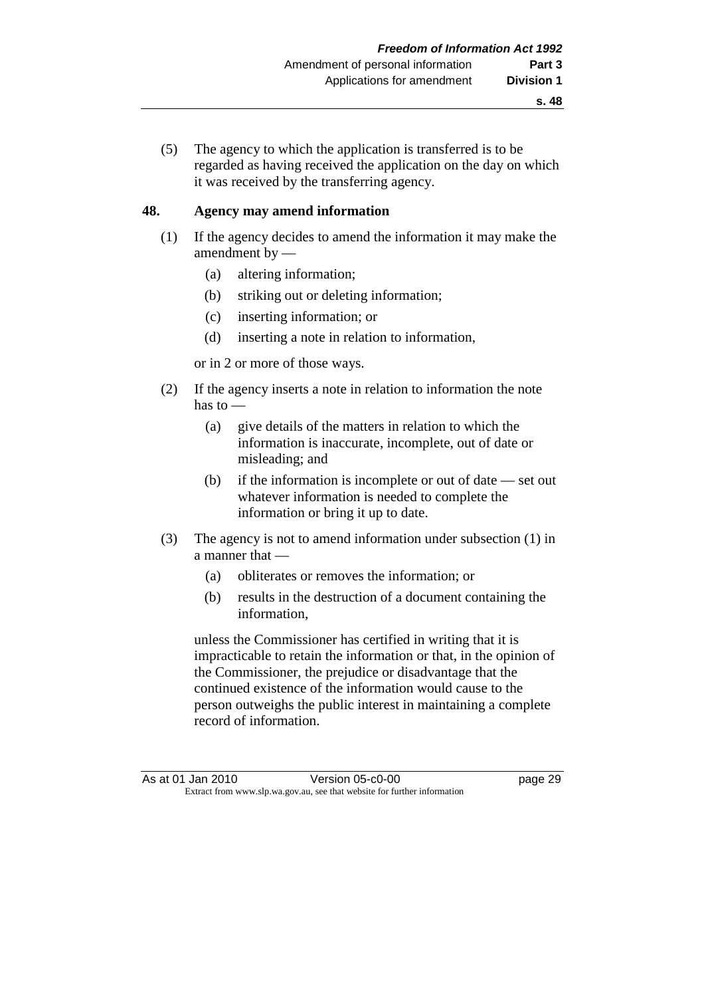(5) The agency to which the application is transferred is to be regarded as having received the application on the day on which it was received by the transferring agency.

#### **48. Agency may amend information**

- (1) If the agency decides to amend the information it may make the amendment by —
	- (a) altering information;
	- (b) striking out or deleting information;
	- (c) inserting information; or
	- (d) inserting a note in relation to information,

or in 2 or more of those ways.

- (2) If the agency inserts a note in relation to information the note has to —
	- (a) give details of the matters in relation to which the information is inaccurate, incomplete, out of date or misleading; and
	- (b) if the information is incomplete or out of date set out whatever information is needed to complete the information or bring it up to date.
- (3) The agency is not to amend information under subsection (1) in a manner that —
	- (a) obliterates or removes the information; or
	- (b) results in the destruction of a document containing the information,

 unless the Commissioner has certified in writing that it is impracticable to retain the information or that, in the opinion of the Commissioner, the prejudice or disadvantage that the continued existence of the information would cause to the person outweighs the public interest in maintaining a complete record of information.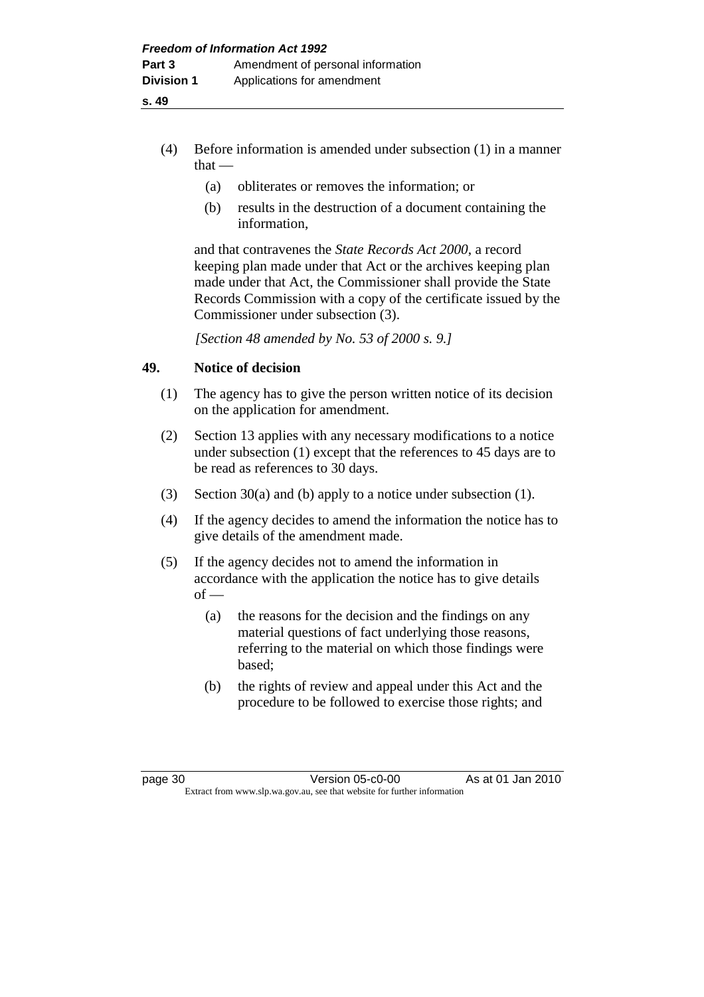- (4) Before information is amended under subsection (1) in a manner  $that -$ 
	- (a) obliterates or removes the information; or
	- (b) results in the destruction of a document containing the information,

 and that contravenes the *State Records Act 2000*, a record keeping plan made under that Act or the archives keeping plan made under that Act, the Commissioner shall provide the State Records Commission with a copy of the certificate issued by the Commissioner under subsection (3).

 *[Section 48 amended by No. 53 of 2000 s. 9.]* 

## **49. Notice of decision**

- (1) The agency has to give the person written notice of its decision on the application for amendment.
- (2) Section 13 applies with any necessary modifications to a notice under subsection (1) except that the references to 45 days are to be read as references to 30 days.
- (3) Section 30(a) and (b) apply to a notice under subsection (1).
- (4) If the agency decides to amend the information the notice has to give details of the amendment made.
- (5) If the agency decides not to amend the information in accordance with the application the notice has to give details  $of -$ 
	- (a) the reasons for the decision and the findings on any material questions of fact underlying those reasons, referring to the material on which those findings were based;
	- (b) the rights of review and appeal under this Act and the procedure to be followed to exercise those rights; and

page 30 Version 05-c0-00 As at 01 Jan 2010 Extract from www.slp.wa.gov.au, see that website for further information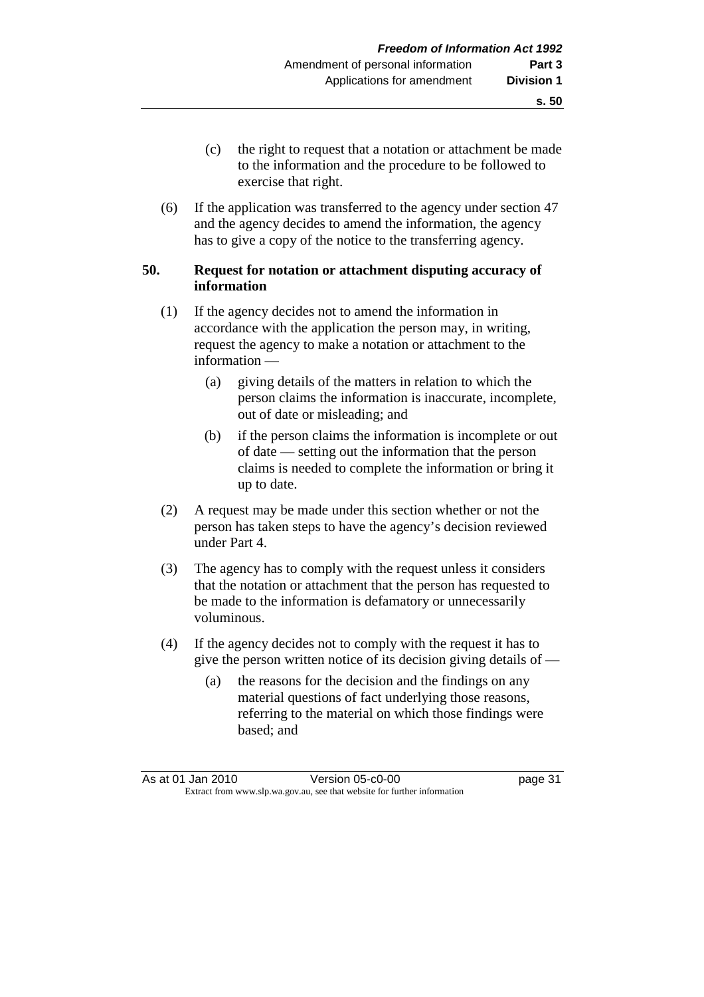- (c) the right to request that a notation or attachment be made to the information and the procedure to be followed to exercise that right.
- (6) If the application was transferred to the agency under section 47 and the agency decides to amend the information, the agency has to give a copy of the notice to the transferring agency.

#### **50. Request for notation or attachment disputing accuracy of information**

- (1) If the agency decides not to amend the information in accordance with the application the person may, in writing, request the agency to make a notation or attachment to the information —
	- (a) giving details of the matters in relation to which the person claims the information is inaccurate, incomplete, out of date or misleading; and
	- (b) if the person claims the information is incomplete or out of date — setting out the information that the person claims is needed to complete the information or bring it up to date.
- (2) A request may be made under this section whether or not the person has taken steps to have the agency's decision reviewed under Part 4.
- (3) The agency has to comply with the request unless it considers that the notation or attachment that the person has requested to be made to the information is defamatory or unnecessarily voluminous.
- (4) If the agency decides not to comply with the request it has to give the person written notice of its decision giving details of —
	- (a) the reasons for the decision and the findings on any material questions of fact underlying those reasons, referring to the material on which those findings were based; and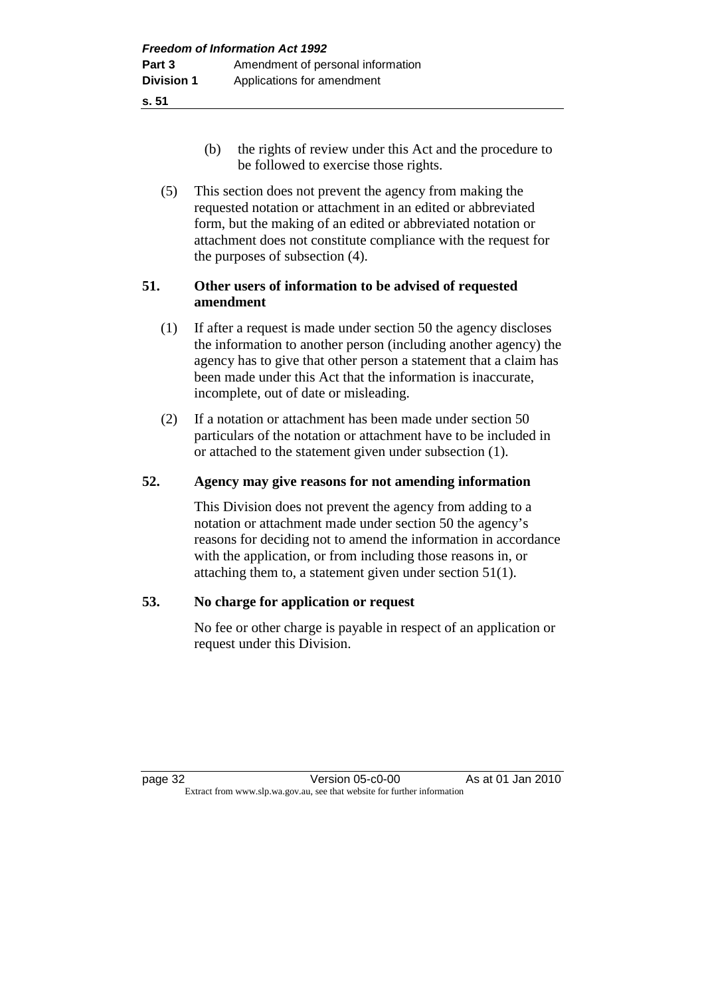- (b) the rights of review under this Act and the procedure to be followed to exercise those rights.
- (5) This section does not prevent the agency from making the requested notation or attachment in an edited or abbreviated form, but the making of an edited or abbreviated notation or attachment does not constitute compliance with the request for the purposes of subsection (4).

## **51. Other users of information to be advised of requested amendment**

- (1) If after a request is made under section 50 the agency discloses the information to another person (including another agency) the agency has to give that other person a statement that a claim has been made under this Act that the information is inaccurate, incomplete, out of date or misleading.
- (2) If a notation or attachment has been made under section 50 particulars of the notation or attachment have to be included in or attached to the statement given under subsection (1).

# **52. Agency may give reasons for not amending information**

 This Division does not prevent the agency from adding to a notation or attachment made under section 50 the agency's reasons for deciding not to amend the information in accordance with the application, or from including those reasons in, or attaching them to, a statement given under section 51(1).

# **53. No charge for application or request**

 No fee or other charge is payable in respect of an application or request under this Division.

page 32 Version 05-c0-00 As at 01 Jan 2010 Extract from www.slp.wa.gov.au, see that website for further information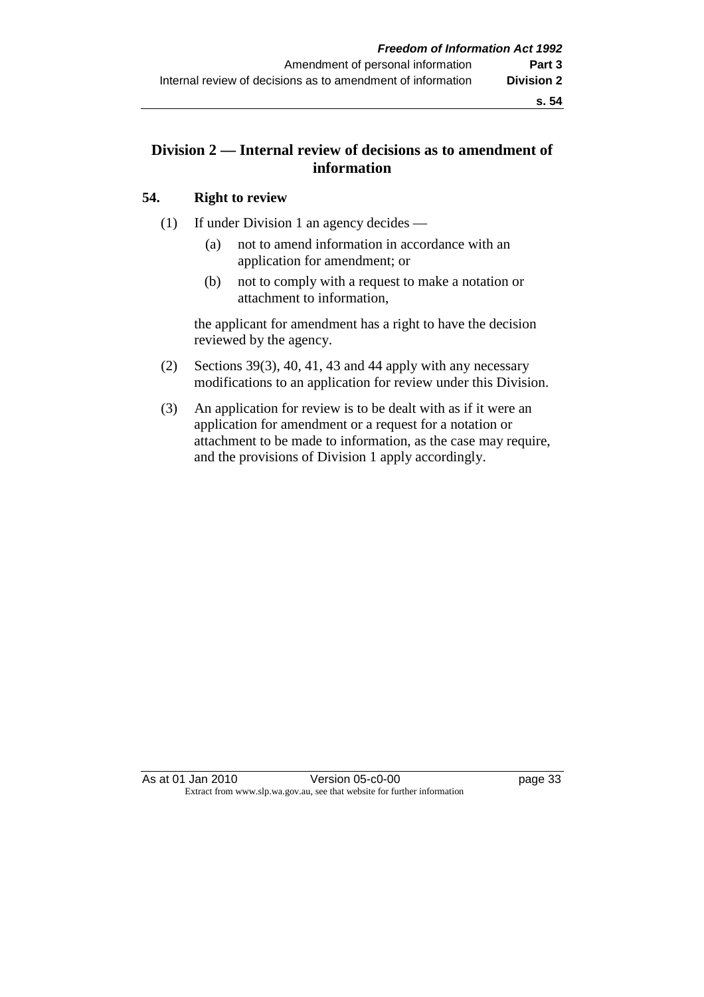# **Division 2 — Internal review of decisions as to amendment of information**

## **54. Right to review**

- (1) If under Division 1 an agency decides
	- (a) not to amend information in accordance with an application for amendment; or
	- (b) not to comply with a request to make a notation or attachment to information,

 the applicant for amendment has a right to have the decision reviewed by the agency.

- (2) Sections 39(3), 40, 41, 43 and 44 apply with any necessary modifications to an application for review under this Division.
- (3) An application for review is to be dealt with as if it were an application for amendment or a request for a notation or attachment to be made to information, as the case may require, and the provisions of Division 1 apply accordingly.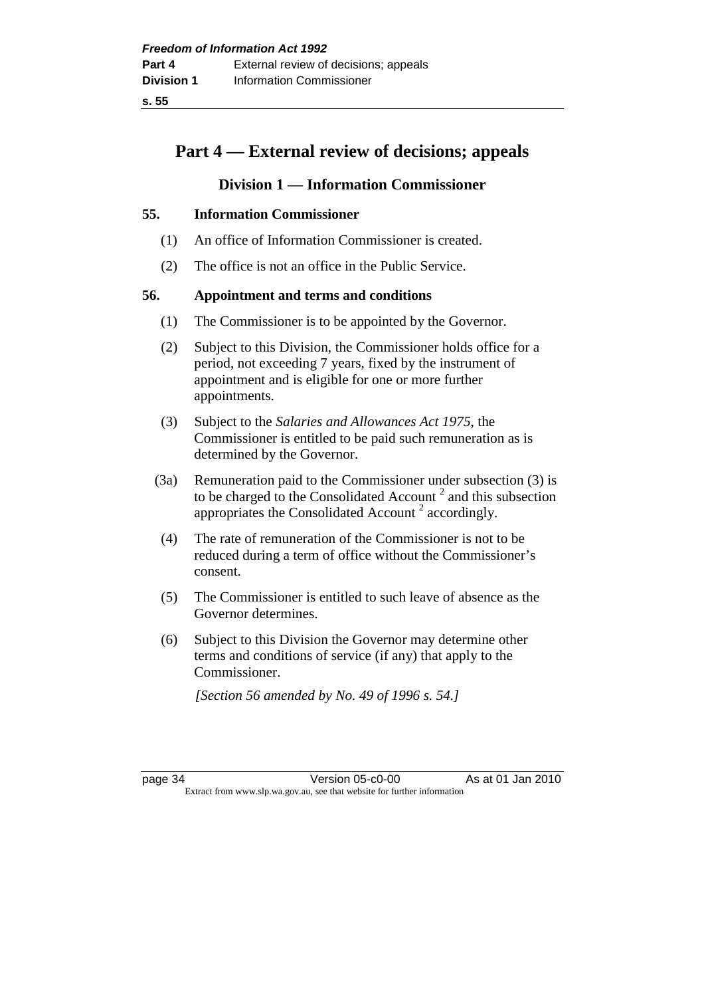# **Part 4 — External review of decisions; appeals**

# **Division 1 — Information Commissioner**

## **55. Information Commissioner**

- (1) An office of Information Commissioner is created.
- (2) The office is not an office in the Public Service.

## **56. Appointment and terms and conditions**

- (1) The Commissioner is to be appointed by the Governor.
- (2) Subject to this Division, the Commissioner holds office for a period, not exceeding 7 years, fixed by the instrument of appointment and is eligible for one or more further appointments.
- (3) Subject to the *Salaries and Allowances Act 1975*, the Commissioner is entitled to be paid such remuneration as is determined by the Governor.
- (3a) Remuneration paid to the Commissioner under subsection (3) is to be charged to the Consolidated Account<sup>2</sup> and this subsection appropriates the Consolidated Account<sup>2</sup> accordingly.
- (4) The rate of remuneration of the Commissioner is not to be reduced during a term of office without the Commissioner's consent.
- (5) The Commissioner is entitled to such leave of absence as the Governor determines.
- (6) Subject to this Division the Governor may determine other terms and conditions of service (if any) that apply to the Commissioner.

 *[Section 56 amended by No. 49 of 1996 s. 54.]* 

page 34 Version 05-c0-00 As at 01 Jan 2010 Extract from www.slp.wa.gov.au, see that website for further information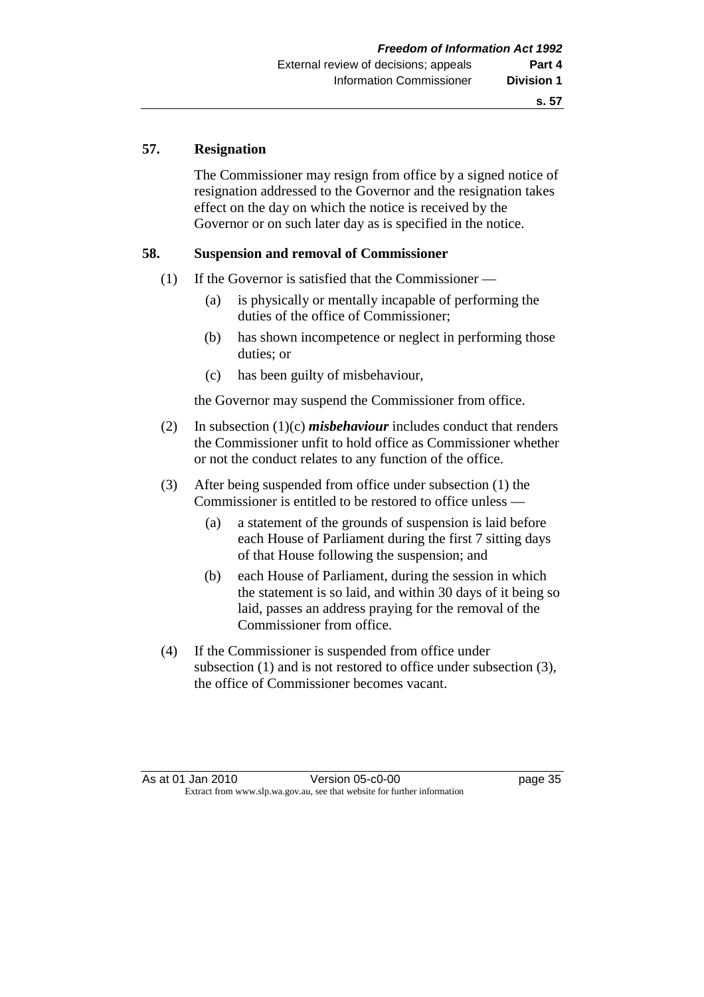## **57. Resignation**

 The Commissioner may resign from office by a signed notice of resignation addressed to the Governor and the resignation takes effect on the day on which the notice is received by the Governor or on such later day as is specified in the notice.

## **58. Suspension and removal of Commissioner**

- (1) If the Governor is satisfied that the Commissioner
	- (a) is physically or mentally incapable of performing the duties of the office of Commissioner;
	- (b) has shown incompetence or neglect in performing those duties; or
	- (c) has been guilty of misbehaviour,

the Governor may suspend the Commissioner from office.

- (2) In subsection (1)(c) *misbehaviour* includes conduct that renders the Commissioner unfit to hold office as Commissioner whether or not the conduct relates to any function of the office.
- (3) After being suspended from office under subsection (1) the Commissioner is entitled to be restored to office unless —
	- (a) a statement of the grounds of suspension is laid before each House of Parliament during the first 7 sitting days of that House following the suspension; and
	- (b) each House of Parliament, during the session in which the statement is so laid, and within 30 days of it being so laid, passes an address praying for the removal of the Commissioner from office.
- (4) If the Commissioner is suspended from office under subsection (1) and is not restored to office under subsection (3), the office of Commissioner becomes vacant.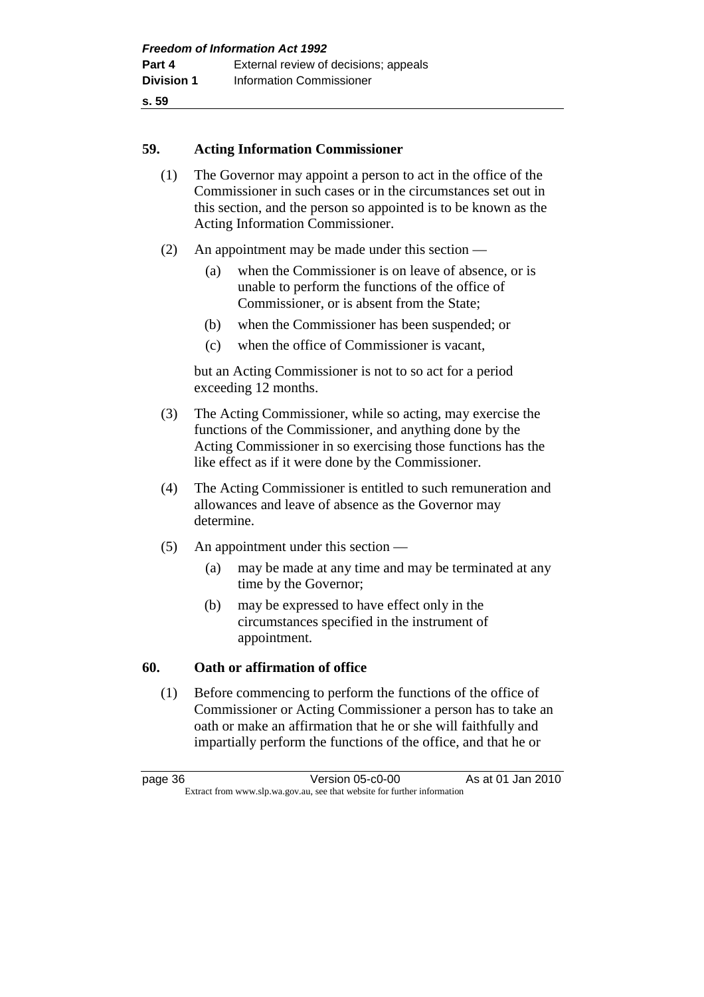## **59. Acting Information Commissioner**

- (1) The Governor may appoint a person to act in the office of the Commissioner in such cases or in the circumstances set out in this section, and the person so appointed is to be known as the Acting Information Commissioner.
- (2) An appointment may be made under this section
	- (a) when the Commissioner is on leave of absence, or is unable to perform the functions of the office of Commissioner, or is absent from the State;
	- (b) when the Commissioner has been suspended; or
	- (c) when the office of Commissioner is vacant,

 but an Acting Commissioner is not to so act for a period exceeding 12 months.

- (3) The Acting Commissioner, while so acting, may exercise the functions of the Commissioner, and anything done by the Acting Commissioner in so exercising those functions has the like effect as if it were done by the Commissioner.
- (4) The Acting Commissioner is entitled to such remuneration and allowances and leave of absence as the Governor may determine.
- (5) An appointment under this section
	- (a) may be made at any time and may be terminated at any time by the Governor;
	- (b) may be expressed to have effect only in the circumstances specified in the instrument of appointment.

## **60. Oath or affirmation of office**

 (1) Before commencing to perform the functions of the office of Commissioner or Acting Commissioner a person has to take an oath or make an affirmation that he or she will faithfully and impartially perform the functions of the office, and that he or

page 36 Version 05-c0-00 As at 01 Jan 2010 Extract from www.slp.wa.gov.au, see that website for further information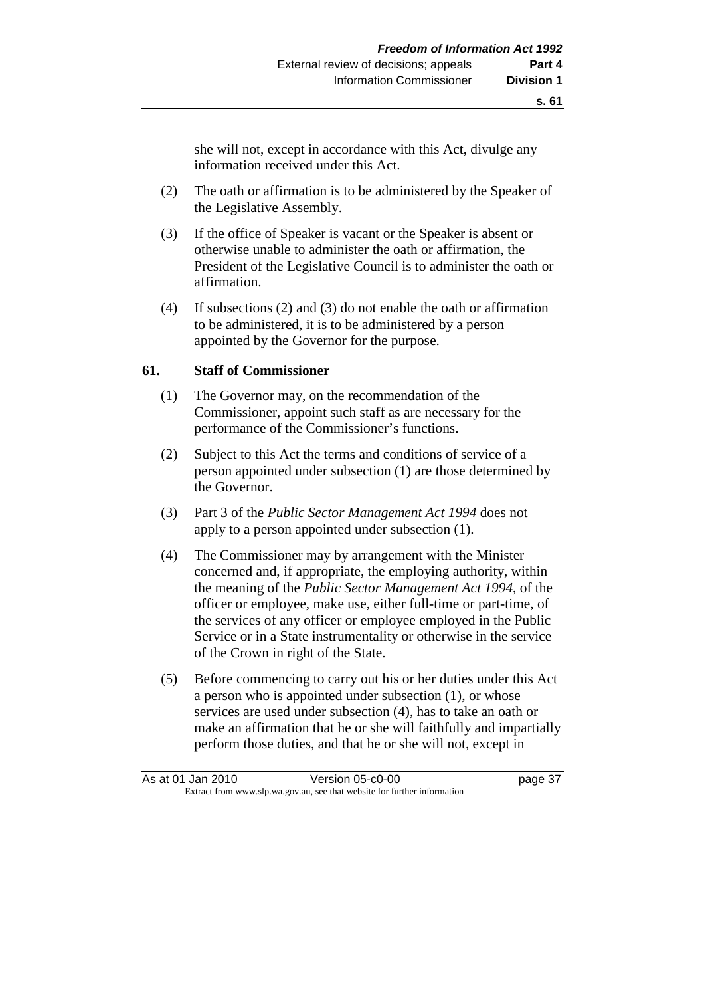she will not, except in accordance with this Act, divulge any information received under this Act.

- (2) The oath or affirmation is to be administered by the Speaker of the Legislative Assembly.
- (3) If the office of Speaker is vacant or the Speaker is absent or otherwise unable to administer the oath or affirmation, the President of the Legislative Council is to administer the oath or affirmation.
- (4) If subsections (2) and (3) do not enable the oath or affirmation to be administered, it is to be administered by a person appointed by the Governor for the purpose.

#### **61. Staff of Commissioner**

- (1) The Governor may, on the recommendation of the Commissioner, appoint such staff as are necessary for the performance of the Commissioner's functions.
- (2) Subject to this Act the terms and conditions of service of a person appointed under subsection (1) are those determined by the Governor.
- (3) Part 3 of the *Public Sector Management Act 1994* does not apply to a person appointed under subsection (1).
- (4) The Commissioner may by arrangement with the Minister concerned and, if appropriate, the employing authority, within the meaning of the *Public Sector Management Act 1994*, of the officer or employee, make use, either full-time or part-time, of the services of any officer or employee employed in the Public Service or in a State instrumentality or otherwise in the service of the Crown in right of the State.
- (5) Before commencing to carry out his or her duties under this Act a person who is appointed under subsection (1), or whose services are used under subsection (4), has to take an oath or make an affirmation that he or she will faithfully and impartially perform those duties, and that he or she will not, except in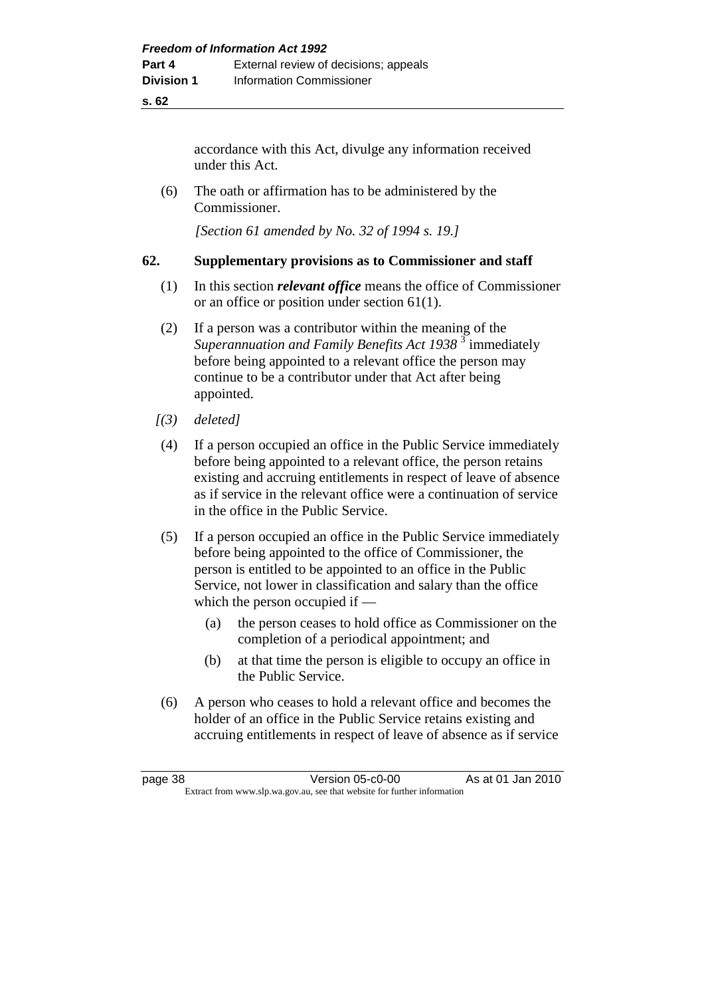accordance with this Act, divulge any information received under this Act.

 (6) The oath or affirmation has to be administered by the Commissioner.

 *[Section 61 amended by No. 32 of 1994 s. 19.]* 

## **62. Supplementary provisions as to Commissioner and staff**

- (1) In this section *relevant office* means the office of Commissioner or an office or position under section 61(1).
- (2) If a person was a contributor within the meaning of the Superannuation and Family Benefits Act 1938<sup>3</sup> immediately before being appointed to a relevant office the person may continue to be a contributor under that Act after being appointed.
- *[(3) deleted]*
- (4) If a person occupied an office in the Public Service immediately before being appointed to a relevant office, the person retains existing and accruing entitlements in respect of leave of absence as if service in the relevant office were a continuation of service in the office in the Public Service.
- (5) If a person occupied an office in the Public Service immediately before being appointed to the office of Commissioner, the person is entitled to be appointed to an office in the Public Service, not lower in classification and salary than the office which the person occupied if —
	- (a) the person ceases to hold office as Commissioner on the completion of a periodical appointment; and
	- (b) at that time the person is eligible to occupy an office in the Public Service.
- (6) A person who ceases to hold a relevant office and becomes the holder of an office in the Public Service retains existing and accruing entitlements in respect of leave of absence as if service

| page 38                                                                  | Version 05-c0-00 | As at 01 Jan 2010 |
|--------------------------------------------------------------------------|------------------|-------------------|
| Extract from www.slp.wa.gov.au, see that website for further information |                  |                   |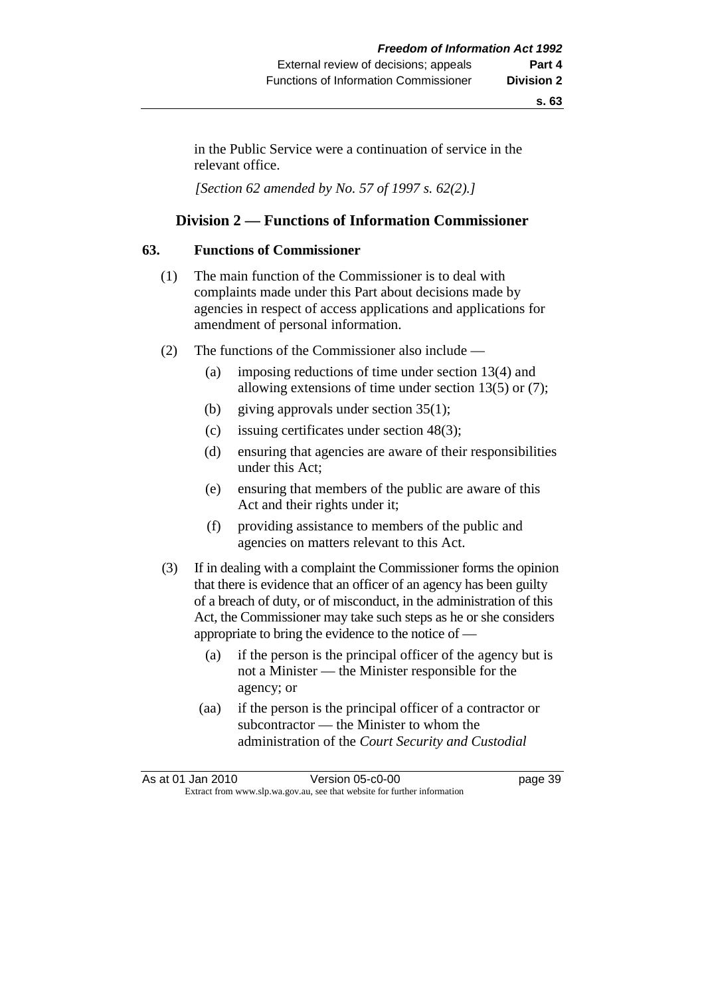in the Public Service were a continuation of service in the relevant office.

 *[Section 62 amended by No. 57 of 1997 s. 62(2).]* 

## **Division 2 — Functions of Information Commissioner**

#### **63. Functions of Commissioner**

- (1) The main function of the Commissioner is to deal with complaints made under this Part about decisions made by agencies in respect of access applications and applications for amendment of personal information.
- (2) The functions of the Commissioner also include
	- (a) imposing reductions of time under section 13(4) and allowing extensions of time under section 13(5) or (7);
	- (b) giving approvals under section 35(1);
	- (c) issuing certificates under section 48(3);
	- (d) ensuring that agencies are aware of their responsibilities under this Act;
	- (e) ensuring that members of the public are aware of this Act and their rights under it;
	- (f) providing assistance to members of the public and agencies on matters relevant to this Act.
- (3) If in dealing with a complaint the Commissioner forms the opinion that there is evidence that an officer of an agency has been guilty of a breach of duty, or of misconduct, in the administration of this Act, the Commissioner may take such steps as he or she considers appropriate to bring the evidence to the notice of —
	- (a) if the person is the principal officer of the agency but is not a Minister — the Minister responsible for the agency; or
	- (aa) if the person is the principal officer of a contractor or subcontractor — the Minister to whom the administration of the *Court Security and Custodial*

|                                                                          | As at 01 Jan 2010 | Version 05-c0-00 | page 39 |
|--------------------------------------------------------------------------|-------------------|------------------|---------|
| Extract from www.slp.wa.gov.au, see that website for further information |                   |                  |         |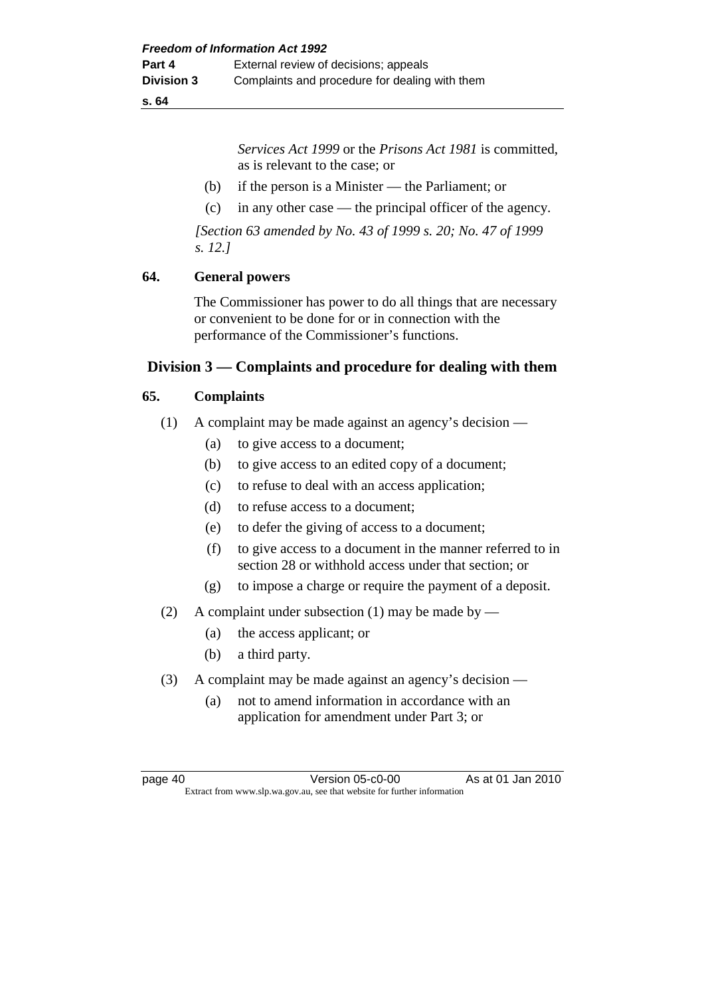*Services Act 1999* or the *Prisons Act 1981* is committed, as is relevant to the case; or

- (b) if the person is a Minister the Parliament; or
- (c) in any other case the principal officer of the agency.

 *[Section 63 amended by No. 43 of 1999 s. 20; No. 47 of 1999 s. 12.]* 

## **64. General powers**

 The Commissioner has power to do all things that are necessary or convenient to be done for or in connection with the performance of the Commissioner's functions.

## **Division 3 — Complaints and procedure for dealing with them**

#### **65. Complaints**

- (1) A complaint may be made against an agency's decision
	- (a) to give access to a document;
	- (b) to give access to an edited copy of a document;
	- (c) to refuse to deal with an access application;
	- (d) to refuse access to a document;
	- (e) to defer the giving of access to a document;
	- (f) to give access to a document in the manner referred to in section 28 or withhold access under that section; or
	- (g) to impose a charge or require the payment of a deposit.
- (2) A complaint under subsection (1) may be made by
	- (a) the access applicant; or
	- (b) a third party.
- (3) A complaint may be made against an agency's decision
	- (a) not to amend information in accordance with an application for amendment under Part 3; or

page 40 Version 05-c0-00 As at 01 Jan 2010 Extract from www.slp.wa.gov.au, see that website for further information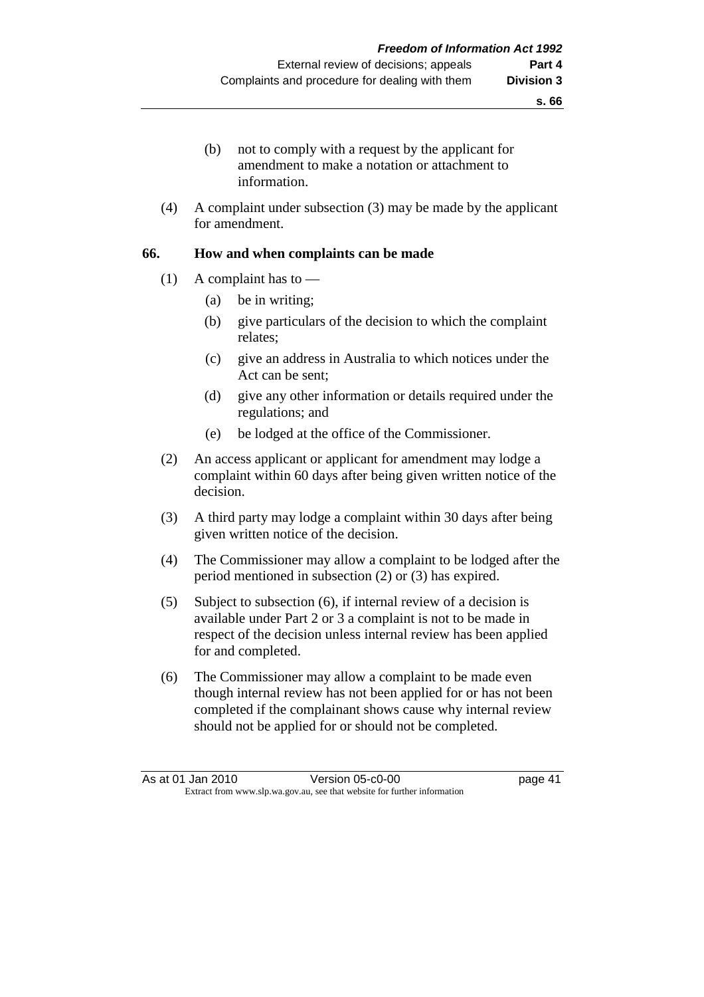- (b) not to comply with a request by the applicant for amendment to make a notation or attachment to information.
- (4) A complaint under subsection (3) may be made by the applicant for amendment.

## **66. How and when complaints can be made**

- (1) A complaint has to  $-$ 
	- (a) be in writing;
	- (b) give particulars of the decision to which the complaint relates;
	- (c) give an address in Australia to which notices under the Act can be sent;
	- (d) give any other information or details required under the regulations; and
	- (e) be lodged at the office of the Commissioner.
- (2) An access applicant or applicant for amendment may lodge a complaint within 60 days after being given written notice of the decision.
- (3) A third party may lodge a complaint within 30 days after being given written notice of the decision.
- (4) The Commissioner may allow a complaint to be lodged after the period mentioned in subsection (2) or (3) has expired.
- (5) Subject to subsection (6), if internal review of a decision is available under Part 2 or 3 a complaint is not to be made in respect of the decision unless internal review has been applied for and completed.
- (6) The Commissioner may allow a complaint to be made even though internal review has not been applied for or has not been completed if the complainant shows cause why internal review should not be applied for or should not be completed.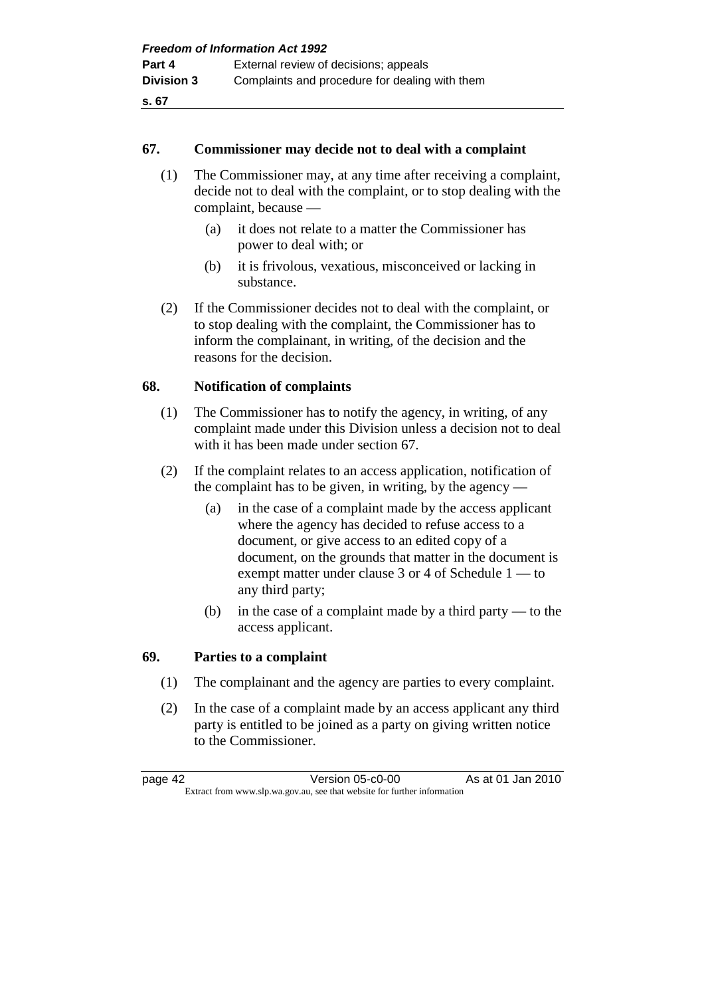## **67. Commissioner may decide not to deal with a complaint**

- (1) The Commissioner may, at any time after receiving a complaint, decide not to deal with the complaint, or to stop dealing with the complaint, because —
	- (a) it does not relate to a matter the Commissioner has power to deal with; or
	- (b) it is frivolous, vexatious, misconceived or lacking in substance.
- (2) If the Commissioner decides not to deal with the complaint, or to stop dealing with the complaint, the Commissioner has to inform the complainant, in writing, of the decision and the reasons for the decision.

## **68. Notification of complaints**

- (1) The Commissioner has to notify the agency, in writing, of any complaint made under this Division unless a decision not to deal with it has been made under section 67.
- (2) If the complaint relates to an access application, notification of the complaint has to be given, in writing, by the agency —
	- (a) in the case of a complaint made by the access applicant where the agency has decided to refuse access to a document, or give access to an edited copy of a document, on the grounds that matter in the document is exempt matter under clause 3 or 4 of Schedule 1 — to any third party;
	- (b) in the case of a complaint made by a third party to the access applicant.

## **69. Parties to a complaint**

- (1) The complainant and the agency are parties to every complaint.
- (2) In the case of a complaint made by an access applicant any third party is entitled to be joined as a party on giving written notice to the Commissioner.

page 42 Version 05-c0-00 As at 01 Jan 2010 Extract from www.slp.wa.gov.au, see that website for further information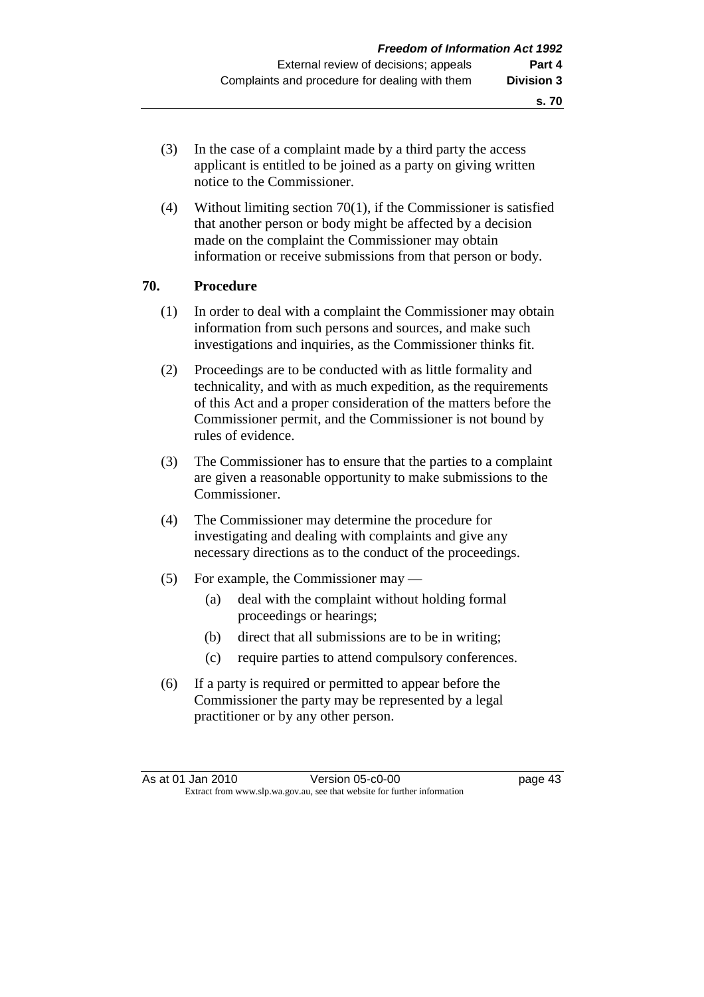- (3) In the case of a complaint made by a third party the access applicant is entitled to be joined as a party on giving written notice to the Commissioner.
- (4) Without limiting section 70(1), if the Commissioner is satisfied that another person or body might be affected by a decision made on the complaint the Commissioner may obtain information or receive submissions from that person or body.

#### **70. Procedure**

- (1) In order to deal with a complaint the Commissioner may obtain information from such persons and sources, and make such investigations and inquiries, as the Commissioner thinks fit.
- (2) Proceedings are to be conducted with as little formality and technicality, and with as much expedition, as the requirements of this Act and a proper consideration of the matters before the Commissioner permit, and the Commissioner is not bound by rules of evidence.
- (3) The Commissioner has to ensure that the parties to a complaint are given a reasonable opportunity to make submissions to the Commissioner.
- (4) The Commissioner may determine the procedure for investigating and dealing with complaints and give any necessary directions as to the conduct of the proceedings.
- (5) For example, the Commissioner may
	- (a) deal with the complaint without holding formal proceedings or hearings;
	- (b) direct that all submissions are to be in writing;
	- (c) require parties to attend compulsory conferences.
- (6) If a party is required or permitted to appear before the Commissioner the party may be represented by a legal practitioner or by any other person.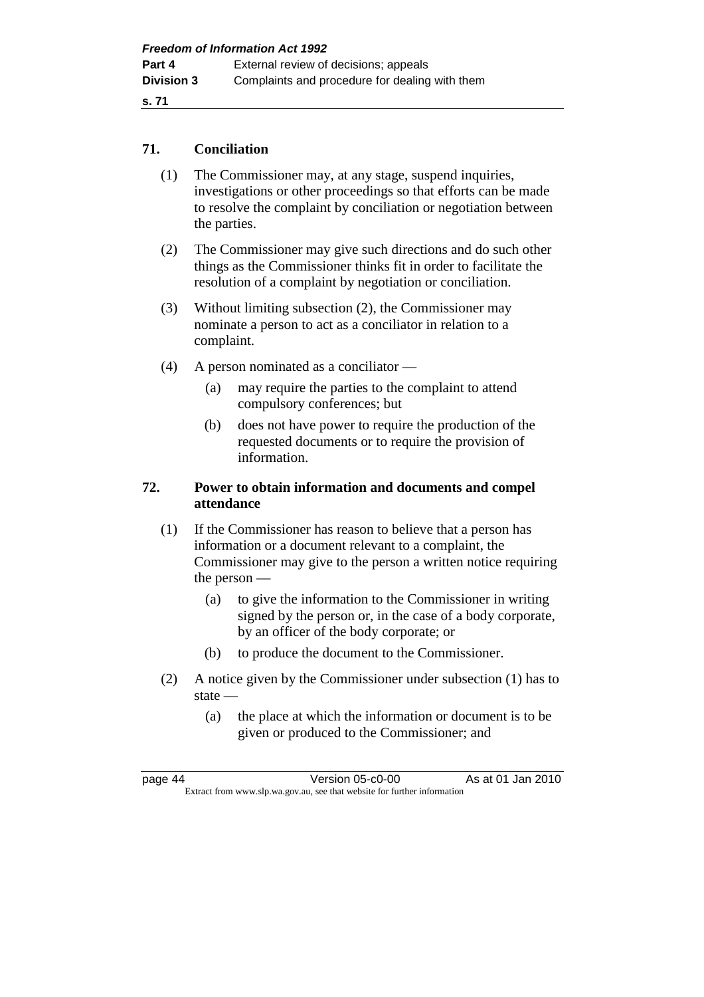## **71. Conciliation**

- (1) The Commissioner may, at any stage, suspend inquiries, investigations or other proceedings so that efforts can be made to resolve the complaint by conciliation or negotiation between the parties.
- (2) The Commissioner may give such directions and do such other things as the Commissioner thinks fit in order to facilitate the resolution of a complaint by negotiation or conciliation.
- (3) Without limiting subsection (2), the Commissioner may nominate a person to act as a conciliator in relation to a complaint.
- (4) A person nominated as a conciliator
	- (a) may require the parties to the complaint to attend compulsory conferences; but
	- (b) does not have power to require the production of the requested documents or to require the provision of information.

# **72. Power to obtain information and documents and compel attendance**

- (1) If the Commissioner has reason to believe that a person has information or a document relevant to a complaint, the Commissioner may give to the person a written notice requiring the person —
	- (a) to give the information to the Commissioner in writing signed by the person or, in the case of a body corporate, by an officer of the body corporate; or
	- (b) to produce the document to the Commissioner.
- (2) A notice given by the Commissioner under subsection (1) has to state —
	- (a) the place at which the information or document is to be given or produced to the Commissioner; and

page 44 Version 05-c0-00 As at 01 Jan 2010 Extract from www.slp.wa.gov.au, see that website for further information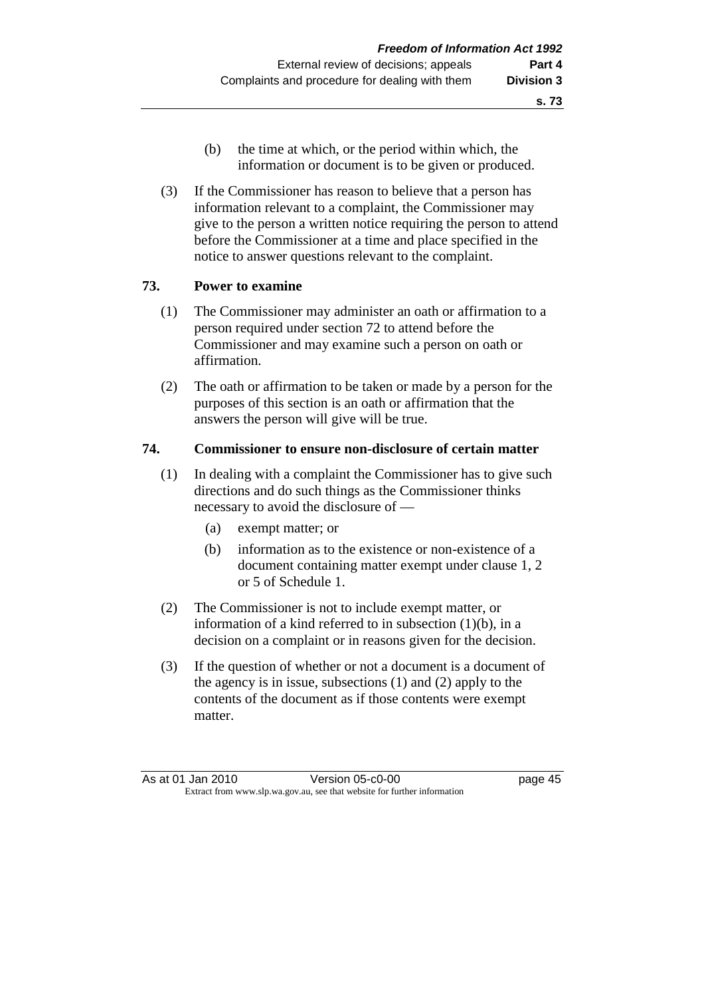- (b) the time at which, or the period within which, the information or document is to be given or produced.
- (3) If the Commissioner has reason to believe that a person has information relevant to a complaint, the Commissioner may give to the person a written notice requiring the person to attend before the Commissioner at a time and place specified in the notice to answer questions relevant to the complaint.

## **73. Power to examine**

- (1) The Commissioner may administer an oath or affirmation to a person required under section 72 to attend before the Commissioner and may examine such a person on oath or affirmation.
- (2) The oath or affirmation to be taken or made by a person for the purposes of this section is an oath or affirmation that the answers the person will give will be true.

## **74. Commissioner to ensure non-disclosure of certain matter**

- (1) In dealing with a complaint the Commissioner has to give such directions and do such things as the Commissioner thinks necessary to avoid the disclosure of —
	- (a) exempt matter; or
	- (b) information as to the existence or non-existence of a document containing matter exempt under clause 1, 2 or 5 of Schedule 1.
- (2) The Commissioner is not to include exempt matter, or information of a kind referred to in subsection (1)(b), in a decision on a complaint or in reasons given for the decision.
- (3) If the question of whether or not a document is a document of the agency is in issue, subsections (1) and (2) apply to the contents of the document as if those contents were exempt matter.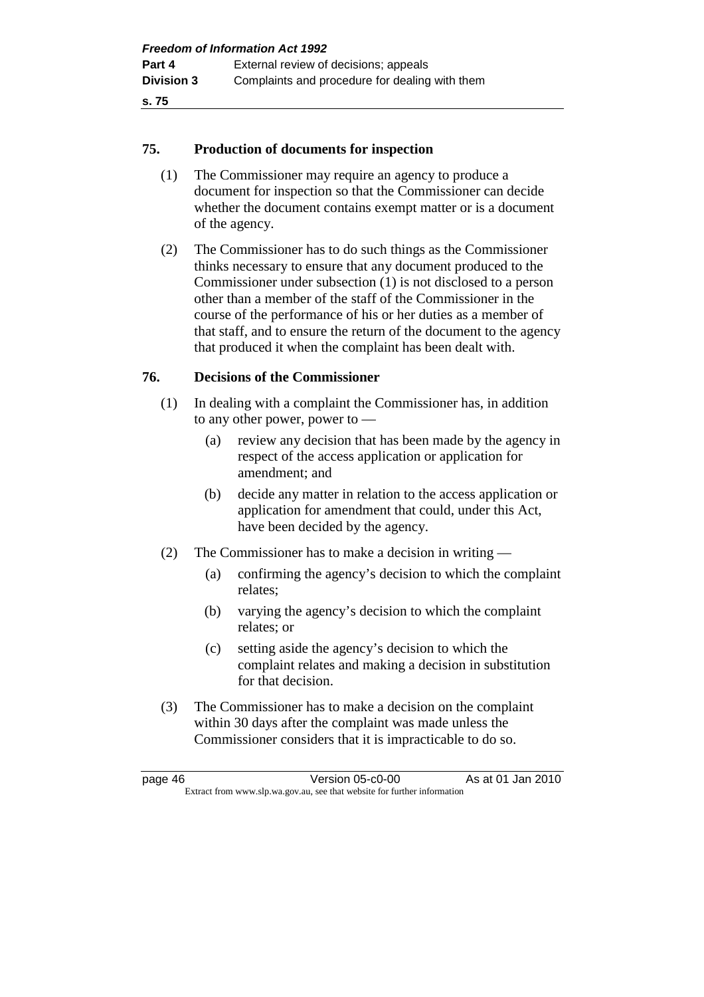#### **75. Production of documents for inspection**

- (1) The Commissioner may require an agency to produce a document for inspection so that the Commissioner can decide whether the document contains exempt matter or is a document of the agency.
- (2) The Commissioner has to do such things as the Commissioner thinks necessary to ensure that any document produced to the Commissioner under subsection (1) is not disclosed to a person other than a member of the staff of the Commissioner in the course of the performance of his or her duties as a member of that staff, and to ensure the return of the document to the agency that produced it when the complaint has been dealt with.

#### **76. Decisions of the Commissioner**

- (1) In dealing with a complaint the Commissioner has, in addition to any other power, power to —
	- (a) review any decision that has been made by the agency in respect of the access application or application for amendment; and
	- (b) decide any matter in relation to the access application or application for amendment that could, under this Act, have been decided by the agency.
- (2) The Commissioner has to make a decision in writing
	- (a) confirming the agency's decision to which the complaint relates;
	- (b) varying the agency's decision to which the complaint relates; or
	- (c) setting aside the agency's decision to which the complaint relates and making a decision in substitution for that decision.
- (3) The Commissioner has to make a decision on the complaint within 30 days after the complaint was made unless the Commissioner considers that it is impracticable to do so.

page 46 Version 05-c0-00 As at 01 Jan 2010 Extract from www.slp.wa.gov.au, see that website for further information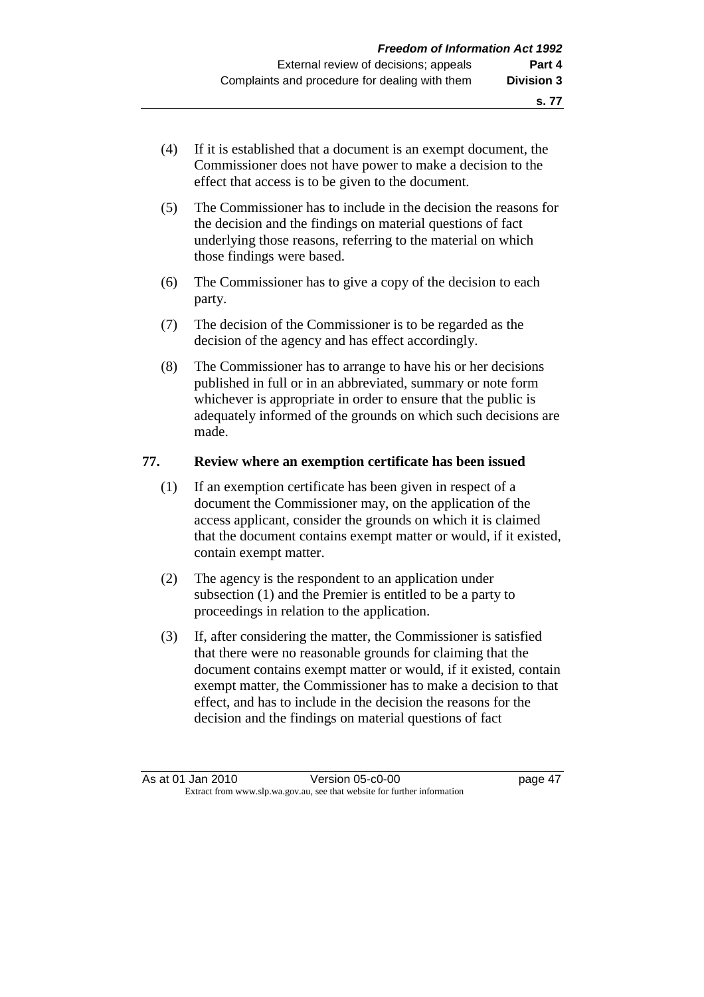- (4) If it is established that a document is an exempt document, the Commissioner does not have power to make a decision to the effect that access is to be given to the document.
- (5) The Commissioner has to include in the decision the reasons for the decision and the findings on material questions of fact underlying those reasons, referring to the material on which those findings were based.
- (6) The Commissioner has to give a copy of the decision to each party.
- (7) The decision of the Commissioner is to be regarded as the decision of the agency and has effect accordingly.
- (8) The Commissioner has to arrange to have his or her decisions published in full or in an abbreviated, summary or note form whichever is appropriate in order to ensure that the public is adequately informed of the grounds on which such decisions are made.

## **77. Review where an exemption certificate has been issued**

- (1) If an exemption certificate has been given in respect of a document the Commissioner may, on the application of the access applicant, consider the grounds on which it is claimed that the document contains exempt matter or would, if it existed, contain exempt matter.
- (2) The agency is the respondent to an application under subsection (1) and the Premier is entitled to be a party to proceedings in relation to the application.
- (3) If, after considering the matter, the Commissioner is satisfied that there were no reasonable grounds for claiming that the document contains exempt matter or would, if it existed, contain exempt matter, the Commissioner has to make a decision to that effect, and has to include in the decision the reasons for the decision and the findings on material questions of fact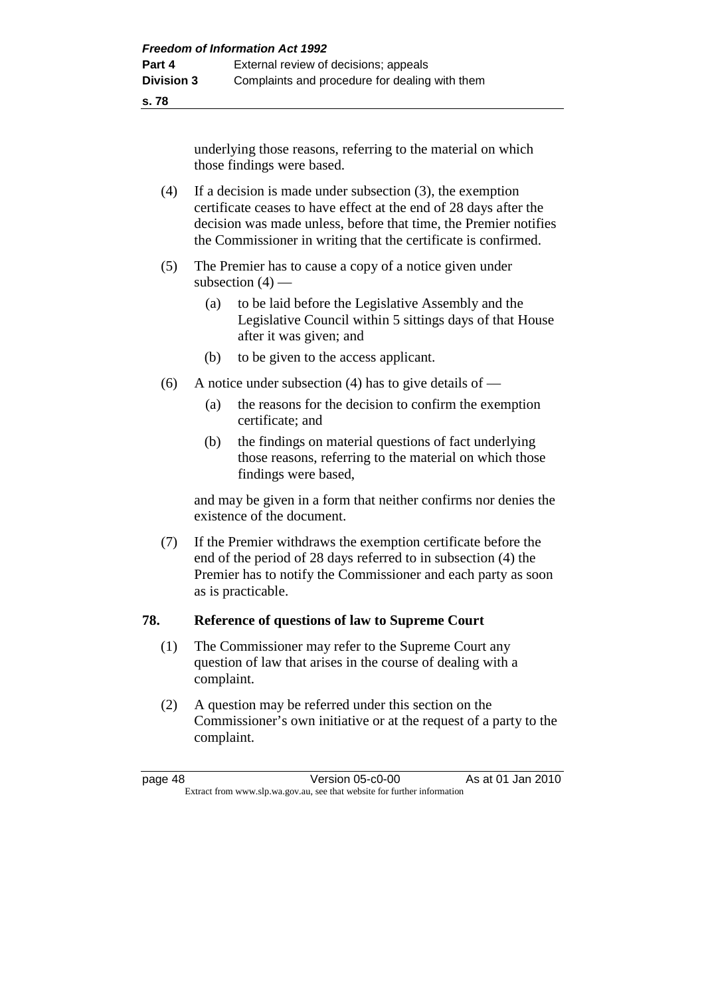underlying those reasons, referring to the material on which those findings were based.

- (4) If a decision is made under subsection (3), the exemption certificate ceases to have effect at the end of 28 days after the decision was made unless, before that time, the Premier notifies the Commissioner in writing that the certificate is confirmed.
- (5) The Premier has to cause a copy of a notice given under subsection  $(4)$  —
	- (a) to be laid before the Legislative Assembly and the Legislative Council within 5 sittings days of that House after it was given; and
	- (b) to be given to the access applicant.
- (6) A notice under subsection (4) has to give details of
	- (a) the reasons for the decision to confirm the exemption certificate; and
	- (b) the findings on material questions of fact underlying those reasons, referring to the material on which those findings were based,

 and may be given in a form that neither confirms nor denies the existence of the document.

 (7) If the Premier withdraws the exemption certificate before the end of the period of 28 days referred to in subsection (4) the Premier has to notify the Commissioner and each party as soon as is practicable.

## **78. Reference of questions of law to Supreme Court**

- (1) The Commissioner may refer to the Supreme Court any question of law that arises in the course of dealing with a complaint.
- (2) A question may be referred under this section on the Commissioner's own initiative or at the request of a party to the complaint.

page 48 Version 05-c0-00 As at 01 Jan 2010 Extract from www.slp.wa.gov.au, see that website for further information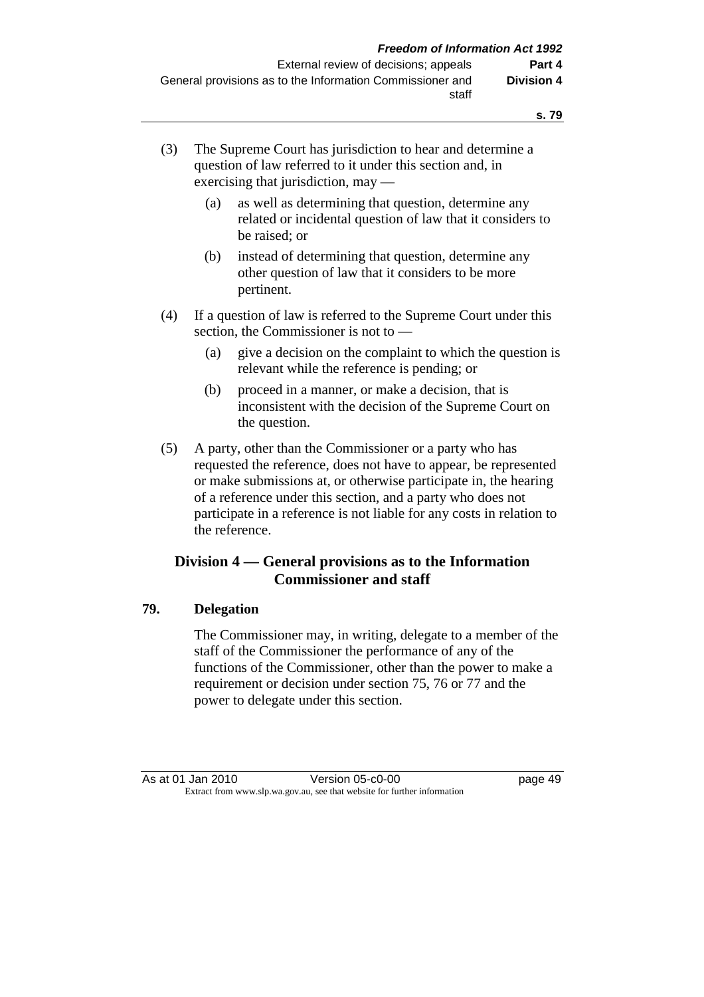- (3) The Supreme Court has jurisdiction to hear and determine a question of law referred to it under this section and, in exercising that jurisdiction, may —
	- (a) as well as determining that question, determine any related or incidental question of law that it considers to be raised; or
	- (b) instead of determining that question, determine any other question of law that it considers to be more pertinent.
- (4) If a question of law is referred to the Supreme Court under this section, the Commissioner is not to —
	- (a) give a decision on the complaint to which the question is relevant while the reference is pending; or
	- (b) proceed in a manner, or make a decision, that is inconsistent with the decision of the Supreme Court on the question.
- (5) A party, other than the Commissioner or a party who has requested the reference, does not have to appear, be represented or make submissions at, or otherwise participate in, the hearing of a reference under this section, and a party who does not participate in a reference is not liable for any costs in relation to the reference.

# **Division 4 — General provisions as to the Information Commissioner and staff**

## **79. Delegation**

 The Commissioner may, in writing, delegate to a member of the staff of the Commissioner the performance of any of the functions of the Commissioner, other than the power to make a requirement or decision under section 75, 76 or 77 and the power to delegate under this section.

As at 01 Jan 2010 Version 05-c0-00 page 49 Extract from www.slp.wa.gov.au, see that website for further information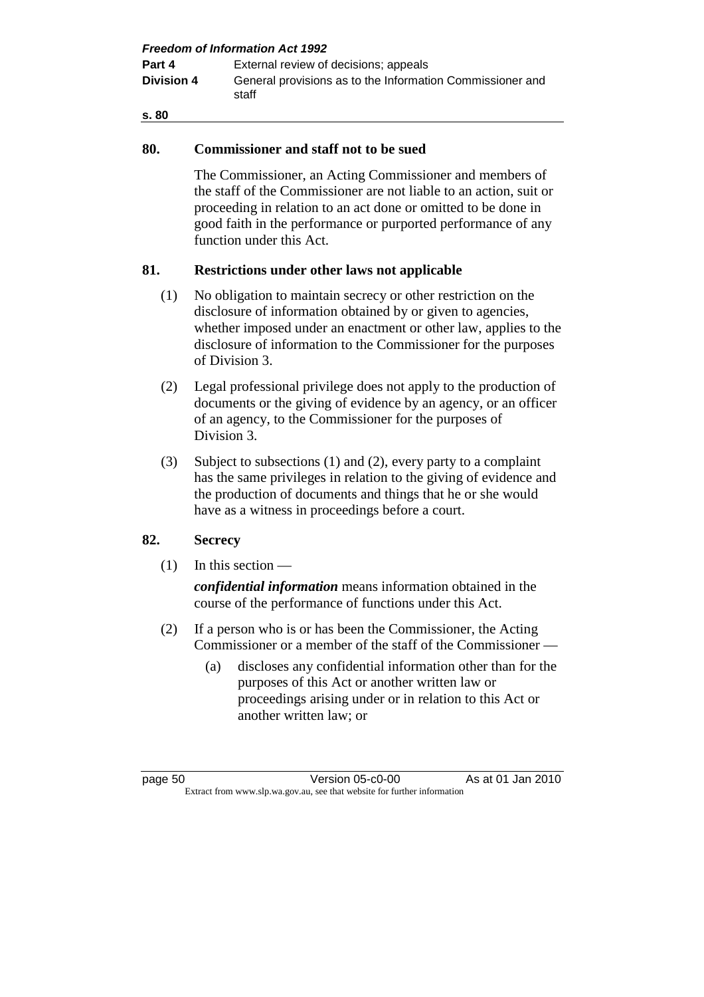| <b>Freedom of Information Act 1992</b> |                                                                    |  |  |
|----------------------------------------|--------------------------------------------------------------------|--|--|
| Part 4                                 | External review of decisions; appeals                              |  |  |
| <b>Division 4</b>                      | General provisions as to the Information Commissioner and<br>staff |  |  |
| s. 80                                  |                                                                    |  |  |

## **80. Commissioner and staff not to be sued**

 The Commissioner, an Acting Commissioner and members of the staff of the Commissioner are not liable to an action, suit or proceeding in relation to an act done or omitted to be done in good faith in the performance or purported performance of any function under this Act.

## **81. Restrictions under other laws not applicable**

- (1) No obligation to maintain secrecy or other restriction on the disclosure of information obtained by or given to agencies, whether imposed under an enactment or other law, applies to the disclosure of information to the Commissioner for the purposes of Division 3.
- (2) Legal professional privilege does not apply to the production of documents or the giving of evidence by an agency, or an officer of an agency, to the Commissioner for the purposes of Division 3.
- (3) Subject to subsections (1) and (2), every party to a complaint has the same privileges in relation to the giving of evidence and the production of documents and things that he or she would have as a witness in proceedings before a court.

# **82. Secrecy**

 $(1)$  In this section —

*confidential information* means information obtained in the course of the performance of functions under this Act.

- (2) If a person who is or has been the Commissioner, the Acting Commissioner or a member of the staff of the Commissioner —
	- (a) discloses any confidential information other than for the purposes of this Act or another written law or proceedings arising under or in relation to this Act or another written law; or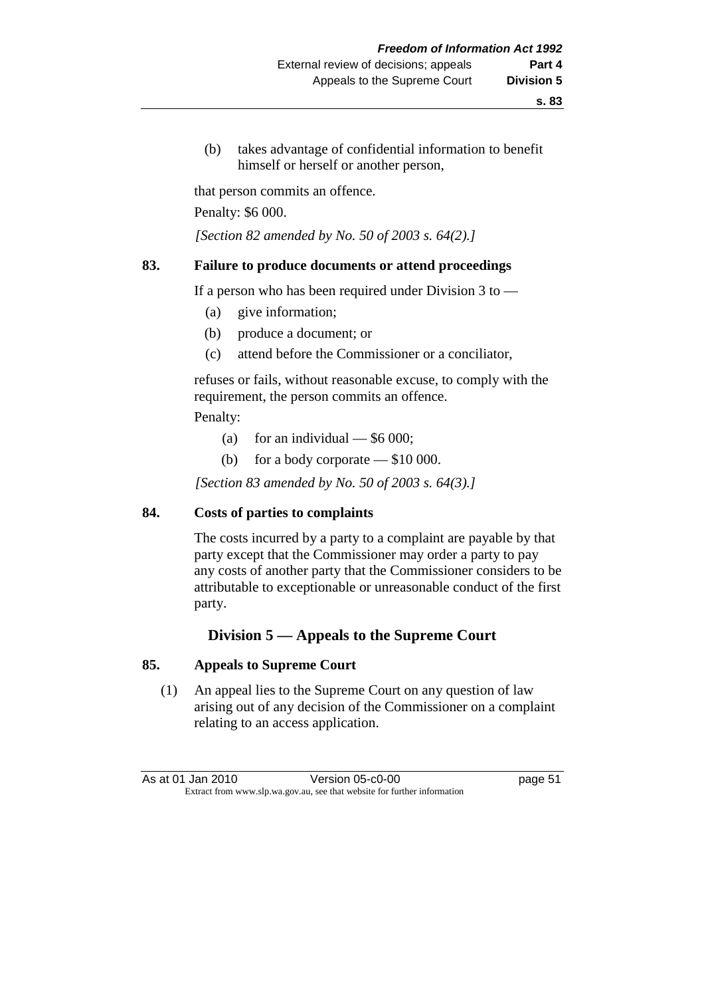(b) takes advantage of confidential information to benefit himself or herself or another person,

that person commits an offence.

Penalty: \$6 000.

 *[Section 82 amended by No. 50 of 2003 s. 64(2).]* 

#### **83. Failure to produce documents or attend proceedings**

If a person who has been required under Division  $3$  to  $-$ 

- (a) give information;
- (b) produce a document; or
- (c) attend before the Commissioner or a conciliator,

 refuses or fails, without reasonable excuse, to comply with the requirement, the person commits an offence.

Penalty:

- (a) for an individual  $-$  \$6 000;
- (b) for a body corporate \$10 000.

 *[Section 83 amended by No. 50 of 2003 s. 64(3).]* 

#### **84. Costs of parties to complaints**

 The costs incurred by a party to a complaint are payable by that party except that the Commissioner may order a party to pay any costs of another party that the Commissioner considers to be attributable to exceptionable or unreasonable conduct of the first party.

## **Division 5 — Appeals to the Supreme Court**

#### **85. Appeals to Supreme Court**

 (1) An appeal lies to the Supreme Court on any question of law arising out of any decision of the Commissioner on a complaint relating to an access application.

| As at 01 Jan 2010 | Version 05-c0-00                                                         | page 51 |
|-------------------|--------------------------------------------------------------------------|---------|
|                   | Extract from www.slp.wa.gov.au, see that website for further information |         |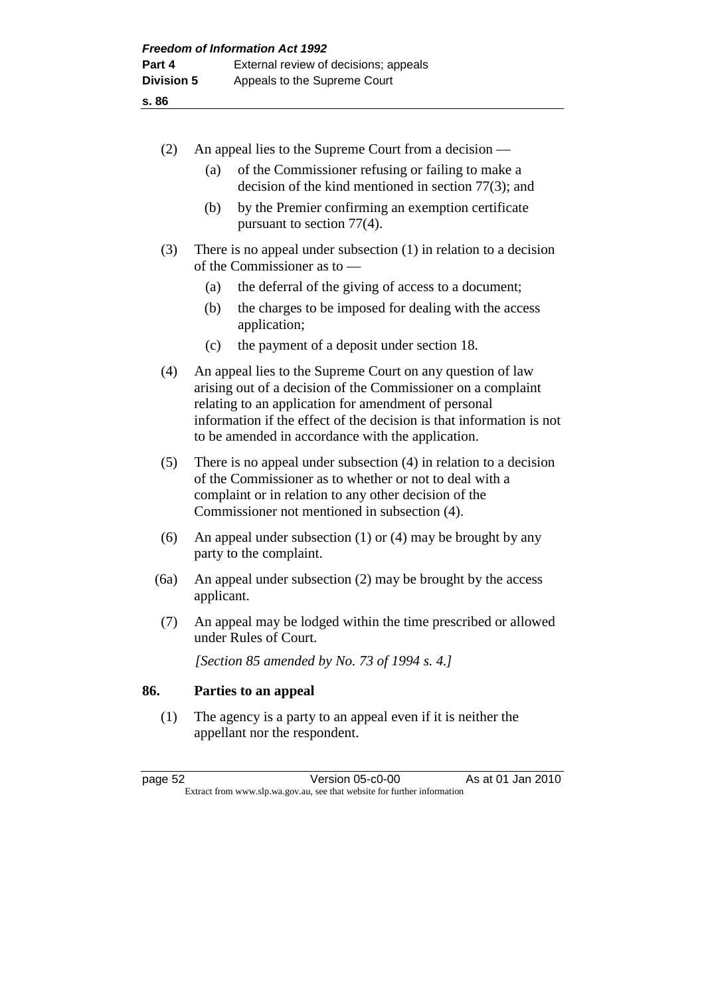| (2)  | An appeal lies to the Supreme Court from a decision —                                                                                                                                                                                                                                                           |  |
|------|-----------------------------------------------------------------------------------------------------------------------------------------------------------------------------------------------------------------------------------------------------------------------------------------------------------------|--|
|      | of the Commissioner refusing or failing to make a<br>(a)<br>decision of the kind mentioned in section $77(3)$ ; and                                                                                                                                                                                             |  |
|      | by the Premier confirming an exemption certificate<br>(b)<br>pursuant to section 77(4).                                                                                                                                                                                                                         |  |
| (3)  | There is no appeal under subsection $(1)$ in relation to a decision<br>of the Commissioner as to —                                                                                                                                                                                                              |  |
|      | the deferral of the giving of access to a document;<br>(a)                                                                                                                                                                                                                                                      |  |
|      | (b)<br>the charges to be imposed for dealing with the access<br>application;                                                                                                                                                                                                                                    |  |
|      | the payment of a deposit under section 18.<br>(c)                                                                                                                                                                                                                                                               |  |
| (4)  | An appeal lies to the Supreme Court on any question of law<br>arising out of a decision of the Commissioner on a complaint<br>relating to an application for amendment of personal<br>information if the effect of the decision is that information is not<br>to be amended in accordance with the application. |  |
| (5)  | There is no appeal under subsection $(4)$ in relation to a decision<br>of the Commissioner as to whether or not to deal with a<br>complaint or in relation to any other decision of the<br>Commissioner not mentioned in subsection (4).                                                                        |  |
| (6)  | An appeal under subsection $(1)$ or $(4)$ may be brought by any<br>party to the complaint.                                                                                                                                                                                                                      |  |
| (6a) | An appeal under subsection $(2)$ may be brought by the access<br>applicant.                                                                                                                                                                                                                                     |  |

 (7) An appeal may be lodged within the time prescribed or allowed under Rules of Court.

 *[Section 85 amended by No. 73 of 1994 s. 4.]* 

## **86. Parties to an appeal**

 (1) The agency is a party to an appeal even if it is neither the appellant nor the respondent.

page 52 Version 05-c0-00 As at 01 Jan 2010 Extract from www.slp.wa.gov.au, see that website for further information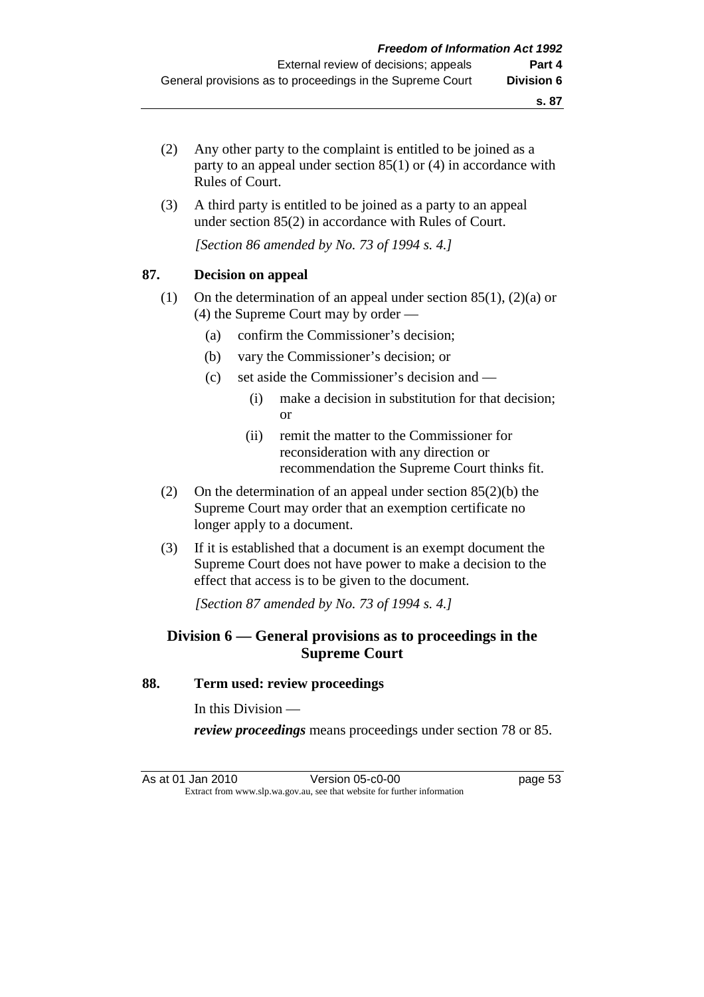- (2) Any other party to the complaint is entitled to be joined as a party to an appeal under section 85(1) or (4) in accordance with Rules of Court.
- (3) A third party is entitled to be joined as a party to an appeal under section 85(2) in accordance with Rules of Court.

 *[Section 86 amended by No. 73 of 1994 s. 4.]* 

## **87. Decision on appeal**

- (1) On the determination of an appeal under section 85(1), (2)(a) or (4) the Supreme Court may by order —
	- (a) confirm the Commissioner's decision;
	- (b) vary the Commissioner's decision; or
	- (c) set aside the Commissioner's decision and
		- (i) make a decision in substitution for that decision; or
		- (ii) remit the matter to the Commissioner for reconsideration with any direction or recommendation the Supreme Court thinks fit.
- (2) On the determination of an appeal under section 85(2)(b) the Supreme Court may order that an exemption certificate no longer apply to a document.
- (3) If it is established that a document is an exempt document the Supreme Court does not have power to make a decision to the effect that access is to be given to the document.

 *[Section 87 amended by No. 73 of 1994 s. 4.]* 

# **Division 6 — General provisions as to proceedings in the Supreme Court**

#### **88. Term used: review proceedings**

In this Division —

*review proceedings* means proceedings under section 78 or 85.

As at 01 Jan 2010 Version 05-c0-00 page 53 Extract from www.slp.wa.gov.au, see that website for further information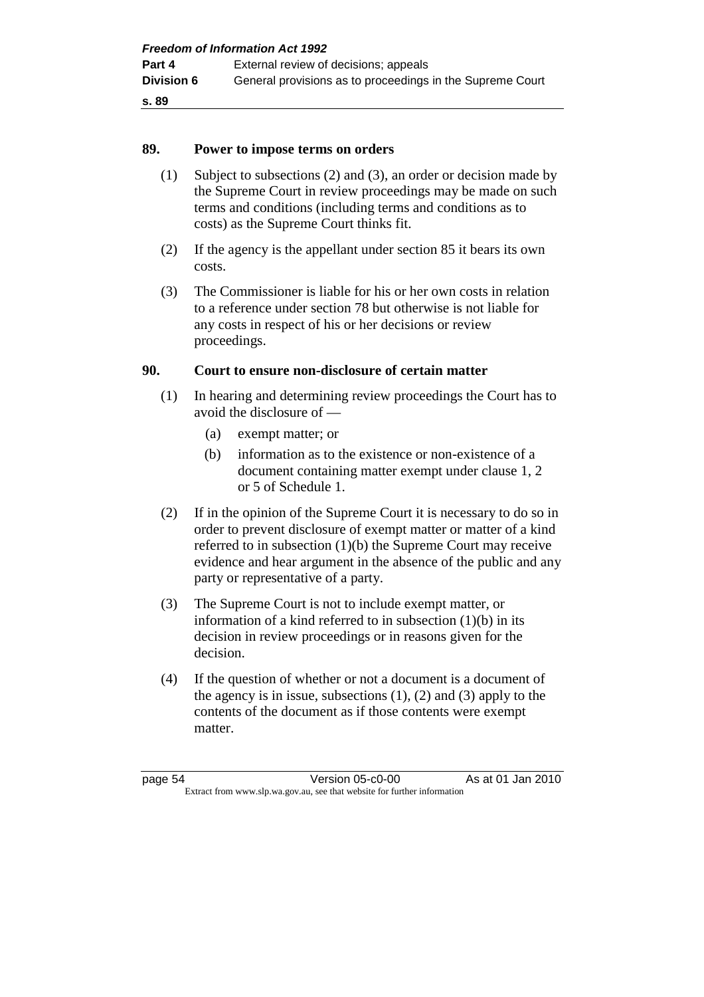## **89. Power to impose terms on orders**

- (1) Subject to subsections (2) and (3), an order or decision made by the Supreme Court in review proceedings may be made on such terms and conditions (including terms and conditions as to costs) as the Supreme Court thinks fit.
- (2) If the agency is the appellant under section 85 it bears its own costs.
- (3) The Commissioner is liable for his or her own costs in relation to a reference under section 78 but otherwise is not liable for any costs in respect of his or her decisions or review proceedings.

# **90. Court to ensure non-disclosure of certain matter**

- (1) In hearing and determining review proceedings the Court has to avoid the disclosure of —
	- (a) exempt matter; or
	- (b) information as to the existence or non-existence of a document containing matter exempt under clause 1, 2 or 5 of Schedule 1.
- (2) If in the opinion of the Supreme Court it is necessary to do so in order to prevent disclosure of exempt matter or matter of a kind referred to in subsection (1)(b) the Supreme Court may receive evidence and hear argument in the absence of the public and any party or representative of a party.
- (3) The Supreme Court is not to include exempt matter, or information of a kind referred to in subsection (1)(b) in its decision in review proceedings or in reasons given for the decision.
- (4) If the question of whether or not a document is a document of the agency is in issue, subsections  $(1)$ ,  $(2)$  and  $(3)$  apply to the contents of the document as if those contents were exempt matter.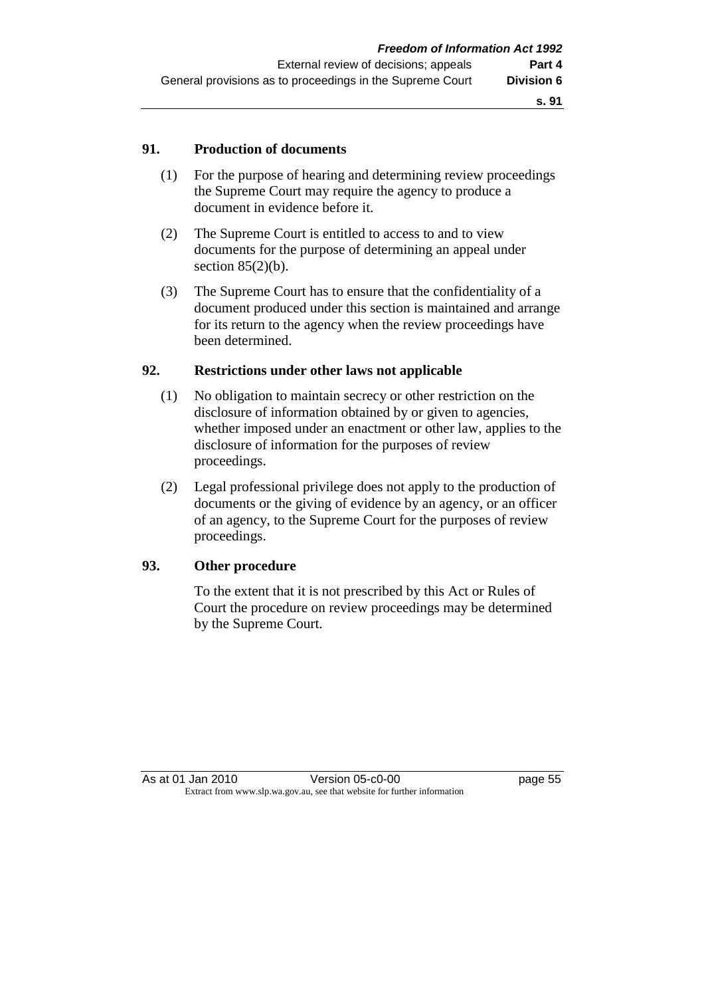## **91. Production of documents**

- (1) For the purpose of hearing and determining review proceedings the Supreme Court may require the agency to produce a document in evidence before it.
- (2) The Supreme Court is entitled to access to and to view documents for the purpose of determining an appeal under section  $85(2)(b)$ .
- (3) The Supreme Court has to ensure that the confidentiality of a document produced under this section is maintained and arrange for its return to the agency when the review proceedings have been determined.

## **92. Restrictions under other laws not applicable**

- (1) No obligation to maintain secrecy or other restriction on the disclosure of information obtained by or given to agencies, whether imposed under an enactment or other law, applies to the disclosure of information for the purposes of review proceedings.
- (2) Legal professional privilege does not apply to the production of documents or the giving of evidence by an agency, or an officer of an agency, to the Supreme Court for the purposes of review proceedings.

## **93. Other procedure**

 To the extent that it is not prescribed by this Act or Rules of Court the procedure on review proceedings may be determined by the Supreme Court.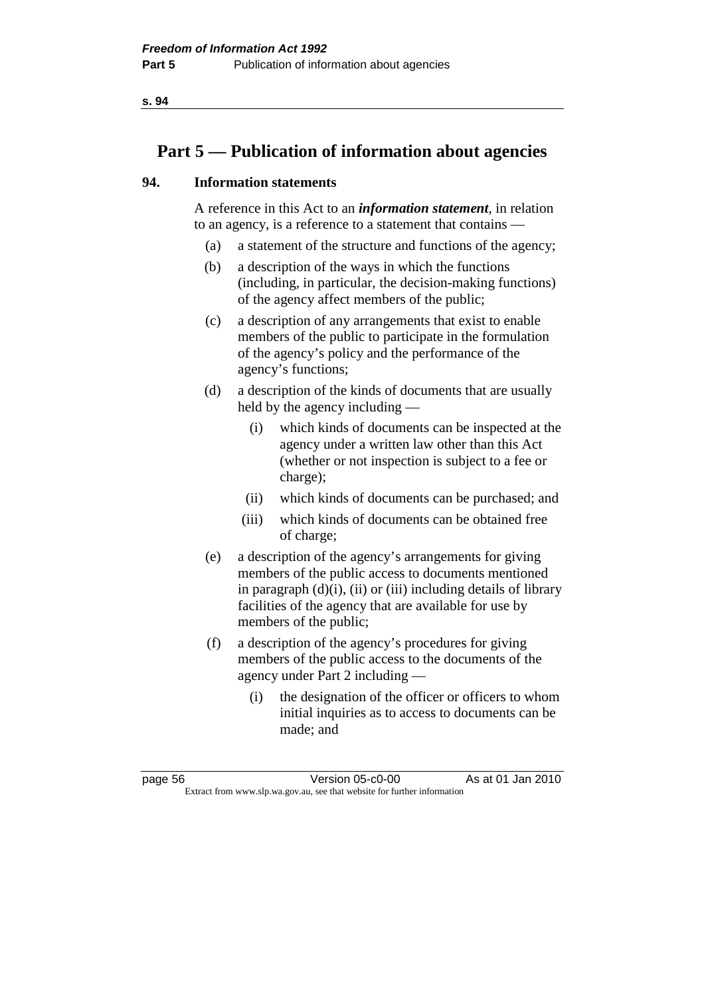# **Part 5 — Publication of information about agencies**

## **94. Information statements**

 A reference in this Act to an *information statement*, in relation to an agency, is a reference to a statement that contains —

- (a) a statement of the structure and functions of the agency;
- (b) a description of the ways in which the functions (including, in particular, the decision-making functions) of the agency affect members of the public;
- (c) a description of any arrangements that exist to enable members of the public to participate in the formulation of the agency's policy and the performance of the agency's functions;
- (d) a description of the kinds of documents that are usually held by the agency including —
	- (i) which kinds of documents can be inspected at the agency under a written law other than this Act (whether or not inspection is subject to a fee or charge);
	- (ii) which kinds of documents can be purchased; and
	- (iii) which kinds of documents can be obtained free of charge;
- (e) a description of the agency's arrangements for giving members of the public access to documents mentioned in paragraph  $(d)(i)$ ,  $(ii)$  or  $(iii)$  including details of library facilities of the agency that are available for use by members of the public;
- (f) a description of the agency's procedures for giving members of the public access to the documents of the agency under Part 2 including —
	- (i) the designation of the officer or officers to whom initial inquiries as to access to documents can be made; and

page 56 Version 05-c0-00 As at 01 Jan 2010 Extract from www.slp.wa.gov.au, see that website for further information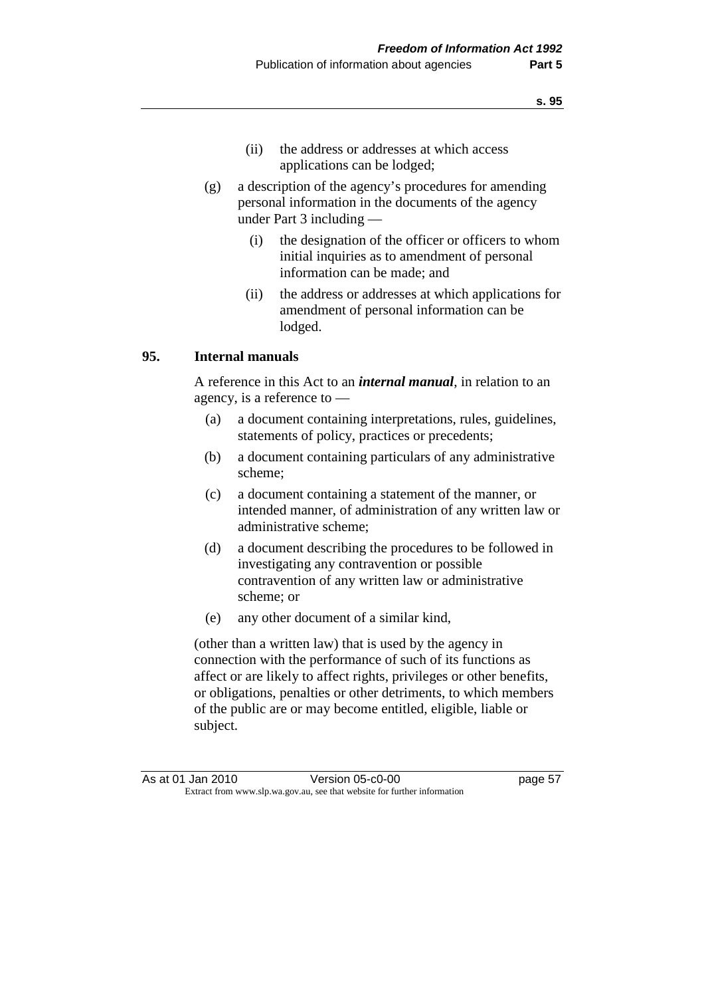- (ii) the address or addresses at which access applications can be lodged;
- (g) a description of the agency's procedures for amending personal information in the documents of the agency under Part 3 including —
	- (i) the designation of the officer or officers to whom initial inquiries as to amendment of personal information can be made; and
	- (ii) the address or addresses at which applications for amendment of personal information can be lodged.

## **95. Internal manuals**

 A reference in this Act to an *internal manual*, in relation to an agency, is a reference to —

- (a) a document containing interpretations, rules, guidelines, statements of policy, practices or precedents;
- (b) a document containing particulars of any administrative scheme;
- (c) a document containing a statement of the manner, or intended manner, of administration of any written law or administrative scheme;
- (d) a document describing the procedures to be followed in investigating any contravention or possible contravention of any written law or administrative scheme; or
- (e) any other document of a similar kind,

 (other than a written law) that is used by the agency in connection with the performance of such of its functions as affect or are likely to affect rights, privileges or other benefits, or obligations, penalties or other detriments, to which members of the public are or may become entitled, eligible, liable or subject.

As at 01 Jan 2010 Version 05-c0-00 page 57 Extract from www.slp.wa.gov.au, see that website for further information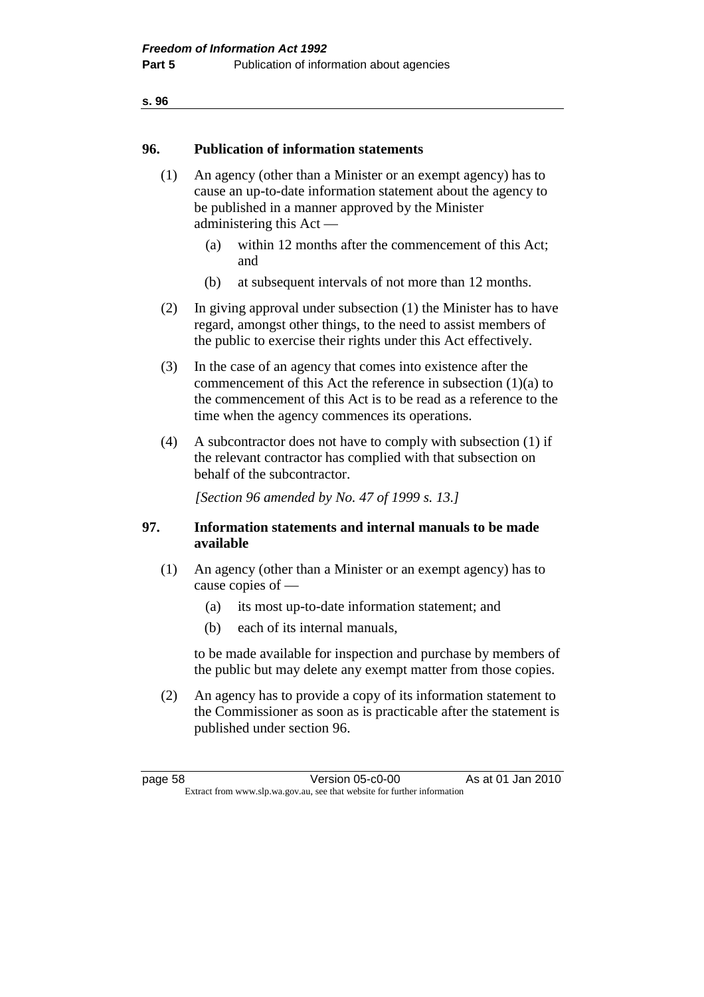#### **96. Publication of information statements**

- (1) An agency (other than a Minister or an exempt agency) has to cause an up-to-date information statement about the agency to be published in a manner approved by the Minister administering this Act —
	- (a) within 12 months after the commencement of this Act; and
	- (b) at subsequent intervals of not more than 12 months.
- (2) In giving approval under subsection (1) the Minister has to have regard, amongst other things, to the need to assist members of the public to exercise their rights under this Act effectively.
- (3) In the case of an agency that comes into existence after the commencement of this Act the reference in subsection (1)(a) to the commencement of this Act is to be read as a reference to the time when the agency commences its operations.
- (4) A subcontractor does not have to comply with subsection (1) if the relevant contractor has complied with that subsection on behalf of the subcontractor.

 *[Section 96 amended by No. 47 of 1999 s. 13.]* 

## **97. Information statements and internal manuals to be made available**

- (1) An agency (other than a Minister or an exempt agency) has to cause copies of —
	- (a) its most up-to-date information statement; and
	- (b) each of its internal manuals,

 to be made available for inspection and purchase by members of the public but may delete any exempt matter from those copies.

 (2) An agency has to provide a copy of its information statement to the Commissioner as soon as is practicable after the statement is published under section 96.

page 58 Version 05-c0-00 As at 01 Jan 2010 Extract from www.slp.wa.gov.au, see that website for further information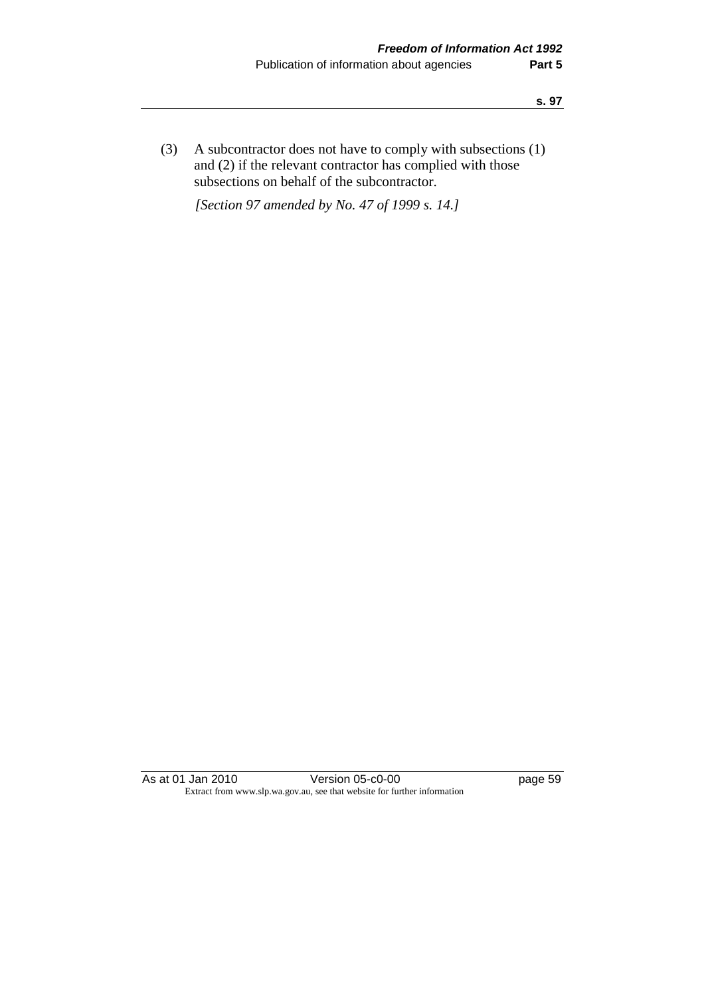(3) A subcontractor does not have to comply with subsections (1) and (2) if the relevant contractor has complied with those subsections on behalf of the subcontractor.

 *[Section 97 amended by No. 47 of 1999 s. 14.]* 

As at 01 Jan 2010 Version 05-c0-00 page 59 Extract from www.slp.wa.gov.au, see that website for further information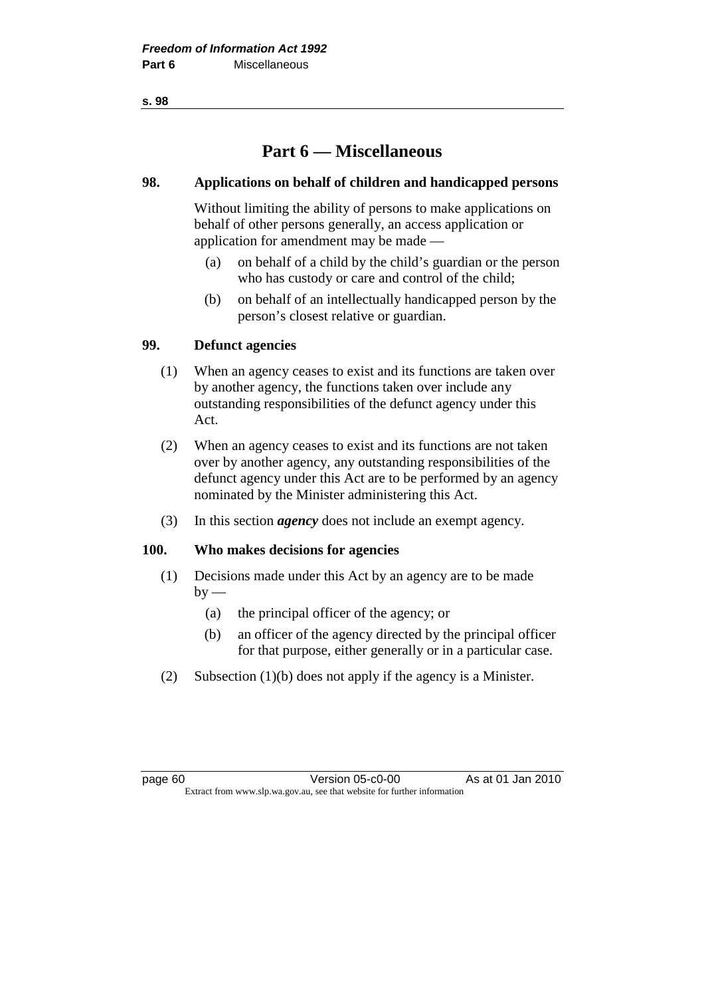# **Part 6 — Miscellaneous**

## **98. Applications on behalf of children and handicapped persons**

 Without limiting the ability of persons to make applications on behalf of other persons generally, an access application or application for amendment may be made —

- (a) on behalf of a child by the child's guardian or the person who has custody or care and control of the child;
- (b) on behalf of an intellectually handicapped person by the person's closest relative or guardian.

## **99. Defunct agencies**

- (1) When an agency ceases to exist and its functions are taken over by another agency, the functions taken over include any outstanding responsibilities of the defunct agency under this Act.
- (2) When an agency ceases to exist and its functions are not taken over by another agency, any outstanding responsibilities of the defunct agency under this Act are to be performed by an agency nominated by the Minister administering this Act.
- (3) In this section *agency* does not include an exempt agency.

## **100. Who makes decisions for agencies**

- (1) Decisions made under this Act by an agency are to be made  $by -$ 
	- (a) the principal officer of the agency; or
	- (b) an officer of the agency directed by the principal officer for that purpose, either generally or in a particular case.
- (2) Subsection (1)(b) does not apply if the agency is a Minister.

page 60 Version 05-c0-00 As at 01 Jan 2010 Extract from www.slp.wa.gov.au, see that website for further information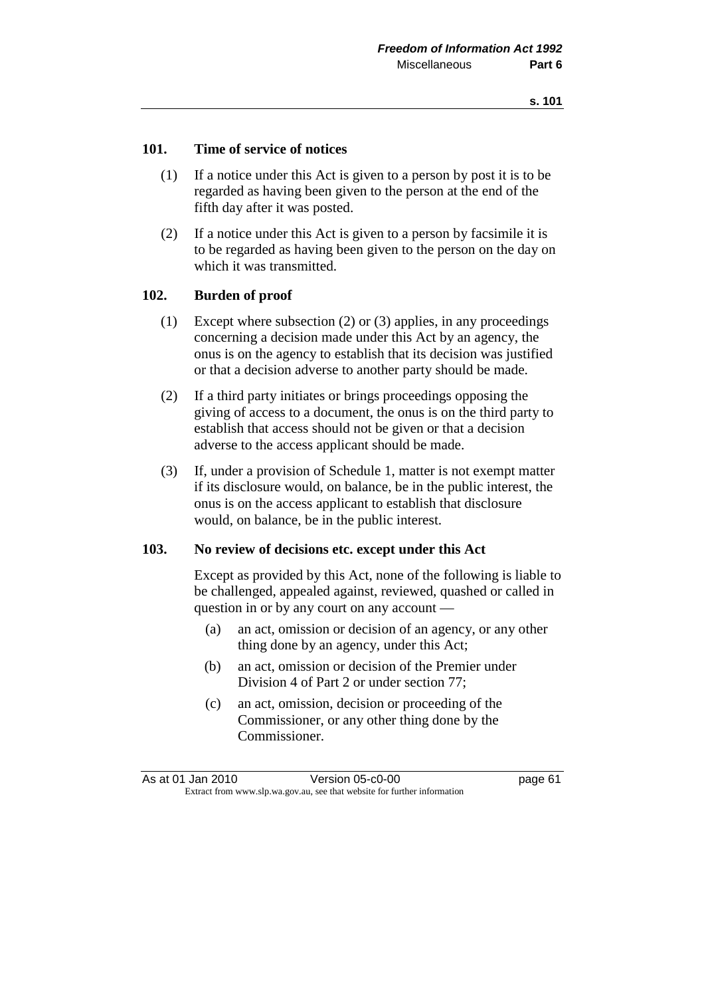## **101. Time of service of notices**

- (1) If a notice under this Act is given to a person by post it is to be regarded as having been given to the person at the end of the fifth day after it was posted.
- (2) If a notice under this Act is given to a person by facsimile it is to be regarded as having been given to the person on the day on which it was transmitted.

## **102. Burden of proof**

- (1) Except where subsection (2) or (3) applies, in any proceedings concerning a decision made under this Act by an agency, the onus is on the agency to establish that its decision was justified or that a decision adverse to another party should be made.
- (2) If a third party initiates or brings proceedings opposing the giving of access to a document, the onus is on the third party to establish that access should not be given or that a decision adverse to the access applicant should be made.
- (3) If, under a provision of Schedule 1, matter is not exempt matter if its disclosure would, on balance, be in the public interest, the onus is on the access applicant to establish that disclosure would, on balance, be in the public interest.

#### **103. No review of decisions etc. except under this Act**

 Except as provided by this Act, none of the following is liable to be challenged, appealed against, reviewed, quashed or called in question in or by any court on any account —

- (a) an act, omission or decision of an agency, or any other thing done by an agency, under this Act;
- (b) an act, omission or decision of the Premier under Division 4 of Part 2 or under section 77;
- (c) an act, omission, decision or proceeding of the Commissioner, or any other thing done by the Commissioner.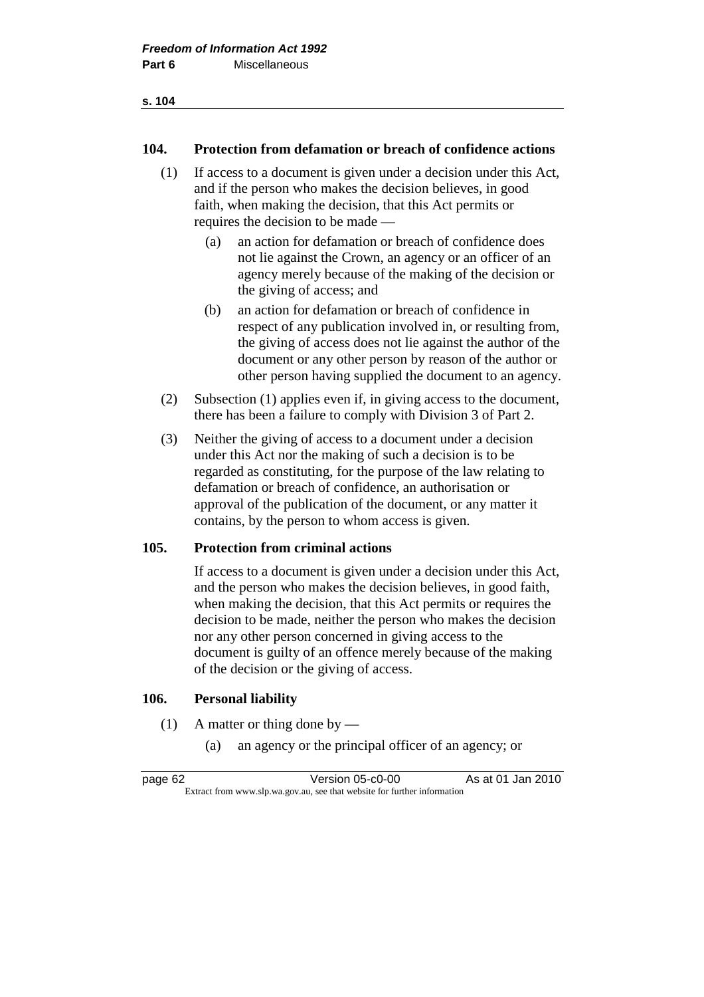#### **104. Protection from defamation or breach of confidence actions**

- (1) If access to a document is given under a decision under this Act, and if the person who makes the decision believes, in good faith, when making the decision, that this Act permits or requires the decision to be made —
	- (a) an action for defamation or breach of confidence does not lie against the Crown, an agency or an officer of an agency merely because of the making of the decision or the giving of access; and
	- (b) an action for defamation or breach of confidence in respect of any publication involved in, or resulting from, the giving of access does not lie against the author of the document or any other person by reason of the author or other person having supplied the document to an agency.
- (2) Subsection (1) applies even if, in giving access to the document, there has been a failure to comply with Division 3 of Part 2.
- (3) Neither the giving of access to a document under a decision under this Act nor the making of such a decision is to be regarded as constituting, for the purpose of the law relating to defamation or breach of confidence, an authorisation or approval of the publication of the document, or any matter it contains, by the person to whom access is given.

## **105. Protection from criminal actions**

 If access to a document is given under a decision under this Act, and the person who makes the decision believes, in good faith, when making the decision, that this Act permits or requires the decision to be made, neither the person who makes the decision nor any other person concerned in giving access to the document is guilty of an offence merely because of the making of the decision or the giving of access.

## **106. Personal liability**

- (1) A matter or thing done by
	- (a) an agency or the principal officer of an agency; or

page 62 Version 05-c0-00 As at 01 Jan 2010 Extract from www.slp.wa.gov.au, see that website for further information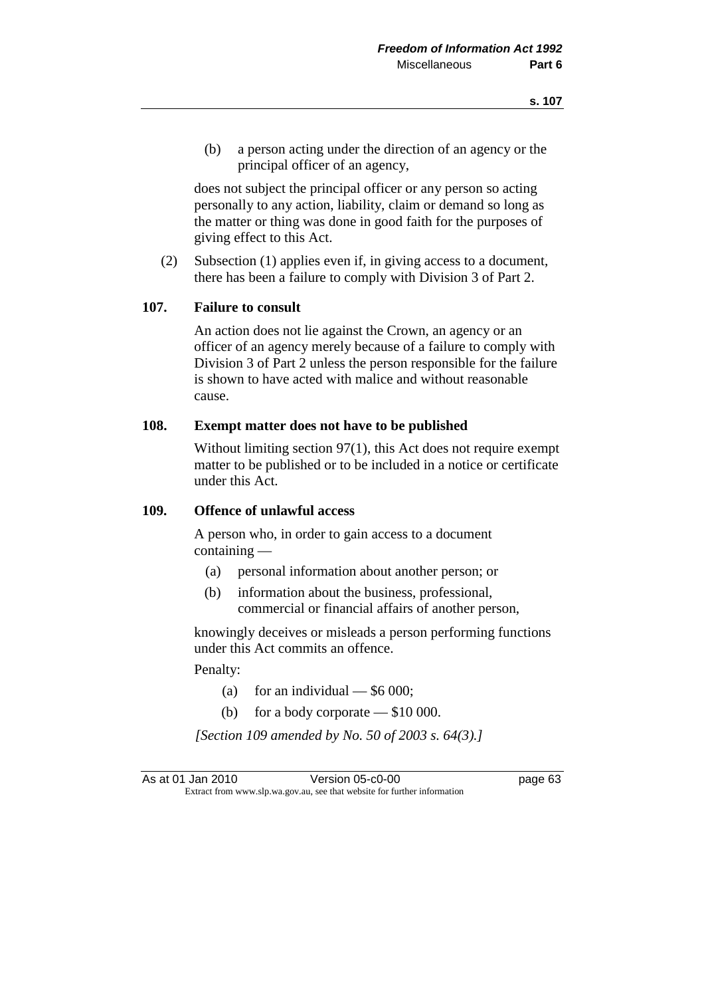(b) a person acting under the direction of an agency or the principal officer of an agency,

 does not subject the principal officer or any person so acting personally to any action, liability, claim or demand so long as the matter or thing was done in good faith for the purposes of giving effect to this Act.

 (2) Subsection (1) applies even if, in giving access to a document, there has been a failure to comply with Division 3 of Part 2.

## **107. Failure to consult**

 An action does not lie against the Crown, an agency or an officer of an agency merely because of a failure to comply with Division 3 of Part 2 unless the person responsible for the failure is shown to have acted with malice and without reasonable cause.

#### **108. Exempt matter does not have to be published**

Without limiting section 97(1), this Act does not require exempt matter to be published or to be included in a notice or certificate under this Act.

#### **109. Offence of unlawful access**

 A person who, in order to gain access to a document containing —

- (a) personal information about another person; or
- (b) information about the business, professional, commercial or financial affairs of another person,

 knowingly deceives or misleads a person performing functions under this Act commits an offence.

Penalty:

- (a) for an individual  $-$  \$6 000;
- (b) for a body corporate \$10 000.

 *[Section 109 amended by No. 50 of 2003 s. 64(3).]* 

As at 01 Jan 2010 Version 05-c0-00 page 63 Extract from www.slp.wa.gov.au, see that website for further information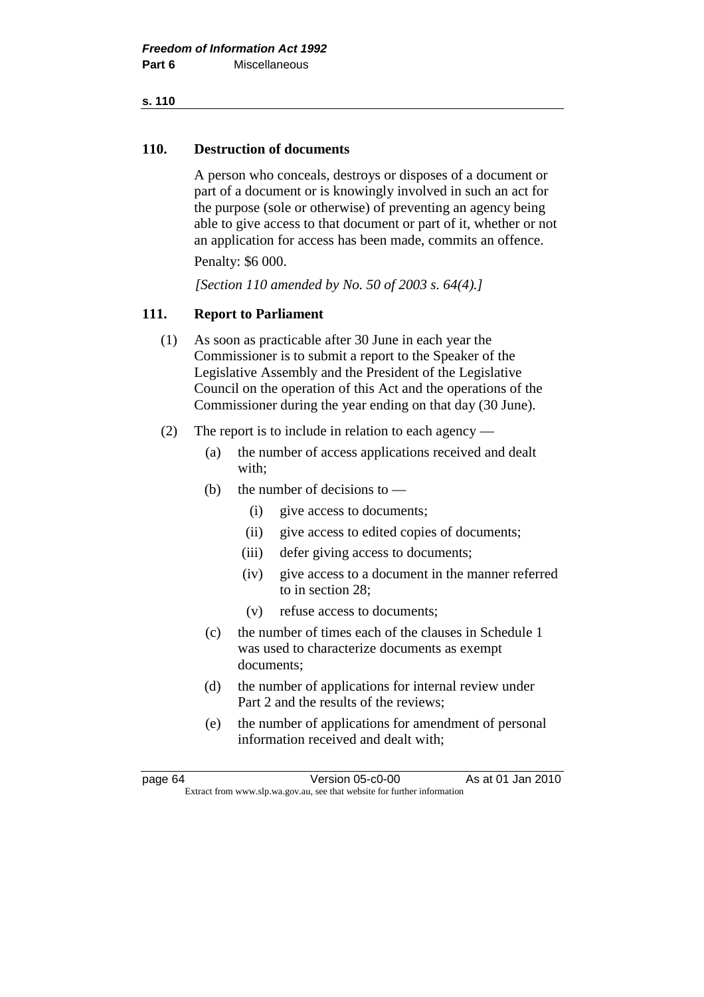## **110. Destruction of documents**

 A person who conceals, destroys or disposes of a document or part of a document or is knowingly involved in such an act for the purpose (sole or otherwise) of preventing an agency being able to give access to that document or part of it, whether or not an application for access has been made, commits an offence.

Penalty: \$6 000.

 *[Section 110 amended by No. 50 of 2003 s. 64(4).]* 

# **111. Report to Parliament**

- (1) As soon as practicable after 30 June in each year the Commissioner is to submit a report to the Speaker of the Legislative Assembly and the President of the Legislative Council on the operation of this Act and the operations of the Commissioner during the year ending on that day (30 June).
- (2) The report is to include in relation to each agency
	- (a) the number of access applications received and dealt with;
	- (b) the number of decisions to  $-$ 
		- (i) give access to documents;
		- (ii) give access to edited copies of documents;
		- (iii) defer giving access to documents;
		- (iv) give access to a document in the manner referred to in section 28;
		- (v) refuse access to documents;
	- (c) the number of times each of the clauses in Schedule 1 was used to characterize documents as exempt documents;
	- (d) the number of applications for internal review under Part 2 and the results of the reviews;
	- (e) the number of applications for amendment of personal information received and dealt with;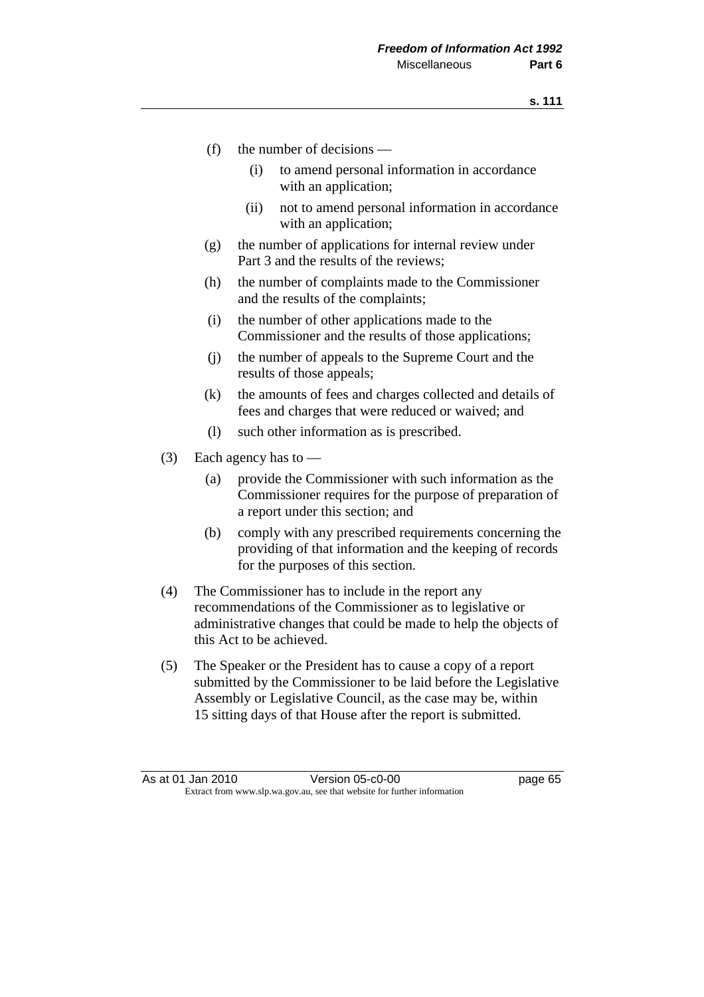- (f) the number of decisions
	- (i) to amend personal information in accordance with an application;
	- (ii) not to amend personal information in accordance with an application;
- (g) the number of applications for internal review under Part 3 and the results of the reviews;
- (h) the number of complaints made to the Commissioner and the results of the complaints;
- (i) the number of other applications made to the Commissioner and the results of those applications;
- (j) the number of appeals to the Supreme Court and the results of those appeals;
- (k) the amounts of fees and charges collected and details of fees and charges that were reduced or waived; and
- (l) such other information as is prescribed.
- (3) Each agency has to
	- (a) provide the Commissioner with such information as the Commissioner requires for the purpose of preparation of a report under this section; and
	- (b) comply with any prescribed requirements concerning the providing of that information and the keeping of records for the purposes of this section.
- (4) The Commissioner has to include in the report any recommendations of the Commissioner as to legislative or administrative changes that could be made to help the objects of this Act to be achieved.
- (5) The Speaker or the President has to cause a copy of a report submitted by the Commissioner to be laid before the Legislative Assembly or Legislative Council, as the case may be, within 15 sitting days of that House after the report is submitted.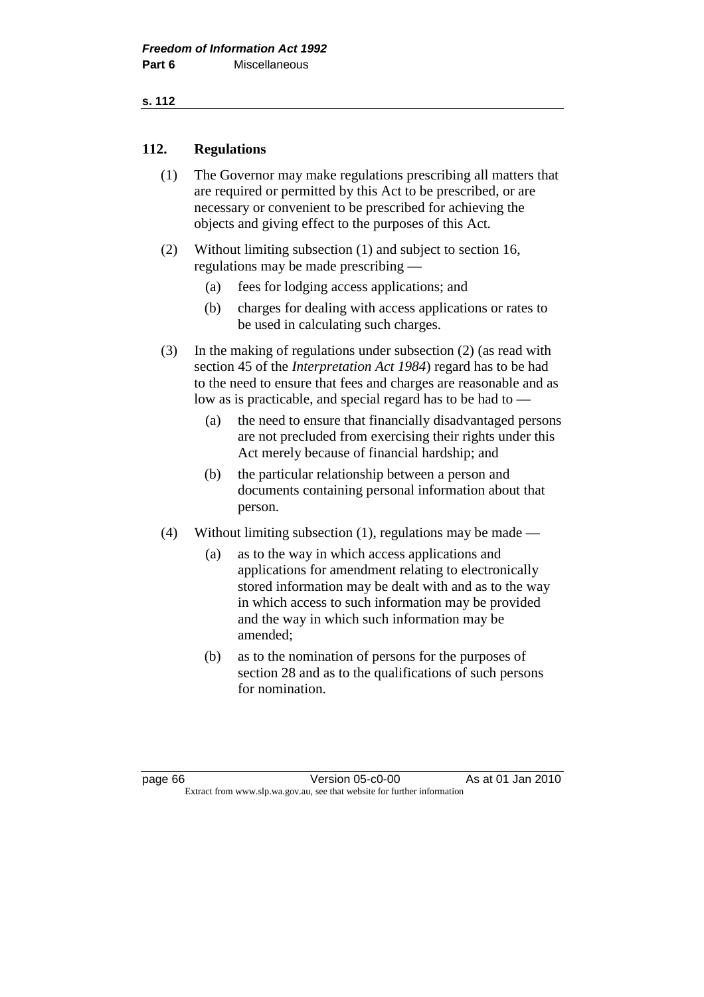## **s. 112**

## **112. Regulations**

- (1) The Governor may make regulations prescribing all matters that are required or permitted by this Act to be prescribed, or are necessary or convenient to be prescribed for achieving the objects and giving effect to the purposes of this Act.
- (2) Without limiting subsection (1) and subject to section 16, regulations may be made prescribing —
	- (a) fees for lodging access applications; and
	- (b) charges for dealing with access applications or rates to be used in calculating such charges.
- (3) In the making of regulations under subsection (2) (as read with section 45 of the *Interpretation Act 1984*) regard has to be had to the need to ensure that fees and charges are reasonable and as low as is practicable, and special regard has to be had to —
	- (a) the need to ensure that financially disadvantaged persons are not precluded from exercising their rights under this Act merely because of financial hardship; and
	- (b) the particular relationship between a person and documents containing personal information about that person.
- (4) Without limiting subsection (1), regulations may be made
	- (a) as to the way in which access applications and applications for amendment relating to electronically stored information may be dealt with and as to the way in which access to such information may be provided and the way in which such information may be amended;
	- (b) as to the nomination of persons for the purposes of section 28 and as to the qualifications of such persons for nomination.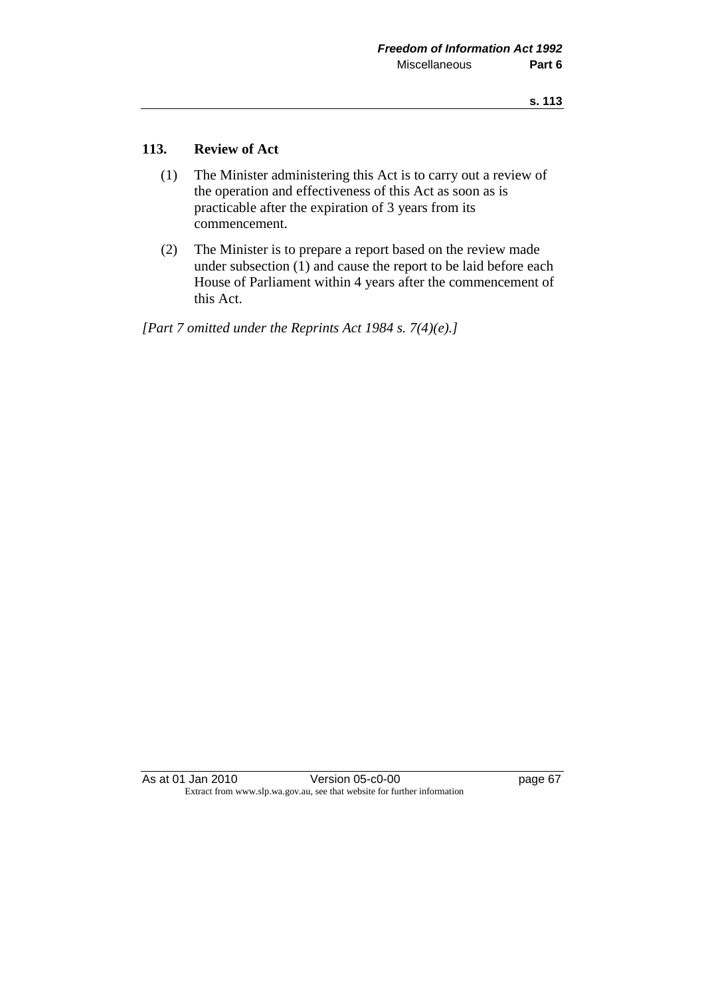## **113. Review of Act**

- (1) The Minister administering this Act is to carry out a review of the operation and effectiveness of this Act as soon as is practicable after the expiration of 3 years from its commencement.
- (2) The Minister is to prepare a report based on the review made under subsection (1) and cause the report to be laid before each House of Parliament within 4 years after the commencement of this Act.

*[Part 7 omitted under the Reprints Act 1984 s. 7(4)(e).]* 

As at 01 Jan 2010 **Version 05-c0-00 Page 67** Extract from www.slp.wa.gov.au, see that website for further information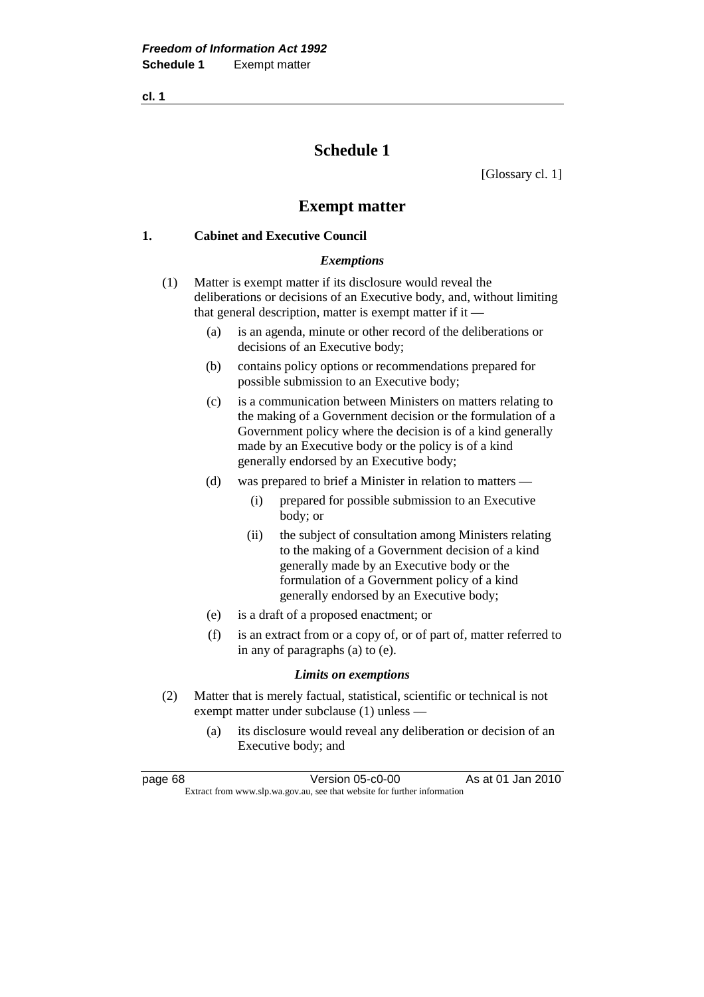# **Schedule 1**

[Glossary cl. 1]

# **Exempt matter**

## **1. Cabinet and Executive Council**

## *Exemptions*

- (1) Matter is exempt matter if its disclosure would reveal the deliberations or decisions of an Executive body, and, without limiting that general description, matter is exempt matter if it —
	- (a) is an agenda, minute or other record of the deliberations or decisions of an Executive body;
	- (b) contains policy options or recommendations prepared for possible submission to an Executive body;
	- (c) is a communication between Ministers on matters relating to the making of a Government decision or the formulation of a Government policy where the decision is of a kind generally made by an Executive body or the policy is of a kind generally endorsed by an Executive body;
	- (d) was prepared to brief a Minister in relation to matters
		- (i) prepared for possible submission to an Executive body; or
		- (ii) the subject of consultation among Ministers relating to the making of a Government decision of a kind generally made by an Executive body or the formulation of a Government policy of a kind generally endorsed by an Executive body;
	- (e) is a draft of a proposed enactment; or
	- (f) is an extract from or a copy of, or of part of, matter referred to in any of paragraphs (a) to (e).

## *Limits on exemptions*

- (2) Matter that is merely factual, statistical, scientific or technical is not exempt matter under subclause (1) unless —
	- (a) its disclosure would reveal any deliberation or decision of an Executive body; and

page 68 Version 05-c0-00 As at 01 Jan 2010 Extract from www.slp.wa.gov.au, see that website for further information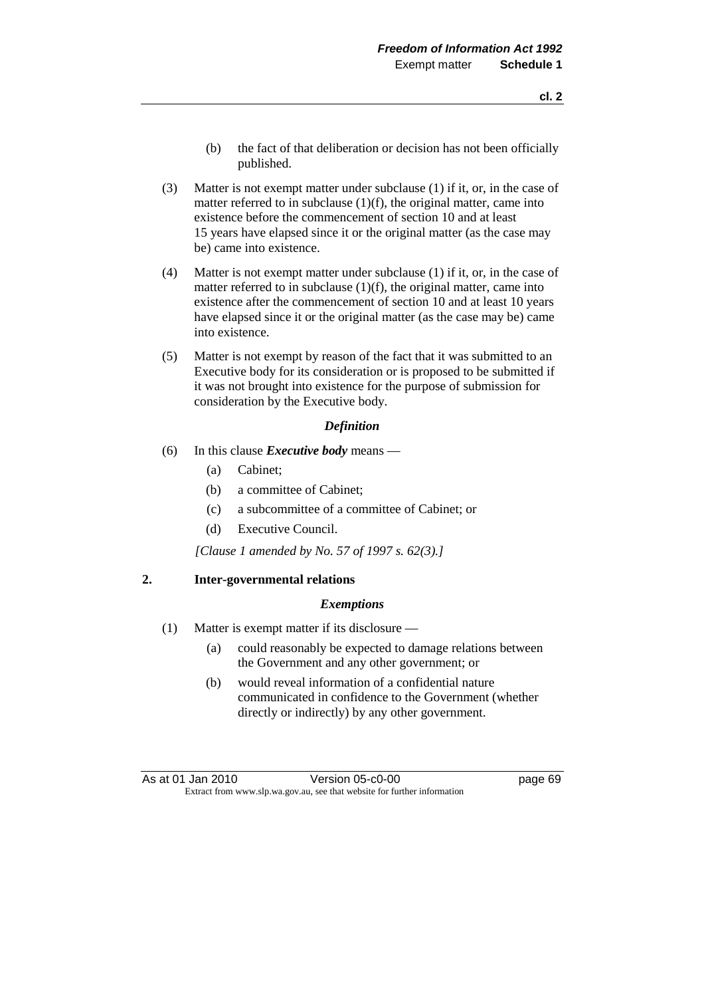- (b) the fact of that deliberation or decision has not been officially published.
- (3) Matter is not exempt matter under subclause (1) if it, or, in the case of matter referred to in subclause (1)(f), the original matter, came into existence before the commencement of section 10 and at least 15 years have elapsed since it or the original matter (as the case may be) came into existence.
- (4) Matter is not exempt matter under subclause (1) if it, or, in the case of matter referred to in subclause  $(1)(f)$ , the original matter, came into existence after the commencement of section 10 and at least 10 years have elapsed since it or the original matter (as the case may be) came into existence.
- (5) Matter is not exempt by reason of the fact that it was submitted to an Executive body for its consideration or is proposed to be submitted if it was not brought into existence for the purpose of submission for consideration by the Executive body.

## *Definition*

- (6) In this clause *Executive body* means
	- (a) Cabinet;
	- (b) a committee of Cabinet;
	- (c) a subcommittee of a committee of Cabinet; or
	- (d) Executive Council.

 *[Clause 1 amended by No. 57 of 1997 s. 62(3).]* 

## **2. Inter-governmental relations**

#### *Exemptions*

- (1) Matter is exempt matter if its disclosure
	- (a) could reasonably be expected to damage relations between the Government and any other government; or
	- (b) would reveal information of a confidential nature communicated in confidence to the Government (whether directly or indirectly) by any other government.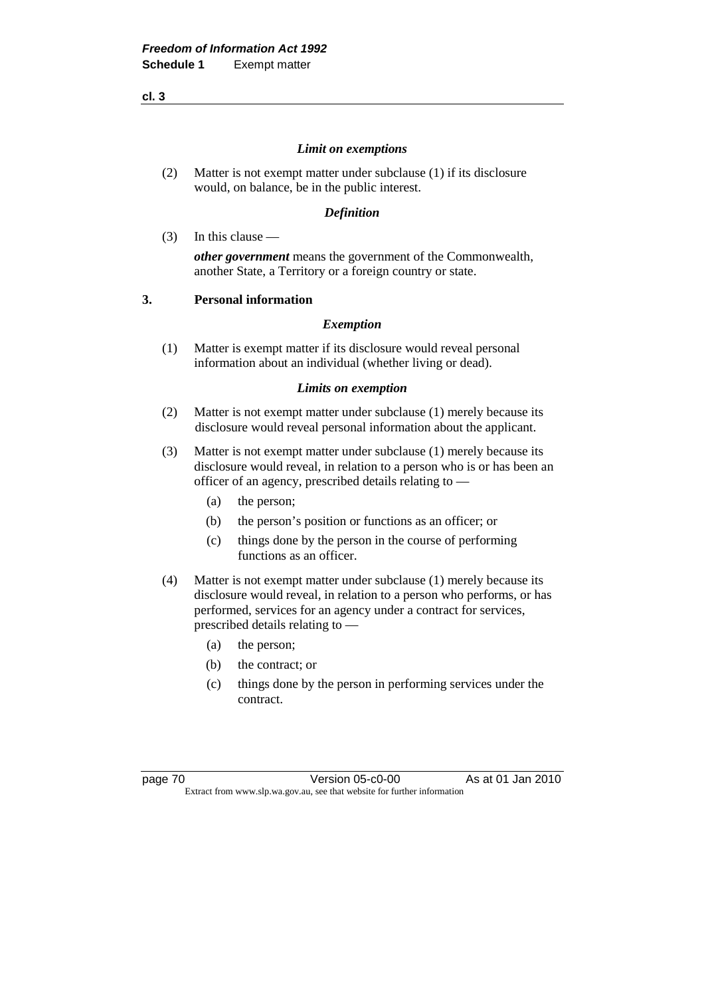#### *Limit on exemptions*

 (2) Matter is not exempt matter under subclause (1) if its disclosure would, on balance, be in the public interest.

## *Definition*

(3) In this clause —

*other government* means the government of the Commonwealth, another State, a Territory or a foreign country or state.

## **3. Personal information**

## *Exemption*

 (1) Matter is exempt matter if its disclosure would reveal personal information about an individual (whether living or dead).

## *Limits on exemption*

- (2) Matter is not exempt matter under subclause (1) merely because its disclosure would reveal personal information about the applicant.
- (3) Matter is not exempt matter under subclause (1) merely because its disclosure would reveal, in relation to a person who is or has been an officer of an agency, prescribed details relating to —
	- (a) the person;
	- (b) the person's position or functions as an officer; or
	- (c) things done by the person in the course of performing functions as an officer.
- (4) Matter is not exempt matter under subclause (1) merely because its disclosure would reveal, in relation to a person who performs, or has performed, services for an agency under a contract for services, prescribed details relating to —
	- (a) the person;
	- (b) the contract; or
	- (c) things done by the person in performing services under the contract.

page 70 Version 05-c0-00 As at 01 Jan 2010 Extract from www.slp.wa.gov.au, see that website for further information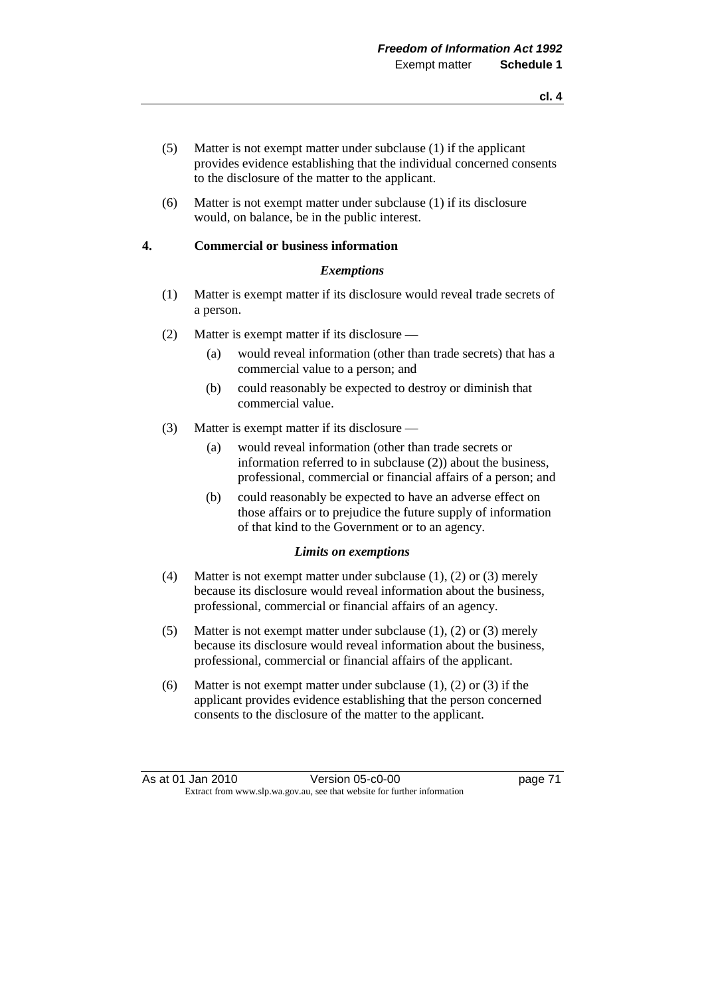- (5) Matter is not exempt matter under subclause (1) if the applicant provides evidence establishing that the individual concerned consents to the disclosure of the matter to the applicant.
- (6) Matter is not exempt matter under subclause (1) if its disclosure would, on balance, be in the public interest.

### **4. Commercial or business information**

#### *Exemptions*

- (1) Matter is exempt matter if its disclosure would reveal trade secrets of a person.
- (2) Matter is exempt matter if its disclosure
	- (a) would reveal information (other than trade secrets) that has a commercial value to a person; and
	- (b) could reasonably be expected to destroy or diminish that commercial value.
- (3) Matter is exempt matter if its disclosure
	- (a) would reveal information (other than trade secrets or information referred to in subclause (2)) about the business, professional, commercial or financial affairs of a person; and
	- (b) could reasonably be expected to have an adverse effect on those affairs or to prejudice the future supply of information of that kind to the Government or to an agency.

#### *Limits on exemptions*

- (4) Matter is not exempt matter under subclause (1), (2) or (3) merely because its disclosure would reveal information about the business, professional, commercial or financial affairs of an agency.
- (5) Matter is not exempt matter under subclause (1), (2) or (3) merely because its disclosure would reveal information about the business, professional, commercial or financial affairs of the applicant.
- (6) Matter is not exempt matter under subclause (1), (2) or (3) if the applicant provides evidence establishing that the person concerned consents to the disclosure of the matter to the applicant.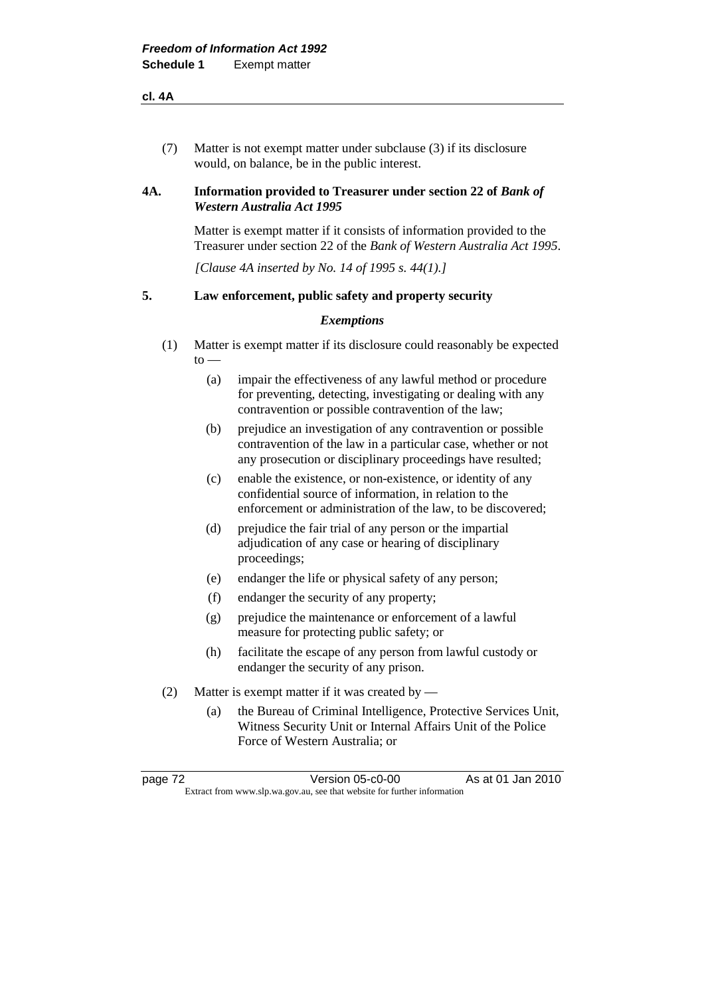(7) Matter is not exempt matter under subclause (3) if its disclosure would, on balance, be in the public interest.

## **4A.** Information provided to Treasurer under section 22 of *Bank of Western Australia Act 1995*

 Matter is exempt matter if it consists of information provided to the Treasurer under section 22 of the *Bank of Western Australia Act 1995*.

 *[Clause 4A inserted by No. 14 of 1995 s. 44(1).]* 

## **5. Law enforcement, public safety and property security**

#### *Exemptions*

- (1) Matter is exempt matter if its disclosure could reasonably be expected  $to -$ 
	- (a) impair the effectiveness of any lawful method or procedure for preventing, detecting, investigating or dealing with any contravention or possible contravention of the law;
	- (b) prejudice an investigation of any contravention or possible contravention of the law in a particular case, whether or not any prosecution or disciplinary proceedings have resulted;
	- (c) enable the existence, or non-existence, or identity of any confidential source of information, in relation to the enforcement or administration of the law, to be discovered;
	- (d) prejudice the fair trial of any person or the impartial adjudication of any case or hearing of disciplinary proceedings;
	- (e) endanger the life or physical safety of any person;
	- (f) endanger the security of any property;
	- (g) prejudice the maintenance or enforcement of a lawful measure for protecting public safety; or
	- (h) facilitate the escape of any person from lawful custody or endanger the security of any prison.
- (2) Matter is exempt matter if it was created by
	- (a) the Bureau of Criminal Intelligence, Protective Services Unit, Witness Security Unit or Internal Affairs Unit of the Police Force of Western Australia; or

| page 72 | Version 05-c0-00                                                         | As at 01 Jan 2010 |
|---------|--------------------------------------------------------------------------|-------------------|
|         | Extract from www.slp.wa.gov.au, see that website for further information |                   |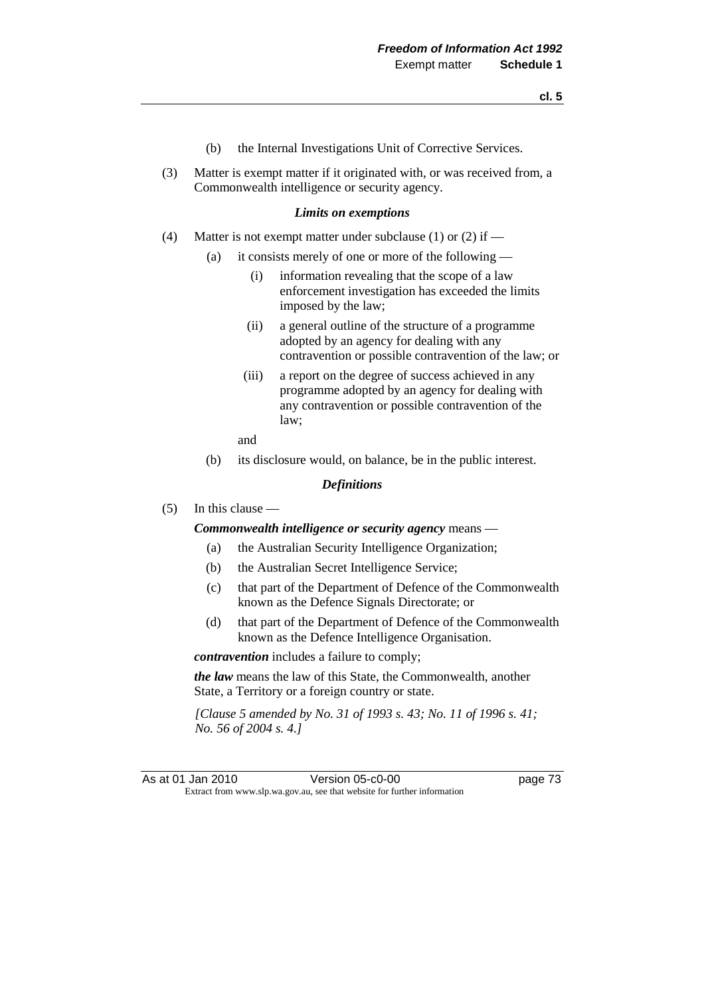- (b) the Internal Investigations Unit of Corrective Services.
- (3) Matter is exempt matter if it originated with, or was received from, a Commonwealth intelligence or security agency.

#### *Limits on exemptions*

- (4) Matter is not exempt matter under subclause (1) or (2) if  $-$ 
	- (a) it consists merely of one or more of the following
		- (i) information revealing that the scope of a law enforcement investigation has exceeded the limits imposed by the law;
		- (ii) a general outline of the structure of a programme adopted by an agency for dealing with any contravention or possible contravention of the law; or
		- (iii) a report on the degree of success achieved in any programme adopted by an agency for dealing with any contravention or possible contravention of the law;
		- and
	- (b) its disclosure would, on balance, be in the public interest.

#### *Definitions*

(5) In this clause —

#### *Commonwealth intelligence or security agency* means —

- (a) the Australian Security Intelligence Organization;
- (b) the Australian Secret Intelligence Service;
- (c) that part of the Department of Defence of the Commonwealth known as the Defence Signals Directorate; or
- (d) that part of the Department of Defence of the Commonwealth known as the Defence Intelligence Organisation.

*contravention* includes a failure to comply;

*the law* means the law of this State, the Commonwealth, another State, a Territory or a foreign country or state.

 *[Clause 5 amended by No. 31 of 1993 s. 43; No. 11 of 1996 s. 41; No. 56 of 2004 s. 4.]* 

As at 01 Jan 2010 Version 05-c0-00 page 73 Extract from www.slp.wa.gov.au, see that website for further information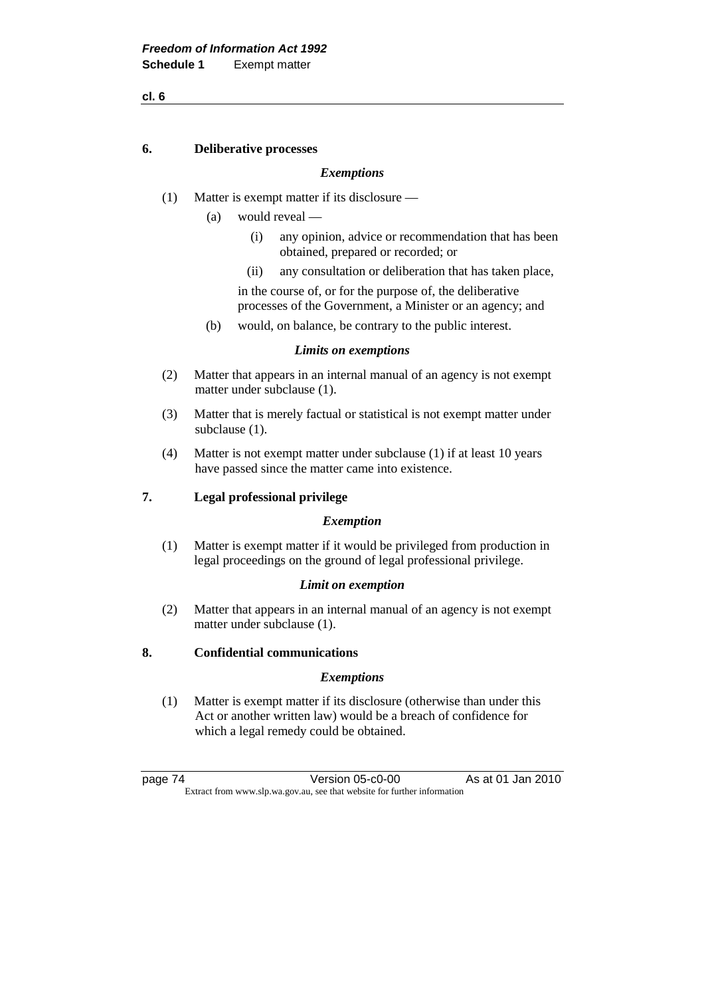#### **6. Deliberative processes**

### *Exemptions*

- (1) Matter is exempt matter if its disclosure
	- (a) would reveal
		- (i) any opinion, advice or recommendation that has been obtained, prepared or recorded; or
		- (ii) any consultation or deliberation that has taken place,

 in the course of, or for the purpose of, the deliberative processes of the Government, a Minister or an agency; and

(b) would, on balance, be contrary to the public interest.

#### *Limits on exemptions*

- (2) Matter that appears in an internal manual of an agency is not exempt matter under subclause (1).
- (3) Matter that is merely factual or statistical is not exempt matter under subclause (1).
- (4) Matter is not exempt matter under subclause (1) if at least 10 years have passed since the matter came into existence.

#### **7. Legal professional privilege**

#### *Exemption*

 (1) Matter is exempt matter if it would be privileged from production in legal proceedings on the ground of legal professional privilege.

#### *Limit on exemption*

 (2) Matter that appears in an internal manual of an agency is not exempt matter under subclause (1).

## **8. Confidential communications**

#### *Exemptions*

 (1) Matter is exempt matter if its disclosure (otherwise than under this Act or another written law) would be a breach of confidence for which a legal remedy could be obtained.

page 74 Version 05-c0-00 As at 01 Jan 2010 Extract from www.slp.wa.gov.au, see that website for further information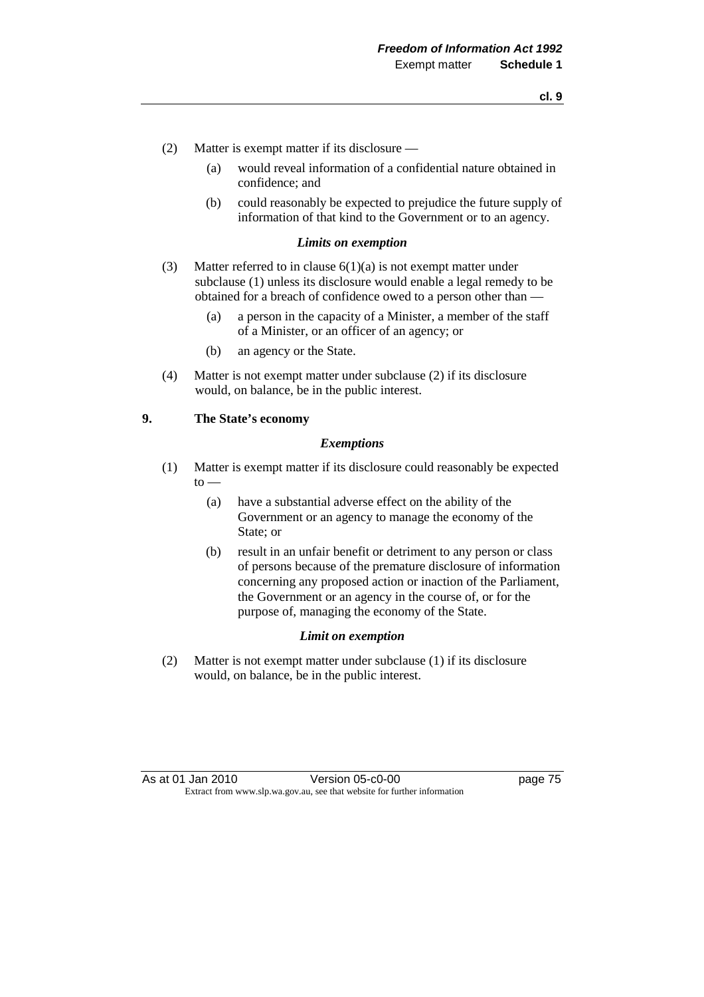- (2) Matter is exempt matter if its disclosure
	- (a) would reveal information of a confidential nature obtained in confidence; and
	- (b) could reasonably be expected to prejudice the future supply of information of that kind to the Government or to an agency.

#### *Limits on exemption*

- (3) Matter referred to in clause  $6(1)(a)$  is not exempt matter under subclause (1) unless its disclosure would enable a legal remedy to be obtained for a breach of confidence owed to a person other than —
	- (a) a person in the capacity of a Minister, a member of the staff of a Minister, or an officer of an agency; or
	- (b) an agency or the State.
- (4) Matter is not exempt matter under subclause (2) if its disclosure would, on balance, be in the public interest.

## **9. The State's economy**

#### *Exemptions*

- (1) Matter is exempt matter if its disclosure could reasonably be expected  $to -$ 
	- (a) have a substantial adverse effect on the ability of the Government or an agency to manage the economy of the State; or
	- (b) result in an unfair benefit or detriment to any person or class of persons because of the premature disclosure of information concerning any proposed action or inaction of the Parliament, the Government or an agency in the course of, or for the purpose of, managing the economy of the State.

#### *Limit on exemption*

 (2) Matter is not exempt matter under subclause (1) if its disclosure would, on balance, be in the public interest.

As at 01 Jan 2010 Version 05-c0-00 page 75 Extract from www.slp.wa.gov.au, see that website for further information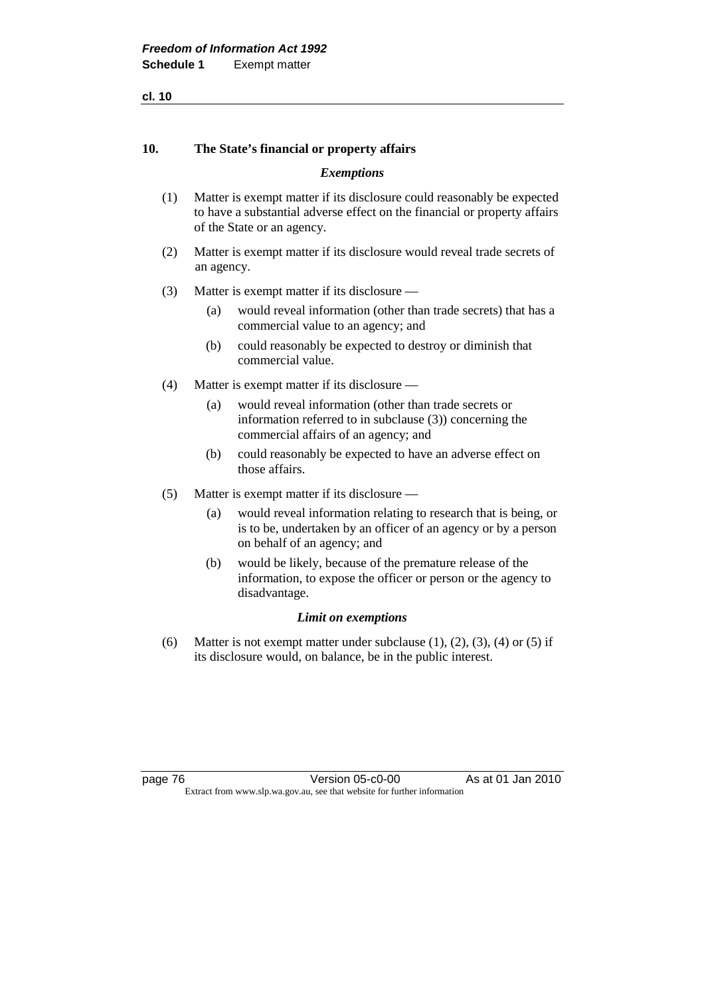## **10. The State's financial or property affairs**

#### *Exemptions*

- (1) Matter is exempt matter if its disclosure could reasonably be expected to have a substantial adverse effect on the financial or property affairs of the State or an agency.
- (2) Matter is exempt matter if its disclosure would reveal trade secrets of an agency.
- (3) Matter is exempt matter if its disclosure
	- (a) would reveal information (other than trade secrets) that has a commercial value to an agency; and
	- (b) could reasonably be expected to destroy or diminish that commercial value.
- (4) Matter is exempt matter if its disclosure
	- (a) would reveal information (other than trade secrets or information referred to in subclause (3)) concerning the commercial affairs of an agency; and
	- (b) could reasonably be expected to have an adverse effect on those affairs.
- (5) Matter is exempt matter if its disclosure
	- (a) would reveal information relating to research that is being, or is to be, undertaken by an officer of an agency or by a person on behalf of an agency; and
	- (b) would be likely, because of the premature release of the information, to expose the officer or person or the agency to disadvantage.

#### *Limit on exemptions*

(6) Matter is not exempt matter under subclause  $(1)$ ,  $(2)$ ,  $(3)$ ,  $(4)$  or  $(5)$  if its disclosure would, on balance, be in the public interest.

page 76 Version 05-c0-00 As at 01 Jan 2010 Extract from www.slp.wa.gov.au, see that website for further information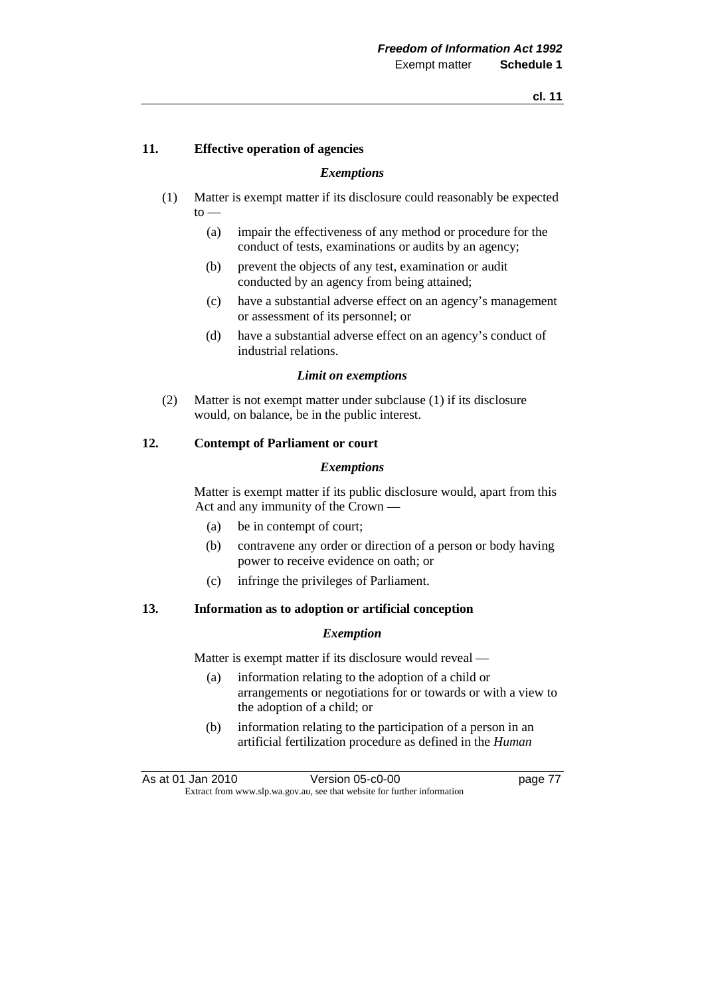## **11. Effective operation of agencies**

#### *Exemptions*

- (1) Matter is exempt matter if its disclosure could reasonably be expected  $to -$ 
	- (a) impair the effectiveness of any method or procedure for the conduct of tests, examinations or audits by an agency;
	- (b) prevent the objects of any test, examination or audit conducted by an agency from being attained;
	- (c) have a substantial adverse effect on an agency's management or assessment of its personnel; or
	- (d) have a substantial adverse effect on an agency's conduct of industrial relations.

#### *Limit on exemptions*

 (2) Matter is not exempt matter under subclause (1) if its disclosure would, on balance, be in the public interest.

### **12. Contempt of Parliament or court**

#### *Exemptions*

 Matter is exempt matter if its public disclosure would, apart from this Act and any immunity of the Crown —

- (a) be in contempt of court;
- (b) contravene any order or direction of a person or body having power to receive evidence on oath; or
- (c) infringe the privileges of Parliament.

#### **13. Information as to adoption or artificial conception**

#### *Exemption*

Matter is exempt matter if its disclosure would reveal —

- (a) information relating to the adoption of a child or arrangements or negotiations for or towards or with a view to the adoption of a child; or
- (b) information relating to the participation of a person in an artificial fertilization procedure as defined in the *Human*

As at 01 Jan 2010 **Version 05-c0-00 Dage 77** Extract from www.slp.wa.gov.au, see that website for further information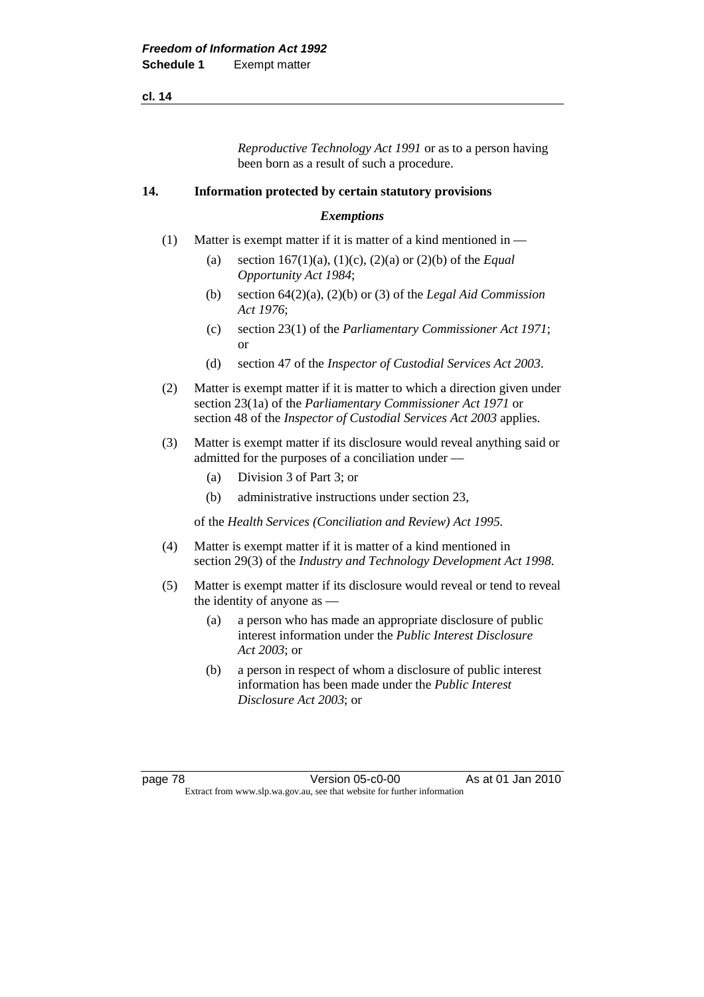*Reproductive Technology Act 1991* or as to a person having been born as a result of such a procedure.

### **14. Information protected by certain statutory provisions**

### *Exemptions*

- (1) Matter is exempt matter if it is matter of a kind mentioned in
	- (a) section 167(1)(a), (1)(c), (2)(a) or (2)(b) of the *Equal Opportunity Act 1984*;
	- (b) section 64(2)(a), (2)(b) or (3) of the *Legal Aid Commission Act 1976*;
	- (c) section 23(1) of the *Parliamentary Commissioner Act 1971*; or
	- (d) section 47 of the *Inspector of Custodial Services Act 2003*.
- (2) Matter is exempt matter if it is matter to which a direction given under section 23(1a) of the *Parliamentary Commissioner Act 1971* or section 48 of the *Inspector of Custodial Services Act 2003* applies.
- (3) Matter is exempt matter if its disclosure would reveal anything said or admitted for the purposes of a conciliation under —
	- (a) Division 3 of Part 3; or
	- (b) administrative instructions under section 23,

of the *Health Services (Conciliation and Review) Act 1995.*

- (4) Matter is exempt matter if it is matter of a kind mentioned in section 29(3) of the *Industry and Technology Development Act 1998*.
- (5) Matter is exempt matter if its disclosure would reveal or tend to reveal the identity of anyone as —
	- (a) a person who has made an appropriate disclosure of public interest information under the *Public Interest Disclosure Act 2003*; or
	- (b) a person in respect of whom a disclosure of public interest information has been made under the *Public Interest Disclosure Act 2003*; or

page 78 Version 05-c0-00 As at 01 Jan 2010 Extract from www.slp.wa.gov.au, see that website for further information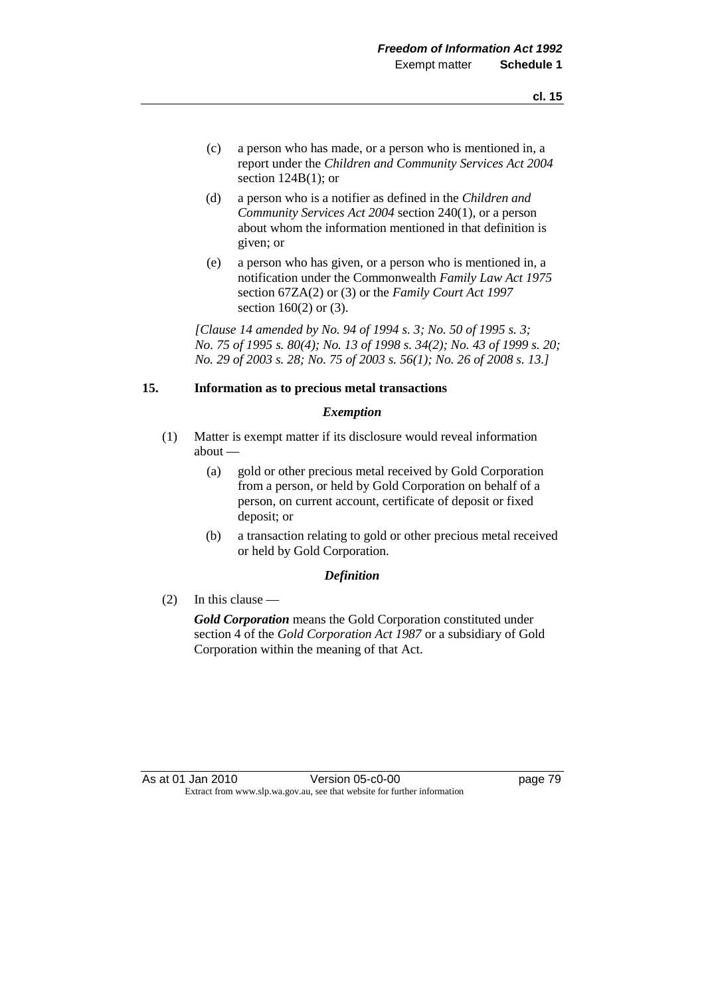- (c) a person who has made, or a person who is mentioned in, a report under the *Children and Community Services Act 2004* section  $124B(1)$ ; or
- (d) a person who is a notifier as defined in the *Children and Community Services Act 2004* section 240(1), or a person about whom the information mentioned in that definition is given; or
- (e) a person who has given, or a person who is mentioned in, a notification under the Commonwealth *Family Law Act 1975* section 67ZA(2) or (3) or the *Family Court Act 1997* section 160(2) or (3).

 *[Clause 14 amended by No. 94 of 1994 s. 3; No. 50 of 1995 s. 3; No. 75 of 1995 s. 80(4); No. 13 of 1998 s. 34(2); No. 43 of 1999 s. 20; No. 29 of 2003 s. 28; No. 75 of 2003 s. 56(1); No. 26 of 2008 s. 13.]* 

## **15. Information as to precious metal transactions**

#### *Exemption*

- (1) Matter is exempt matter if its disclosure would reveal information about —
	- (a) gold or other precious metal received by Gold Corporation from a person, or held by Gold Corporation on behalf of a person, on current account, certificate of deposit or fixed deposit; or
	- (b) a transaction relating to gold or other precious metal received or held by Gold Corporation.

## *Definition*

(2) In this clause —

*Gold Corporation* means the Gold Corporation constituted under section 4 of the *Gold Corporation Act 1987* or a subsidiary of Gold Corporation within the meaning of that Act.

As at 01 Jan 2010 Version 05-c0-00 page 79 Extract from www.slp.wa.gov.au, see that website for further information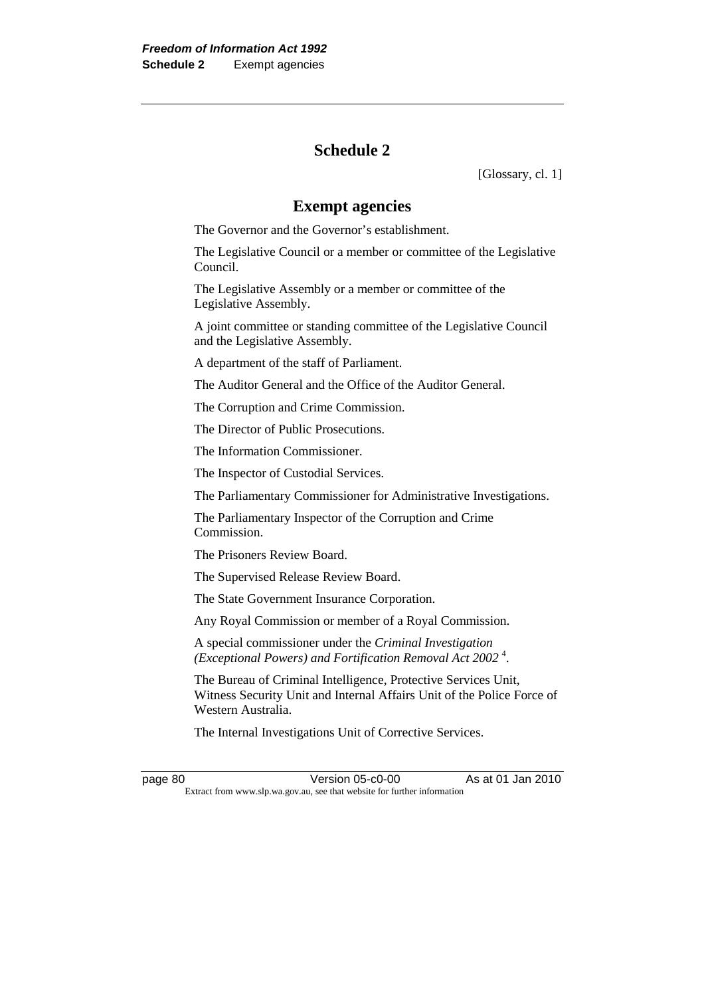# **Schedule 2**

[Glossary, cl. 1]

# **Exempt agencies**

The Governor and the Governor's establishment.

 The Legislative Council or a member or committee of the Legislative Council.

 The Legislative Assembly or a member or committee of the Legislative Assembly.

 A joint committee or standing committee of the Legislative Council and the Legislative Assembly.

A department of the staff of Parliament.

The Auditor General and the Office of the Auditor General.

The Corruption and Crime Commission.

The Director of Public Prosecutions.

The Information Commissioner.

The Inspector of Custodial Services.

The Parliamentary Commissioner for Administrative Investigations.

 The Parliamentary Inspector of the Corruption and Crime **Commission** 

The Prisoners Review Board.

The Supervised Release Review Board.

The State Government Insurance Corporation.

Any Royal Commission or member of a Royal Commission.

 A special commissioner under the *Criminal Investigation (Exceptional Powers) and Fortification Removal Act 2002* <sup>4</sup> .

 The Bureau of Criminal Intelligence, Protective Services Unit, Witness Security Unit and Internal Affairs Unit of the Police Force of Western Australia.

The Internal Investigations Unit of Corrective Services.

page 80 Version 05-c0-00 As at 01 Jan 2010 Extract from www.slp.wa.gov.au, see that website for further information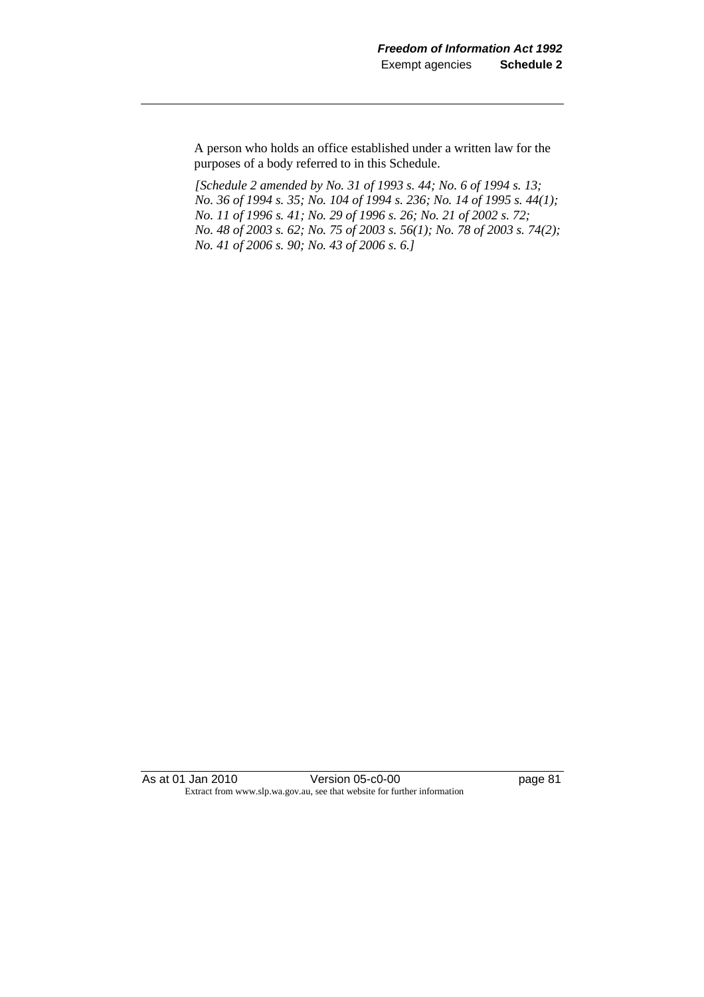A person who holds an office established under a written law for the purposes of a body referred to in this Schedule.

 *[Schedule 2 amended by No. 31 of 1993 s. 44; No. 6 of 1994 s. 13; No. 36 of 1994 s. 35; No. 104 of 1994 s. 236; No. 14 of 1995 s. 44(1); No. 11 of 1996 s. 41; No. 29 of 1996 s. 26; No. 21 of 2002 s. 72; No. 48 of 2003 s. 62; No. 75 of 2003 s. 56(1); No. 78 of 2003 s. 74(2); No. 41 of 2006 s. 90; No. 43 of 2006 s. 6.]* 

As at 01 Jan 2010 **Version 05-c0-00 Page 81** Extract from www.slp.wa.gov.au, see that website for further information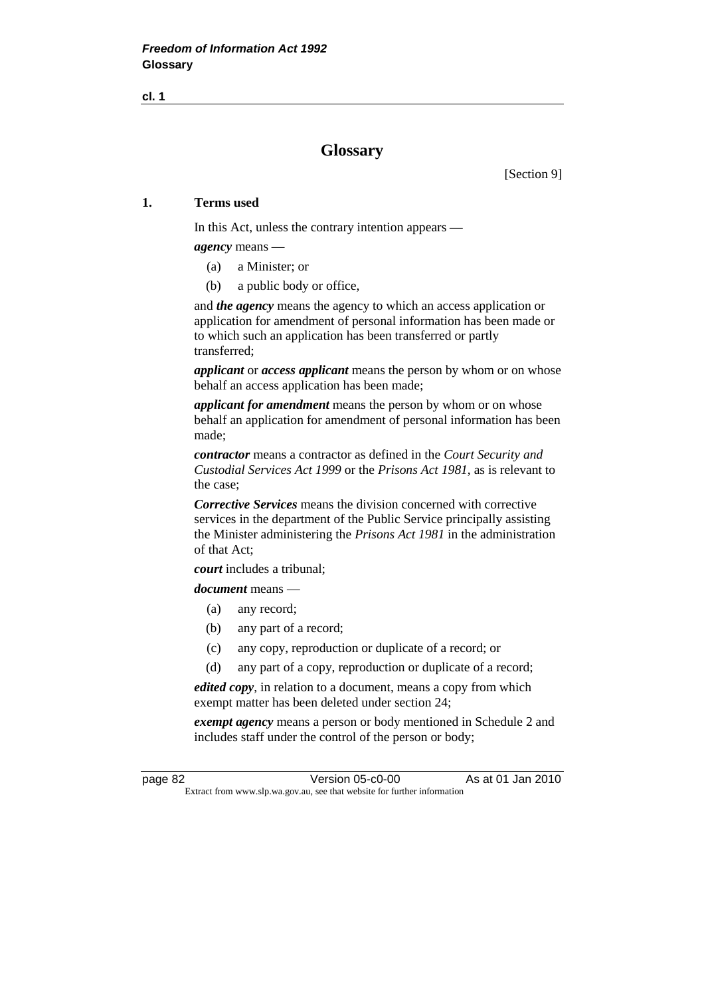# **Glossary**

[Section 9]

## **1. Terms used**

In this Act, unless the contrary intention appears —

*agency* means —

- (a) a Minister; or
- (b) a public body or office,

 and *the agency* means the agency to which an access application or application for amendment of personal information has been made or to which such an application has been transferred or partly transferred;

*applicant* or *access applicant* means the person by whom or on whose behalf an access application has been made;

*applicant for amendment* means the person by whom or on whose behalf an application for amendment of personal information has been made;

*contractor* means a contractor as defined in the *Court Security and Custodial Services Act 1999* or the *Prisons Act 1981*, as is relevant to the case;

*Corrective Services* means the division concerned with corrective services in the department of the Public Service principally assisting the Minister administering the *Prisons Act 1981* in the administration of that Act;

*court* includes a tribunal;

*document* means —

- (a) any record;
- (b) any part of a record;
- (c) any copy, reproduction or duplicate of a record; or
- (d) any part of a copy, reproduction or duplicate of a record;

*edited copy*, in relation to a document, means a copy from which exempt matter has been deleted under section 24;

*exempt agency* means a person or body mentioned in Schedule 2 and includes staff under the control of the person or body;

page 82 Version 05-c0-00 As at 01 Jan 2010 Extract from www.slp.wa.gov.au, see that website for further information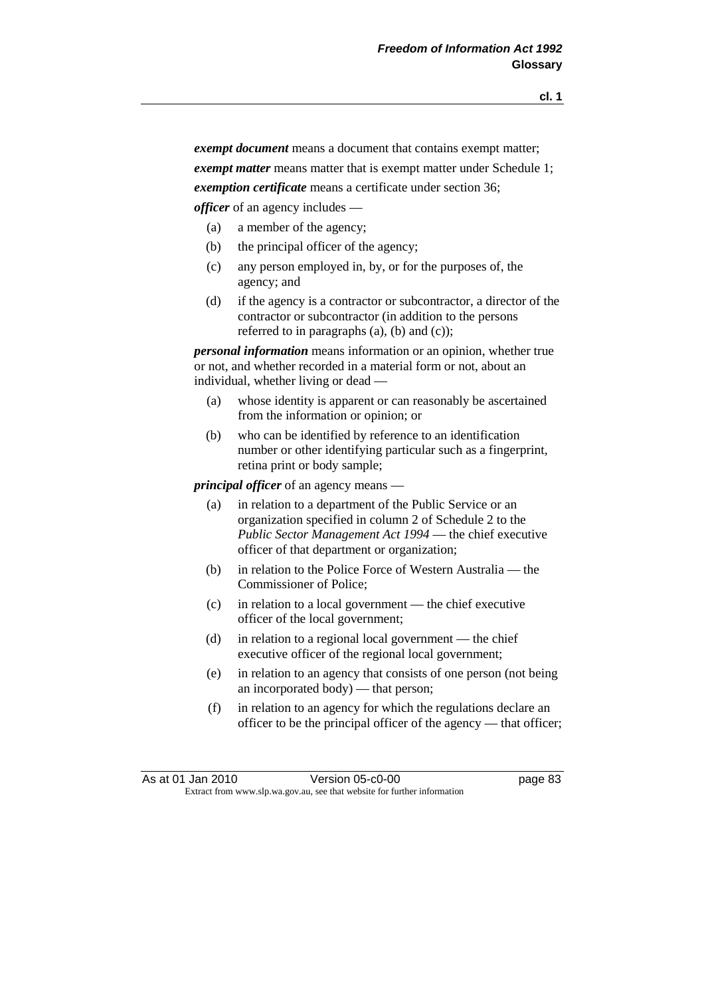*exempt document* means a document that contains exempt matter; *exempt matter* means matter that is exempt matter under Schedule 1; *exemption certificate* means a certificate under section 36; *officer* of an agency includes —

- (a) a member of the agency;
- (b) the principal officer of the agency;
- (c) any person employed in, by, or for the purposes of, the agency; and
- (d) if the agency is a contractor or subcontractor, a director of the contractor or subcontractor (in addition to the persons referred to in paragraphs (a), (b) and (c));

*personal information* means information or an opinion, whether true or not, and whether recorded in a material form or not, about an individual, whether living or dead —

- (a) whose identity is apparent or can reasonably be ascertained from the information or opinion; or
- (b) who can be identified by reference to an identification number or other identifying particular such as a fingerprint, retina print or body sample;

*principal officer* of an agency means —

- (a) in relation to a department of the Public Service or an organization specified in column 2 of Schedule 2 to the *Public Sector Management Act 1994* — the chief executive officer of that department or organization;
- (b) in relation to the Police Force of Western Australia the Commissioner of Police;
- (c) in relation to a local government the chief executive officer of the local government;
- (d) in relation to a regional local government the chief executive officer of the regional local government;
- (e) in relation to an agency that consists of one person (not being an incorporated body) — that person;
- (f) in relation to an agency for which the regulations declare an officer to be the principal officer of the agency — that officer;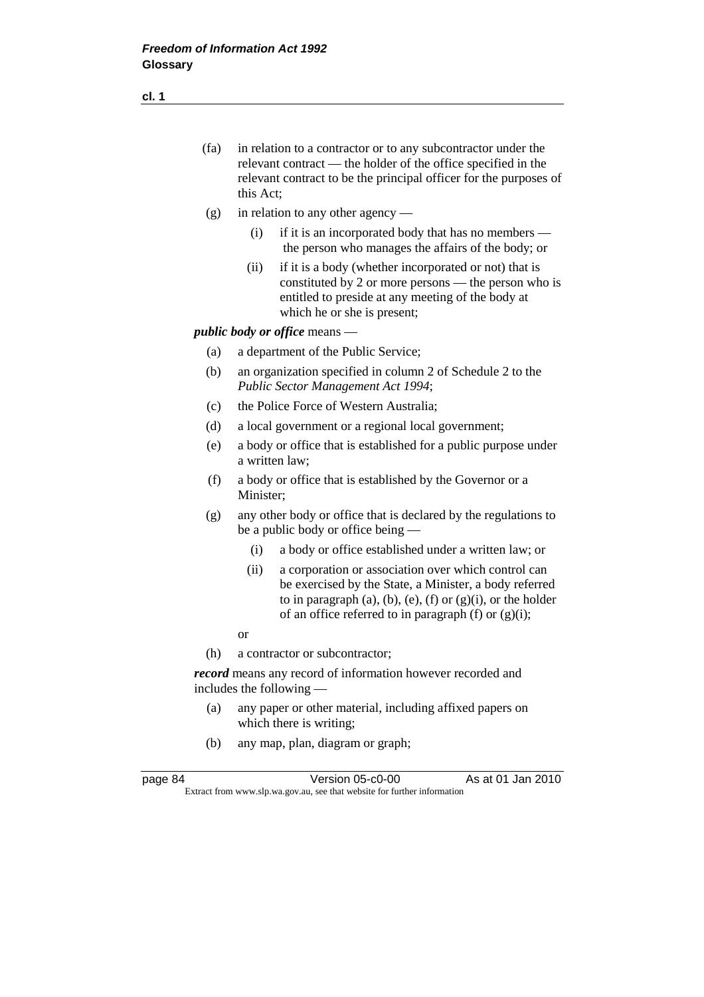| (fa) | in relation to a contractor or to any subcontractor under the     |
|------|-------------------------------------------------------------------|
|      | relevant contract — the holder of the office specified in the     |
|      | relevant contract to be the principal officer for the purposes of |
|      | this Act:                                                         |

- (g) in relation to any other agency
	- (i) if it is an incorporated body that has no members the person who manages the affairs of the body; or
	- (ii) if it is a body (whether incorporated or not) that is constituted by 2 or more persons — the person who is entitled to preside at any meeting of the body at which he or she is present;

*public body or office* means —

- (a) a department of the Public Service;
- (b) an organization specified in column 2 of Schedule 2 to the *Public Sector Management Act 1994*;
- (c) the Police Force of Western Australia;
- (d) a local government or a regional local government;
- (e) a body or office that is established for a public purpose under a written law;
- (f) a body or office that is established by the Governor or a Minister;
- (g) any other body or office that is declared by the regulations to be a public body or office being —
	- (i) a body or office established under a written law; or
	- (ii) a corporation or association over which control can be exercised by the State, a Minister, a body referred to in paragraph (a), (b), (e), (f) or  $(g)(i)$ , or the holder of an office referred to in paragraph (f) or  $(g)(i)$ ;
- or
	- (h) a contractor or subcontractor;

*record* means any record of information however recorded and includes the following —

- (a) any paper or other material, including affixed papers on which there is writing;
- (b) any map, plan, diagram or graph;

| page 84 | Version 05-c0-00                                                         | As at 01 Jan 2010 |  |
|---------|--------------------------------------------------------------------------|-------------------|--|
|         | Extract from www.slp.wa.gov.au, see that website for further information |                   |  |

**cl. 1**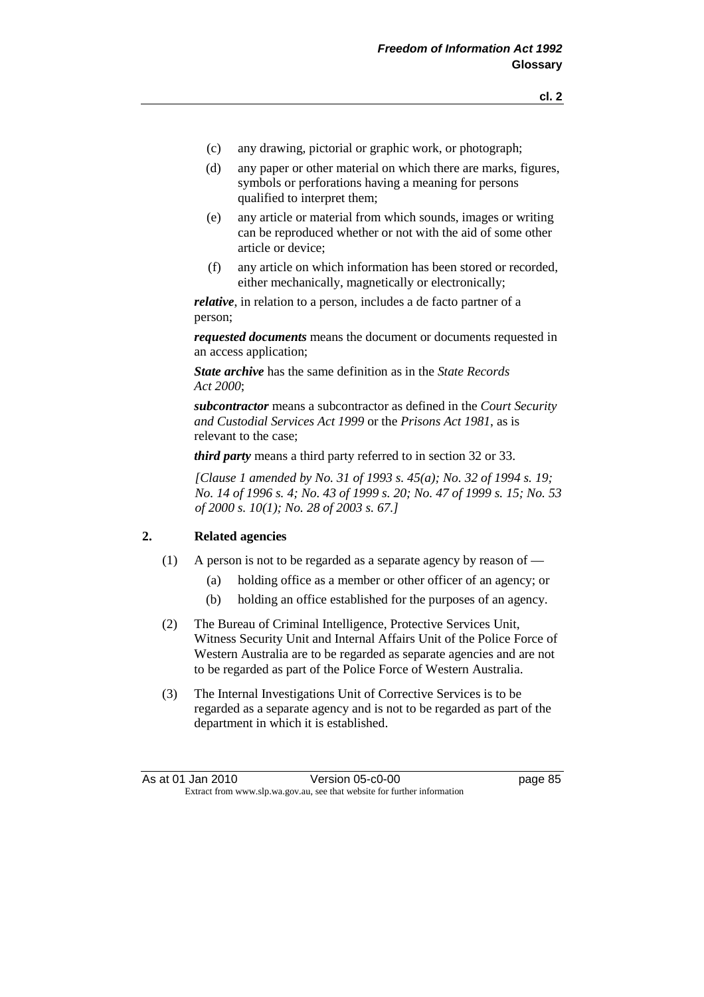- (c) any drawing, pictorial or graphic work, or photograph;
- (d) any paper or other material on which there are marks, figures, symbols or perforations having a meaning for persons qualified to interpret them;
- (e) any article or material from which sounds, images or writing can be reproduced whether or not with the aid of some other article or device;
- (f) any article on which information has been stored or recorded, either mechanically, magnetically or electronically;

*relative*, in relation to a person, includes a de facto partner of a person;

*requested documents* means the document or documents requested in an access application;

*State archive* has the same definition as in the *State Records Act 2000*;

*subcontractor* means a subcontractor as defined in the *Court Security and Custodial Services Act 1999* or the *Prisons Act 1981*, as is relevant to the case;

*third party* means a third party referred to in section 32 or 33.

 *[Clause 1 amended by No. 31 of 1993 s. 45(a); No. 32 of 1994 s. 19; No. 14 of 1996 s. 4; No. 43 of 1999 s. 20; No. 47 of 1999 s. 15; No. 53 of 2000 s. 10(1); No. 28 of 2003 s. 67.]* 

## **2. Related agencies**

- (1) A person is not to be regarded as a separate agency by reason of
	- (a) holding office as a member or other officer of an agency; or
	- (b) holding an office established for the purposes of an agency.
- (2) The Bureau of Criminal Intelligence, Protective Services Unit, Witness Security Unit and Internal Affairs Unit of the Police Force of Western Australia are to be regarded as separate agencies and are not to be regarded as part of the Police Force of Western Australia.
- (3) The Internal Investigations Unit of Corrective Services is to be regarded as a separate agency and is not to be regarded as part of the department in which it is established.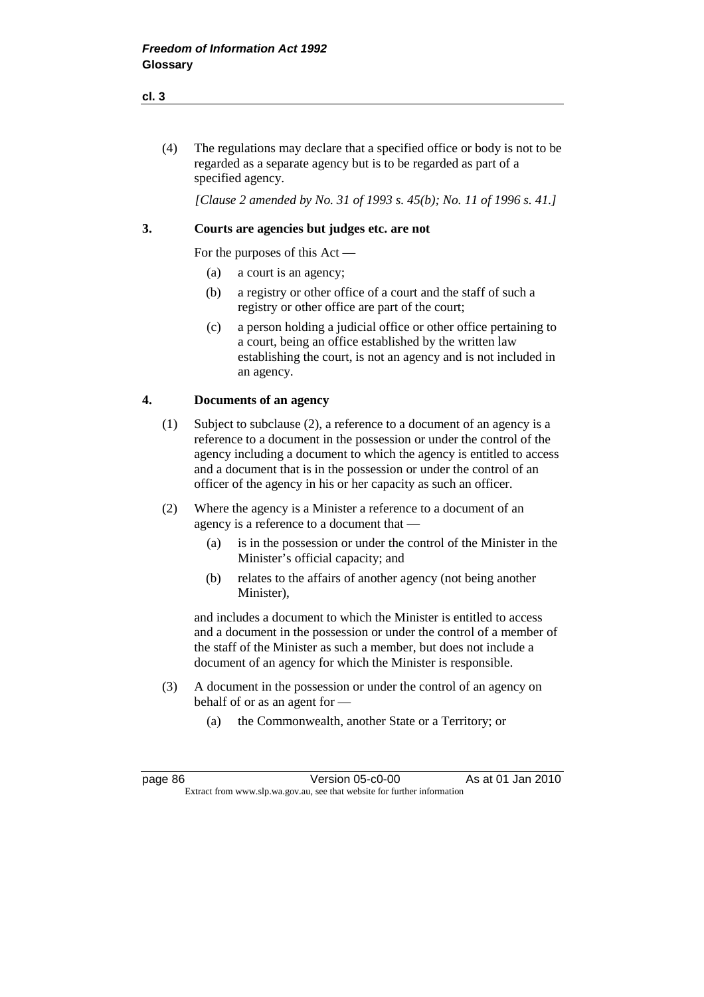(4) The regulations may declare that a specified office or body is not to be regarded as a separate agency but is to be regarded as part of a specified agency.

 *[Clause 2 amended by No. 31 of 1993 s. 45(b); No. 11 of 1996 s. 41.]* 

## **3. Courts are agencies but judges etc. are not**

For the purposes of this Act —

- (a) a court is an agency;
- (b) a registry or other office of a court and the staff of such a registry or other office are part of the court;
- (c) a person holding a judicial office or other office pertaining to a court, being an office established by the written law establishing the court, is not an agency and is not included in an agency.

## **4. Documents of an agency**

- (1) Subject to subclause (2), a reference to a document of an agency is a reference to a document in the possession or under the control of the agency including a document to which the agency is entitled to access and a document that is in the possession or under the control of an officer of the agency in his or her capacity as such an officer.
- (2) Where the agency is a Minister a reference to a document of an agency is a reference to a document that —
	- (a) is in the possession or under the control of the Minister in the Minister's official capacity; and
	- (b) relates to the affairs of another agency (not being another Minister),

 and includes a document to which the Minister is entitled to access and a document in the possession or under the control of a member of the staff of the Minister as such a member, but does not include a document of an agency for which the Minister is responsible.

- (3) A document in the possession or under the control of an agency on behalf of or as an agent for —
	- (a) the Commonwealth, another State or a Territory; or

**cl. 3**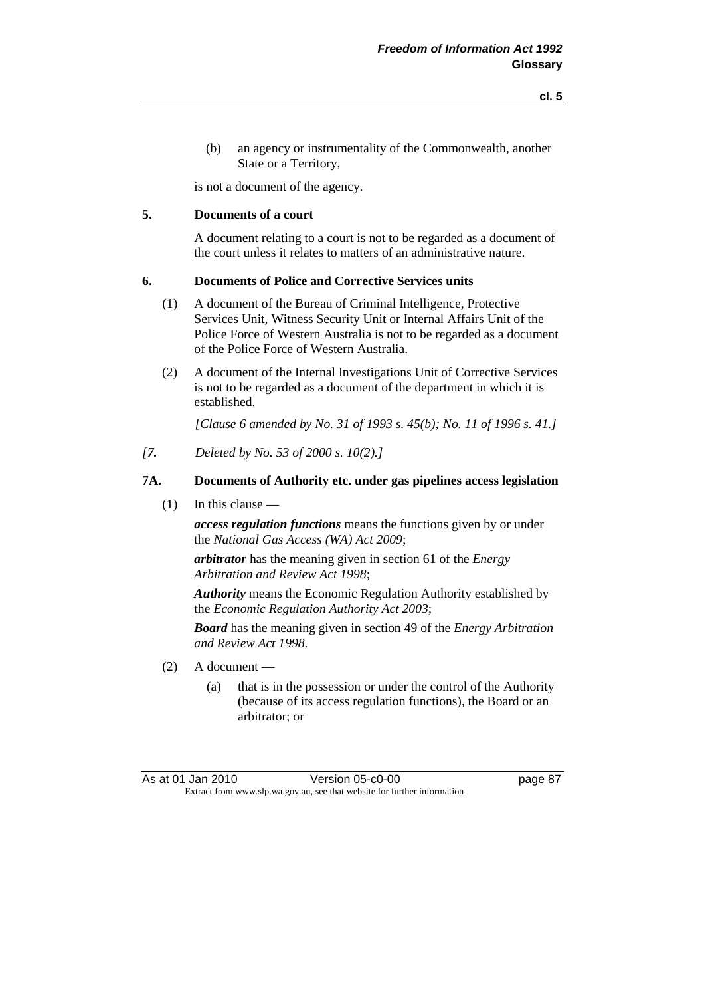(b) an agency or instrumentality of the Commonwealth, another State or a Territory,

is not a document of the agency.

## **5. Documents of a court**

 A document relating to a court is not to be regarded as a document of the court unless it relates to matters of an administrative nature.

## **6. Documents of Police and Corrective Services units**

- (1) A document of the Bureau of Criminal Intelligence, Protective Services Unit, Witness Security Unit or Internal Affairs Unit of the Police Force of Western Australia is not to be regarded as a document of the Police Force of Western Australia.
- (2) A document of the Internal Investigations Unit of Corrective Services is not to be regarded as a document of the department in which it is established.

 *[Clause 6 amended by No. 31 of 1993 s. 45(b); No. 11 of 1996 s. 41.]* 

*[7. Deleted by No. 53 of 2000 s. 10(2).]* 

## **7A. Documents of Authority etc. under gas pipelines access legislation**

(1) In this clause —

*access regulation functions* means the functions given by or under the *National Gas Access (WA) Act 2009*;

*arbitrator* has the meaning given in section 61 of the *Energy Arbitration and Review Act 1998*;

*Authority* means the Economic Regulation Authority established by the *Economic Regulation Authority Act 2003*;

*Board* has the meaning given in section 49 of the *Energy Arbitration and Review Act 1998*.

- (2) A document
	- (a) that is in the possession or under the control of the Authority (because of its access regulation functions), the Board or an arbitrator; or

As at 01 Jan 2010 Version 05-c0-00 page 87 Extract from www.slp.wa.gov.au, see that website for further information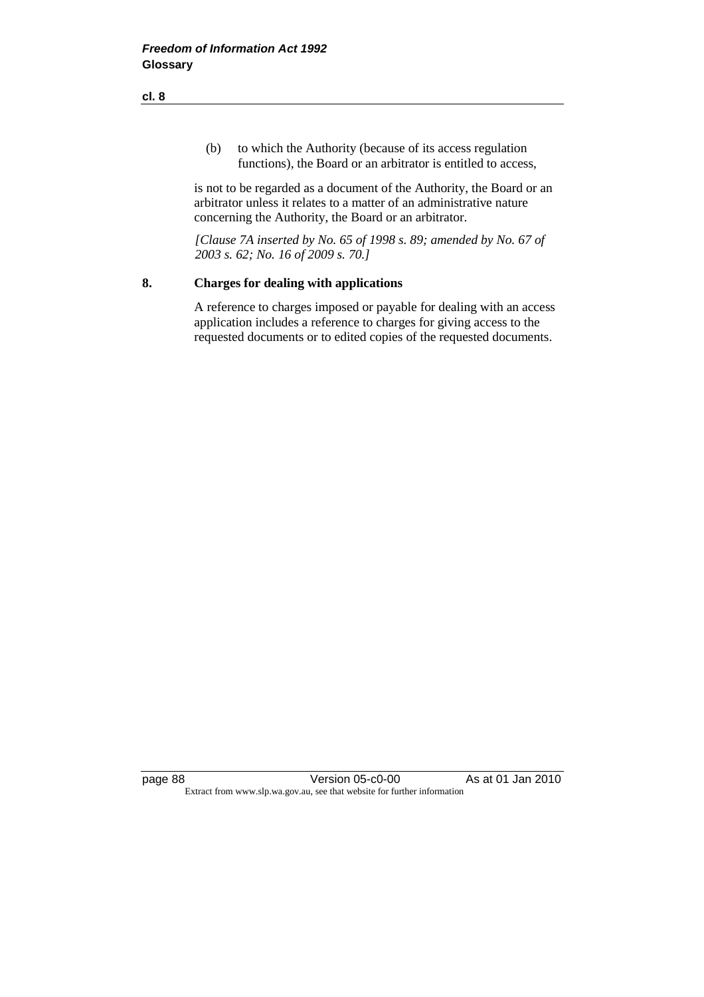(b) to which the Authority (because of its access regulation functions), the Board or an arbitrator is entitled to access,

 is not to be regarded as a document of the Authority, the Board or an arbitrator unless it relates to a matter of an administrative nature concerning the Authority, the Board or an arbitrator.

 *[Clause 7A inserted by No. 65 of 1998 s. 89; amended by No. 67 of 2003 s. 62; No. 16 of 2009 s. 70.]* 

#### **8. Charges for dealing with applications**

 A reference to charges imposed or payable for dealing with an access application includes a reference to charges for giving access to the requested documents or to edited copies of the requested documents.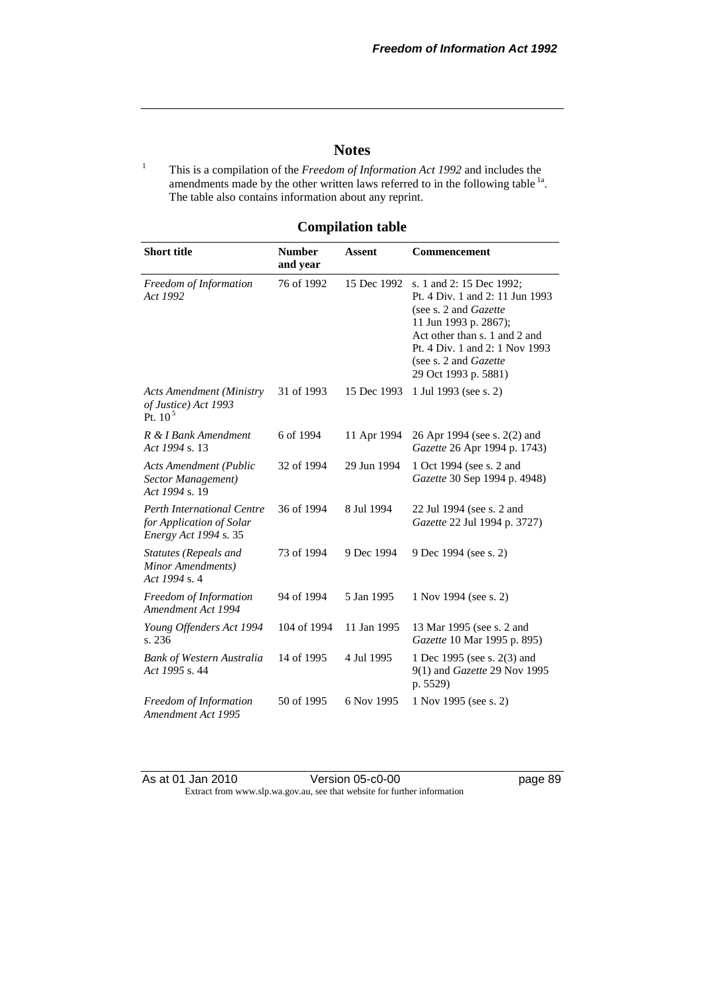## **Notes**

1 This is a compilation of the *Freedom of Information Act 1992* and includes the amendments made by the other written laws referred to in the following table <sup>1a</sup>. The table also contains information about any reprint.

## **Compilation table**

| <b>Short title</b>                                                                     | <b>Number</b><br>and year | <b>Assent</b> | Commencement                                                                                                                                                                                                                                        |  |
|----------------------------------------------------------------------------------------|---------------------------|---------------|-----------------------------------------------------------------------------------------------------------------------------------------------------------------------------------------------------------------------------------------------------|--|
| Freedom of Information<br>Act 1992                                                     | 76 of 1992                | 15 Dec 1992   | s. 1 and 2: 15 Dec 1992;<br>Pt. 4 Div. 1 and 2: 11 Jun 1993<br>(see s. 2 and <i>Gazette</i> )<br>11 Jun 1993 p. 2867);<br>Act other than s. 1 and 2 and<br>Pt. 4 Div. 1 and 2: 1 Nov 1993<br>(see s. 2 and <i>Gazette</i> )<br>29 Oct 1993 p. 5881) |  |
| <b>Acts Amendment (Ministry</b><br>of Justice) Act 1993<br>Pt. $105$                   | 31 of 1993                | 15 Dec 1993   | 1 Jul 1993 (see s. 2)                                                                                                                                                                                                                               |  |
| R & I Bank Amendment<br>Act 1994 s. 13                                                 | 6 of 1994                 | 11 Apr 1994   | 26 Apr 1994 (see s. 2(2) and<br>Gazette 26 Apr 1994 p. 1743)                                                                                                                                                                                        |  |
| <b>Acts Amendment (Public</b><br>Sector Management)<br>Act 1994 s. 19                  | 32 of 1994                | 29 Jun 1994   | 1 Oct 1994 (see s. 2 and<br>Gazette 30 Sep 1994 p. 4948)                                                                                                                                                                                            |  |
| <b>Perth International Centre</b><br>for Application of Solar<br>Energy Act 1994 s. 35 | 36 of 1994                | 8 Jul 1994    | 22 Jul 1994 (see s. 2 and<br>Gazette 22 Jul 1994 p. 3727)                                                                                                                                                                                           |  |
| Statutes (Repeals and<br>Minor Amendments)<br>Act 1994 s. 4                            | 73 of 1994                | 9 Dec 1994    | 9 Dec 1994 (see s. 2)                                                                                                                                                                                                                               |  |
| Freedom of Information<br>Amendment Act 1994                                           | 94 of 1994                | 5 Jan 1995    | 1 Nov 1994 (see s. 2)                                                                                                                                                                                                                               |  |
| Young Offenders Act 1994<br>s. 236                                                     | 104 of 1994               | 11 Jan 1995   | 13 Mar 1995 (see s. 2 and<br>Gazette 10 Mar 1995 p. 895)                                                                                                                                                                                            |  |
| <b>Bank of Western Australia</b><br>Act 1995 s. 44                                     | 14 of 1995                | 4 Jul 1995    | 1 Dec 1995 (see s. 2(3) and<br>9(1) and Gazette 29 Nov 1995<br>p. 5529)                                                                                                                                                                             |  |
| Freedom of Information<br>Amendment Act 1995                                           | 50 of 1995                | 6 Nov 1995    | 1 Nov 1995 (see s. 2)                                                                                                                                                                                                                               |  |

As at 01 Jan 2010 **Version 05-c0-00 Dage 89** Extract from www.slp.wa.gov.au, see that website for further information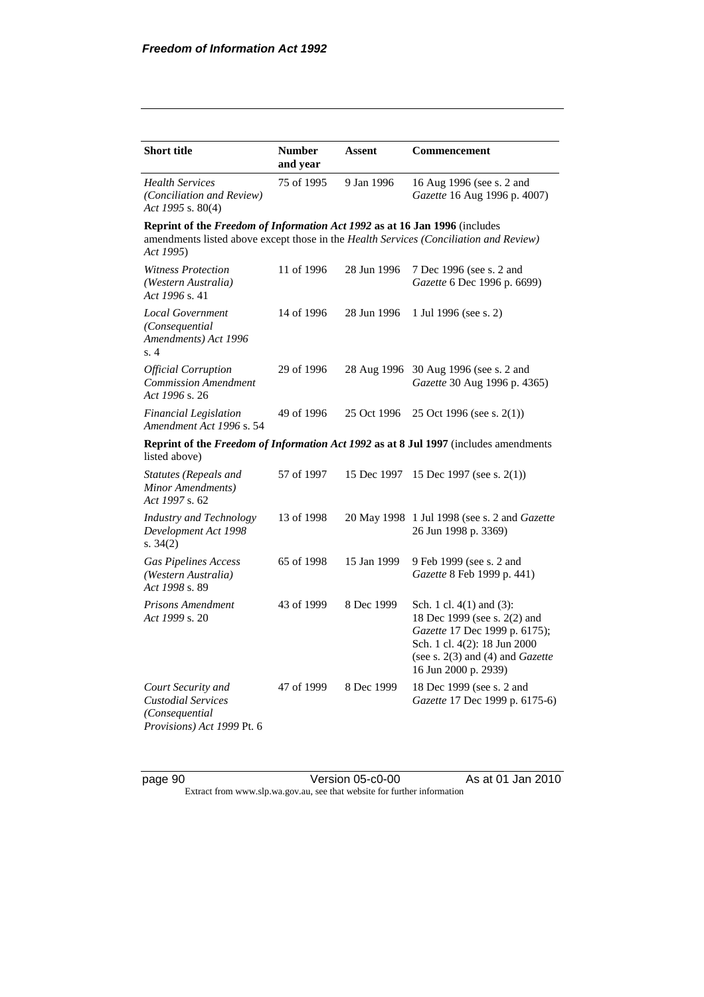| <b>Short title</b>                                                                              | <b>Number</b><br>and year | Assent      | Commencement                                                                                                                                                                            |
|-------------------------------------------------------------------------------------------------|---------------------------|-------------|-----------------------------------------------------------------------------------------------------------------------------------------------------------------------------------------|
| <b>Health Services</b><br><i>(Conciliation and Review)</i><br>Act 1995 s. 80(4)                 | 75 of 1995                | 9 Jan 1996  | 16 Aug 1996 (see s. 2 and<br>Gazette 16 Aug 1996 p. 4007)                                                                                                                               |
| Reprint of the Freedom of Information Act 1992 as at 16 Jan 1996 (includes<br>Act 1995)         |                           |             | amendments listed above except those in the Health Services (Conciliation and Review)                                                                                                   |
| <b>Witness Protection</b><br>(Western Australia)<br>Act 1996 s. 41                              | 11 of 1996                | 28 Jun 1996 | 7 Dec 1996 (see s. 2 and<br>Gazette 6 Dec 1996 p. 6699)                                                                                                                                 |
| <b>Local Government</b><br>(Consequential<br>Amendments) Act 1996<br>s.4                        | 14 of 1996                | 28 Jun 1996 | 1 Jul 1996 (see s. 2)                                                                                                                                                                   |
| <b>Official Corruption</b><br><b>Commission Amendment</b><br>Act 1996 s. 26                     | 29 of 1996                |             | 28 Aug 1996 30 Aug 1996 (see s. 2 and<br>Gazette 30 Aug 1996 p. 4365)                                                                                                                   |
| <b>Financial Legislation</b><br>Amendment Act 1996 s. 54                                        | 49 of 1996                | 25 Oct 1996 | 25 Oct 1996 (see s. 2(1))                                                                                                                                                               |
| listed above)                                                                                   |                           |             | Reprint of the Freedom of Information Act 1992 as at 8 Jul 1997 (includes amendments                                                                                                    |
| <b>Statutes (Repeals and</b><br>Minor Amendments)<br>Act 1997 s. 62                             | 57 of 1997                | 15 Dec 1997 | 15 Dec 1997 (see s. $2(1)$ )                                                                                                                                                            |
| <b>Industry and Technology</b><br>Development Act 1998<br>s. $34(2)$                            | 13 of 1998                | 20 May 1998 | 1 Jul 1998 (see s. 2 and Gazette<br>26 Jun 1998 p. 3369)                                                                                                                                |
| <b>Gas Pipelines Access</b><br>(Western Australia)<br>Act 1998 s. 89                            | 65 of 1998                | 15 Jan 1999 | 9 Feb 1999 (see s. 2 and<br>Gazette 8 Feb 1999 p. 441)                                                                                                                                  |
| <b>Prisons Amendment</b><br>Act 1999 s. 20                                                      | 43 of 1999                | 8 Dec 1999  | Sch. 1 cl. 4(1) and (3):<br>18 Dec 1999 (see s. 2(2) and<br>Gazette 17 Dec 1999 p. 6175);<br>Sch. 1 cl. 4(2): 18 Jun 2000<br>(see s. $2(3)$ and (4) and Gazette<br>16 Jun 2000 p. 2939) |
| Court Security and<br><b>Custodial Services</b><br>(Consequential<br>Provisions) Act 1999 Pt. 6 | 47 of 1999                | 8 Dec 1999  | 18 Dec 1999 (see s. 2 and<br>Gazette 17 Dec 1999 p. 6175-6)                                                                                                                             |

page 90 Version 05-c0-00 As at 01 Jan 2010 Extract from www.slp.wa.gov.au, see that website for further information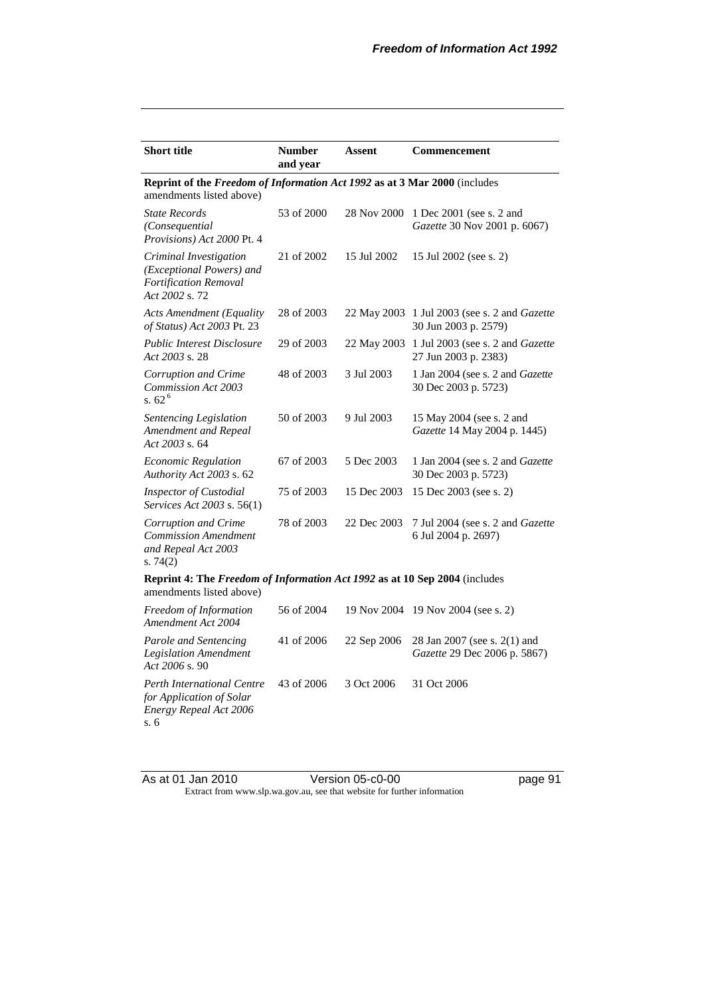| <b>Short title</b>                                                                                     | <b>Number</b><br>and year | Assent      | Commencement                                                                |  |  |  |  |
|--------------------------------------------------------------------------------------------------------|---------------------------|-------------|-----------------------------------------------------------------------------|--|--|--|--|
| Reprint of the Freedom of Information Act 1992 as at 3 Mar 2000 (includes<br>amendments listed above)  |                           |             |                                                                             |  |  |  |  |
| <b>State Records</b><br>(Consequential<br>Provisions) Act 2000 Pt. 4                                   | 53 of 2000                | 28 Nov 2000 | 1 Dec 2001 (see s. 2 and<br><i>Gazette</i> 30 Nov 2001 p. 6067)             |  |  |  |  |
| Criminal Investigation<br>(Exceptional Powers) and<br><b>Fortification Removal</b><br>Act 2002 s. 72   | 21 of 2002                | 15 Jul 2002 | 15 Jul 2002 (see s. 2)                                                      |  |  |  |  |
| <b>Acts Amendment (Equality</b><br>of Status) Act 2003 Pt. 23                                          | 28 of 2003                |             | 22 May 2003 1 Jul 2003 (see s. 2 and <i>Gazette</i><br>30 Jun 2003 p. 2579) |  |  |  |  |
| <b>Public Interest Disclosure</b><br>Act 2003 s. 28                                                    | 29 of 2003                |             | 22 May 2003 1 Jul 2003 (see s. 2 and Gazette<br>27 Jun 2003 p. 2383)        |  |  |  |  |
| Corruption and Crime<br>Commission Act 2003<br>s. $62^6$                                               | 48 of 2003                | 3 Jul 2003  | 1 Jan 2004 (see s. 2 and Gazette<br>30 Dec 2003 p. 5723)                    |  |  |  |  |
| Sentencing Legislation<br>Amendment and Repeal<br>Act 2003 s. 64                                       | 50 of 2003                | 9 Jul 2003  | 15 May 2004 (see s. 2 and<br>Gazette 14 May 2004 p. 1445)                   |  |  |  |  |
| <b>Economic Regulation</b><br>Authority Act 2003 s. 62                                                 | 67 of 2003                | 5 Dec 2003  | 1 Jan 2004 (see s. 2 and Gazette<br>30 Dec 2003 p. 5723)                    |  |  |  |  |
| <b>Inspector of Custodial</b><br><i>Services Act 2003 s.</i> 56(1)                                     | 75 of 2003                | 15 Dec 2003 | 15 Dec 2003 (see s. 2)                                                      |  |  |  |  |
| Corruption and Crime<br><b>Commission Amendment</b><br>and Repeal Act 2003<br>s. $74(2)$               | 78 of 2003                | 22 Dec 2003 | 7 Jul 2004 (see s. 2 and Gazette<br>6 Jul 2004 p. 2697)                     |  |  |  |  |
| Reprint 4: The Freedom of Information Act 1992 as at 10 Sep 2004 (includes<br>amendments listed above) |                           |             |                                                                             |  |  |  |  |
| Freedom of Information<br>Amendment Act 2004                                                           | 56 of 2004                |             | 19 Nov 2004 19 Nov 2004 (see s. 2)                                          |  |  |  |  |
| Parole and Sentencing<br><b>Legislation Amendment</b><br>Act 2006 s. 90                                | 41 of 2006                | 22 Sep 2006 | 28 Jan 2007 (see s. 2(1) and<br>Gazette 29 Dec 2006 p. 5867)                |  |  |  |  |
| <b>Perth International Centre</b><br>for Application of Solar<br>Energy Repeal Act 2006<br>s. 6        | 43 of 2006                | 3 Oct 2006  | 31 Oct 2006                                                                 |  |  |  |  |

As at 01 Jan 2010 Version 05-c0-00 page 91 Extract from www.slp.wa.gov.au, see that website for further information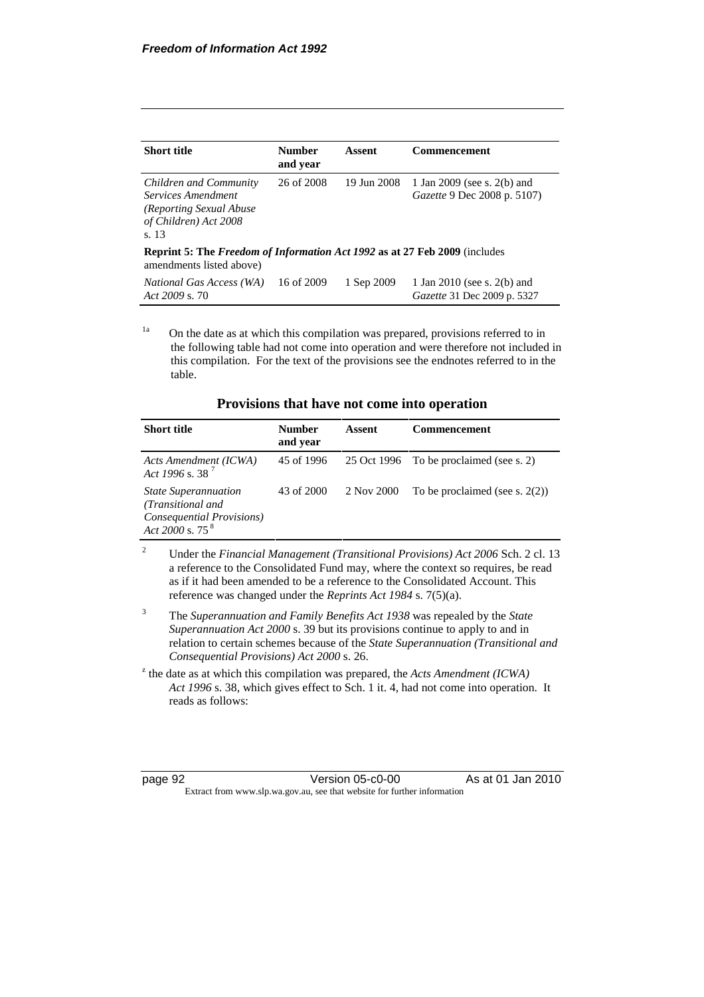| <b>Short title</b>                                                                                        | <b>Number</b><br>and year | Assent      | Commencement                                               |
|-----------------------------------------------------------------------------------------------------------|---------------------------|-------------|------------------------------------------------------------|
| Children and Community<br>Services Amendment<br>(Reporting Sexual Abuse<br>of Children) Act 2008<br>s. 13 | 26 of 2008                | 19 Jun 2008 | 1 Jan 2009 (see s. 2(b) and<br>Gazette 9 Dec 2008 p. 5107) |
| Reprint 5: The Freedom of Information Act 1992 as at 27 Feb 2009 (includes<br>amendments listed above)    |                           |             |                                                            |
| <i>National Gas Access (WA)</i><br>Act $2009$ s. 70                                                       | 16 of 2009                | 1 Sep 2009  | 1 Jan 2010 (see s. 2(b) and<br>Gazette 31 Dec 2009 p. 5327 |

 $1a$  On the date as at which this compilation was prepared, provisions referred to in the following table had not come into operation and were therefore not included in this compilation. For the text of the provisions see the endnotes referred to in the table.

|  |  |  |  |  |  | Provisions that have not come into operation |
|--|--|--|--|--|--|----------------------------------------------|
|--|--|--|--|--|--|----------------------------------------------|

| <b>Short title</b>                                                                                   | <b>Number</b><br>and year | Assent     | <b>Commencement</b>                     |
|------------------------------------------------------------------------------------------------------|---------------------------|------------|-----------------------------------------|
| Acts Amendment (ICWA)<br>Act 1996 s. 38 <sup>7</sup>                                                 | 45 of 1996                |            | 25 Oct 1996 To be proclaimed (see s. 2) |
| <b>State Superannuation</b><br>(Transitional and<br>Consequential Provisions)<br>Act 2000 s. 75 $^8$ | 43 of 2000                | 2 Nov 2000 | To be proclaimed (see s. $2(2)$ )       |

- 2 Under the *Financial Management (Transitional Provisions) Act 2006* Sch. 2 cl. 13 a reference to the Consolidated Fund may, where the context so requires, be read as if it had been amended to be a reference to the Consolidated Account. This reference was changed under the *Reprints Act 1984* s. 7(5)(a).
- 3 The *Superannuation and Family Benefits Act 1938* was repealed by the *State Superannuation Act 2000* s. 39 but its provisions continue to apply to and in relation to certain schemes because of the *State Superannuation (Transitional and Consequential Provisions) Act 2000* s. 26.
- $\alpha$ <sup>z</sup> the date as at which this compilation was prepared, the *Acts Amendment (ICWA) Act 1996* s. 38, which gives effect to Sch. 1 it. 4, had not come into operation. It reads as follows:

page 92 Version 05-c0-00 As at 01 Jan 2010 Extract from www.slp.wa.gov.au, see that website for further information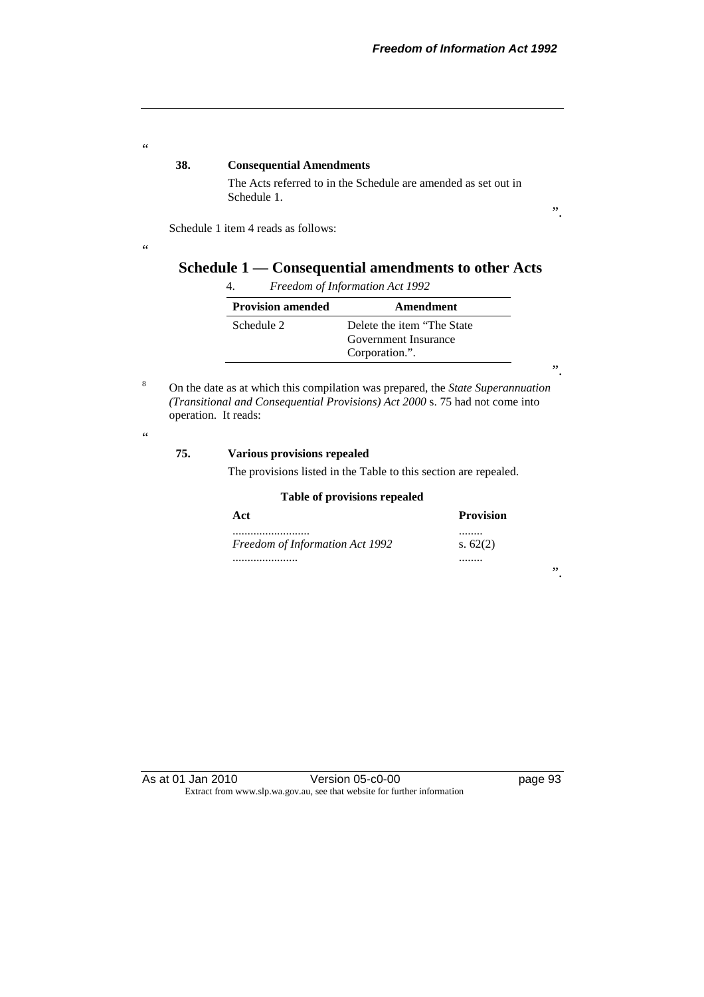".

#### **38. Consequential Amendments**

 The Acts referred to in the Schedule are amended as set out in Schedule 1.

Schedule 1 item 4 reads as follows:

# **Schedule 1 — Consequential amendments to other Acts**

| <b>Provision amended</b> | Amendment                   |
|--------------------------|-----------------------------|
| Schedule 2               | Delete the item "The State" |
|                          | Government Insurance        |
|                          | Corporation.".              |

". 8 On the date as at which this compilation was prepared, the *State Superannuation (Transitional and Consequential Provisions) Act 2000* s. 75 had not come into operation. It reads:

### $\epsilon$

 $\epsilon$ 

 $\ddot{\phantom{0}}$ 

#### **75. Various provisions repealed**

The provisions listed in the Table to this section are repealed.

#### **Table of provisions repealed**

| Act                                 | <b>Provision</b> |
|-------------------------------------|------------------|
| <br>Freedom of Information Act 1992 | <br>s. $62(2)$   |
|                                     |                  |

".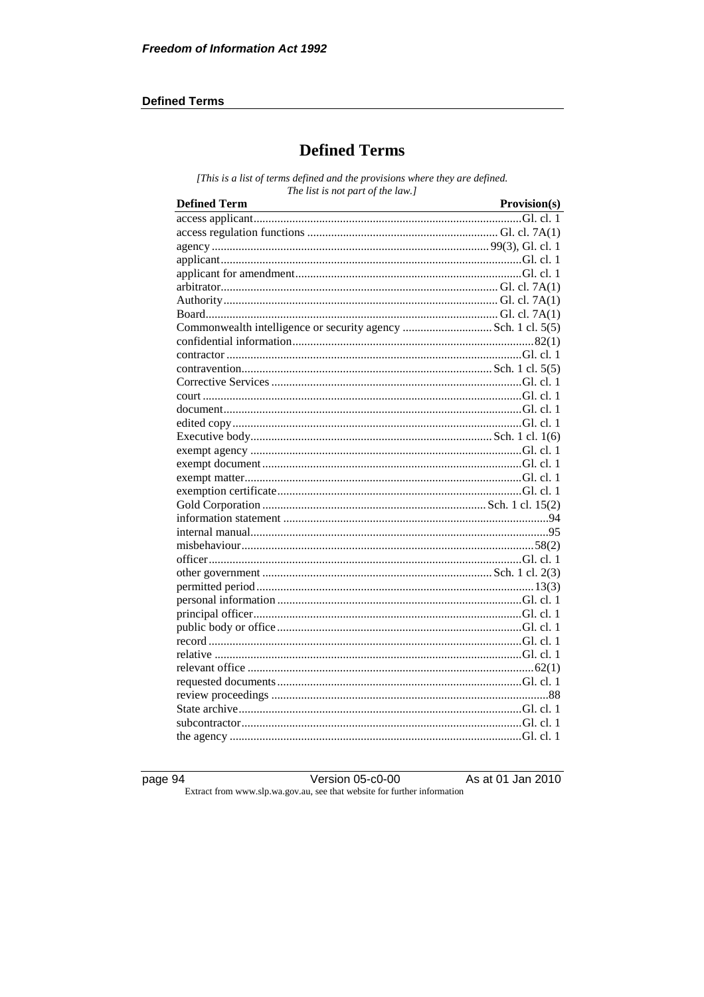#### **Defined Terms**

# **Defined Terms**

[This is a list of terms defined and the provisions where they are defined. The list is not part of the law.]

| <b>Defined Term</b><br><u> 1980 - Johann Barn, mars eta bainar eta baina eta baina eta baina eta baina eta baina eta baina eta baina e</u> | Provision(s) |
|--------------------------------------------------------------------------------------------------------------------------------------------|--------------|
|                                                                                                                                            |              |
|                                                                                                                                            |              |
|                                                                                                                                            |              |
|                                                                                                                                            |              |
|                                                                                                                                            |              |
|                                                                                                                                            |              |
|                                                                                                                                            |              |
|                                                                                                                                            |              |
|                                                                                                                                            |              |
|                                                                                                                                            |              |
|                                                                                                                                            |              |
|                                                                                                                                            |              |
|                                                                                                                                            |              |
|                                                                                                                                            |              |
|                                                                                                                                            |              |
|                                                                                                                                            |              |
|                                                                                                                                            |              |
|                                                                                                                                            |              |
|                                                                                                                                            |              |
|                                                                                                                                            |              |
|                                                                                                                                            |              |
|                                                                                                                                            |              |
|                                                                                                                                            |              |
|                                                                                                                                            |              |
|                                                                                                                                            |              |
|                                                                                                                                            |              |
|                                                                                                                                            |              |
|                                                                                                                                            |              |
|                                                                                                                                            |              |
|                                                                                                                                            |              |
|                                                                                                                                            |              |
|                                                                                                                                            |              |
|                                                                                                                                            |              |
|                                                                                                                                            |              |
|                                                                                                                                            |              |
|                                                                                                                                            |              |
|                                                                                                                                            |              |
|                                                                                                                                            |              |
|                                                                                                                                            |              |

page 94

Version 05-c0-00

As at 01 Jan 2010

Extract from www.slp.wa.gov.au, see that website for further information